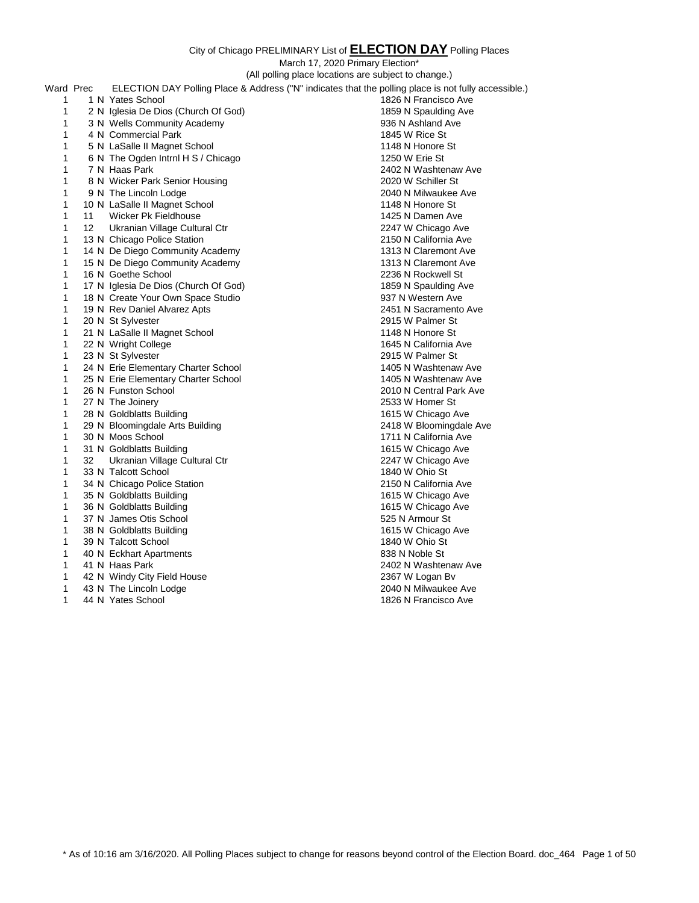March 17, 2020 Primary Election\*

|              | $m$ arch 17, $20201$ minary Electron<br>(All polling place locations are subject to change.) |                                                                                                      |                         |
|--------------|----------------------------------------------------------------------------------------------|------------------------------------------------------------------------------------------------------|-------------------------|
|              |                                                                                              |                                                                                                      |                         |
| Ward Prec    |                                                                                              | ELECTION DAY Polling Place & Address ("N" indicates that the polling place is not fully accessible.) |                         |
| 1            |                                                                                              | 1 N Yates School                                                                                     | 1826 N Francisco Ave    |
| 1            |                                                                                              | 2 N Iglesia De Dios (Church Of God)                                                                  | 1859 N Spaulding Ave    |
| 1            |                                                                                              | 3 N Wells Community Academy                                                                          | 936 N Ashland Ave       |
| 1            |                                                                                              | 4 N Commercial Park                                                                                  | 1845 W Rice St          |
| 1            |                                                                                              | 5 N LaSalle II Magnet School                                                                         | 1148 N Honore St        |
| 1            |                                                                                              | 6 N The Ogden Intrnl H S / Chicago                                                                   | 1250 W Erie St          |
| 1            |                                                                                              | 7 N Haas Park                                                                                        | 2402 N Washtenaw Ave    |
| 1            |                                                                                              | 8 N Wicker Park Senior Housing                                                                       | 2020 W Schiller St      |
| 1            |                                                                                              | 9 N The Lincoln Lodge                                                                                | 2040 N Milwaukee Ave    |
| 1            |                                                                                              | 10 N LaSalle II Magnet School                                                                        | 1148 N Honore St        |
| 1            | 11                                                                                           | Wicker Pk Fieldhouse                                                                                 | 1425 N Damen Ave        |
| 1            | 12                                                                                           | Ukranian Village Cultural Ctr                                                                        | 2247 W Chicago Ave      |
| 1            |                                                                                              | 13 N Chicago Police Station                                                                          | 2150 N California Ave   |
| 1            |                                                                                              | 14 N De Diego Community Academy                                                                      | 1313 N Claremont Ave    |
| 1            |                                                                                              | 15 N De Diego Community Academy                                                                      | 1313 N Claremont Ave    |
| $\mathbf{1}$ |                                                                                              | 16 N Goethe School                                                                                   | 2236 N Rockwell St      |
| 1            |                                                                                              | 17 N Iglesia De Dios (Church Of God)                                                                 | 1859 N Spaulding Ave    |
| 1            |                                                                                              | 18 N Create Your Own Space Studio                                                                    | 937 N Western Ave       |
| 1            |                                                                                              | 19 N Rev Daniel Alvarez Apts                                                                         | 2451 N Sacramento Ave   |
| 1            |                                                                                              | 20 N St Sylvester                                                                                    | 2915 W Palmer St        |
| 1            |                                                                                              | 21 N LaSalle II Magnet School                                                                        | 1148 N Honore St        |
| 1            |                                                                                              | 22 N Wright College                                                                                  | 1645 N California Ave   |
| 1            |                                                                                              | 23 N St Sylvester                                                                                    | 2915 W Palmer St        |
| 1            |                                                                                              | 24 N Erie Elementary Charter School                                                                  | 1405 N Washtenaw Ave    |
| 1            |                                                                                              | 25 N Erie Elementary Charter School                                                                  | 1405 N Washtenaw Ave    |
| 1            |                                                                                              | 26 N Funston School                                                                                  | 2010 N Central Park Ave |
| 1            |                                                                                              | 27 N The Joinery                                                                                     | 2533 W Homer St         |
| 1            |                                                                                              | 28 N Goldblatts Building                                                                             | 1615 W Chicago Ave      |
| 1            |                                                                                              | 29 N Bloomingdale Arts Building                                                                      | 2418 W Bloomingdale Ave |
| 1            |                                                                                              | 30 N Moos School                                                                                     | 1711 N California Ave   |
| 1            |                                                                                              | 31 N Goldblatts Building                                                                             | 1615 W Chicago Ave      |
| 1            | 32                                                                                           | Ukranian Village Cultural Ctr                                                                        | 2247 W Chicago Ave      |
| 1            |                                                                                              | 33 N Talcott School                                                                                  | 1840 W Ohio St          |
| 1            |                                                                                              | 34 N Chicago Police Station                                                                          | 2150 N California Ave   |
| 1            |                                                                                              | 35 N Goldblatts Building                                                                             | 1615 W Chicago Ave      |
| 1            |                                                                                              | 36 N Goldblatts Building                                                                             | 1615 W Chicago Ave      |
| 1            |                                                                                              | 37 N James Otis School                                                                               | 525 N Armour St         |
| 1            |                                                                                              | 38 N Goldblatts Building                                                                             | 1615 W Chicago Ave      |
| 1            |                                                                                              | 39 N Talcott School                                                                                  | 1840 W Ohio St          |
| 1            |                                                                                              | 40 N Eckhart Apartments                                                                              | 838 N Noble St          |
| 1            |                                                                                              | 41 N Haas Park                                                                                       | 2402 N Washtenaw Ave    |
| 1            |                                                                                              | 42 N Windy City Field House                                                                          | 2367 W Logan Bv         |
| 1            |                                                                                              | 43 N The Lincoln Lodge                                                                               | 2040 N Milwaukee Ave    |

44 N Yates School 1826 N Francisco Ave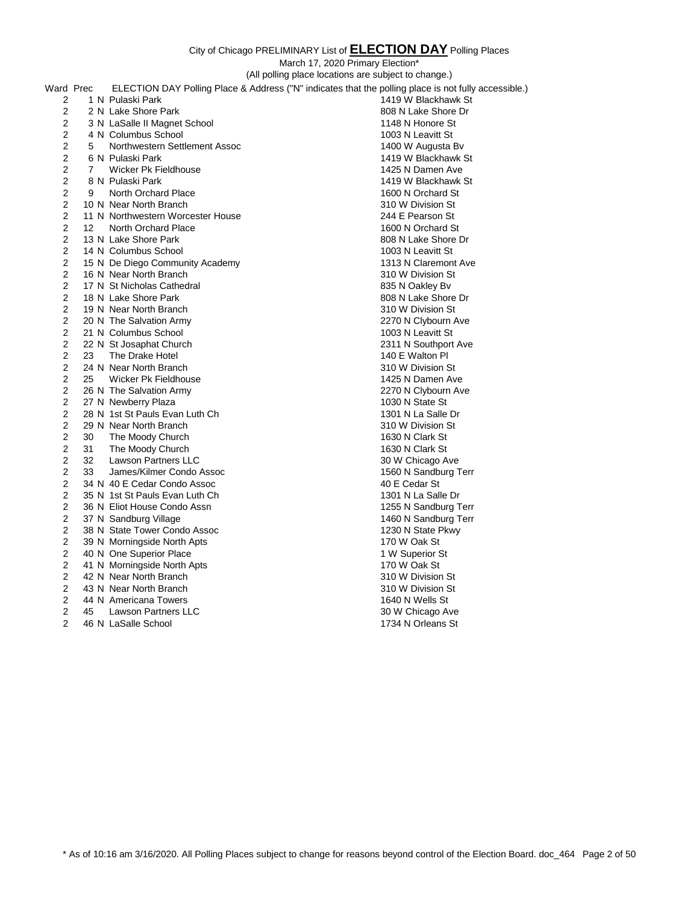|                |    |                                   | March 17, 2020 Primary Election*                                                                     |
|----------------|----|-----------------------------------|------------------------------------------------------------------------------------------------------|
|                |    |                                   | (All polling place locations are subject to change.)                                                 |
| Ward Prec      |    |                                   | ELECTION DAY Polling Place & Address ("N" indicates that the polling place is not fully accessible.) |
| 2              |    | 1 N Pulaski Park                  | 1419 W Blackhawk St                                                                                  |
| 2              |    | 2 N Lake Shore Park               | 808 N Lake Shore Dr                                                                                  |
| 2              |    | 3 N LaSalle II Magnet School      | 1148 N Honore St                                                                                     |
| 2              |    | 4 N Columbus School               | 1003 N Leavitt St                                                                                    |
| 2              | 5  | Northwestern Settlement Assoc     | 1400 W Augusta Bv                                                                                    |
| $\overline{2}$ |    | 6 N Pulaski Park                  | 1419 W Blackhawk St                                                                                  |
| $\overline{2}$ | 7  | Wicker Pk Fieldhouse              | 1425 N Damen Ave                                                                                     |
| 2              |    | 8 N Pulaski Park                  | 1419 W Blackhawk St                                                                                  |
| 2              | 9  | North Orchard Place               | 1600 N Orchard St                                                                                    |
| 2              |    | 10 N Near North Branch            | 310 W Division St                                                                                    |
| 2              |    | 11 N Northwestern Worcester House | 244 E Pearson St                                                                                     |
| 2              | 12 | North Orchard Place               | 1600 N Orchard St                                                                                    |
| 2              |    | 13 N Lake Shore Park              | 808 N Lake Shore Dr                                                                                  |
| 2              |    | 14 N Columbus School              | 1003 N Leavitt St                                                                                    |
| 2              |    | 15 N De Diego Community Academy   | 1313 N Claremont Ave                                                                                 |
| 2              |    | 16 N Near North Branch            | 310 W Division St                                                                                    |
| $\overline{2}$ |    | 17 N St Nicholas Cathedral        | 835 N Oakley Bv                                                                                      |
| 2              |    | 18 N Lake Shore Park              | 808 N Lake Shore Dr                                                                                  |
| 2              |    | 19 N Near North Branch            | 310 W Division St                                                                                    |
| 2              |    | 20 N The Salvation Army           | 2270 N Clybourn Ave                                                                                  |
| 2              |    | 21 N Columbus School              | 1003 N Leavitt St                                                                                    |
| 2              |    | 22 N St Josaphat Church           | 2311 N Southport Ave                                                                                 |
| 2              | 23 | The Drake Hotel                   | 140 E Walton Pl                                                                                      |
| 2              |    | 24 N Near North Branch            | 310 W Division St                                                                                    |
| 2              | 25 | Wicker Pk Fieldhouse              | 1425 N Damen Ave                                                                                     |
| 2              |    | 26 N The Salvation Army           | 2270 N Clybourn Ave                                                                                  |
| 2              |    | 27 N Newberry Plaza               | 1030 N State St                                                                                      |
| 2              |    | 28 N 1st St Pauls Evan Luth Ch    | 1301 N La Salle Dr                                                                                   |
| 2              |    | 29 N Near North Branch            | 310 W Division St                                                                                    |
| 2              | 30 | The Moody Church                  | 1630 N Clark St                                                                                      |
| $\overline{2}$ | 31 | The Moody Church                  | 1630 N Clark St                                                                                      |
| 2              | 32 | Lawson Partners LLC               | 30 W Chicago Ave                                                                                     |
| 2              | 33 | James/Kilmer Condo Assoc          | 1560 N Sandburg Terr                                                                                 |
| 2              |    | 34 N 40 E Cedar Condo Assoc       | 40 E Cedar St                                                                                        |
| 2              |    | 35 N 1st St Pauls Evan Luth Ch    | 1301 N La Salle Dr                                                                                   |
| 2              |    | 36 N Eliot House Condo Assn       | 1255 N Sandburg Terr                                                                                 |
| 2              |    | 37 N Sandburg Village             | 1460 N Sandburg Terr                                                                                 |
| 2              |    | 38 N State Tower Condo Assoc      | 1230 N State Pkwy                                                                                    |
| 2              |    | 39 N Morningside North Apts       | 170 W Oak St                                                                                         |
| $\overline{c}$ |    | 40 N One Superior Place           | 1 W Superior St                                                                                      |
| 2              |    | 41 N Morningside North Apts       | 170 W Oak St                                                                                         |
| $\overline{2}$ |    | 42 N Near North Branch            | 310 W Division St                                                                                    |
| 2              |    | 43 N Near North Branch            | 310 W Division St                                                                                    |
| 2              |    | 44 N Americana Towers             | 1640 N Wells St                                                                                      |
| 2              | 45 | <b>Lawson Partners LLC</b>        | 30 W Chicago Ave                                                                                     |
| $\overline{2}$ |    | 46 N LaSalle School               | 1734 N Orleans St                                                                                    |
|                |    |                                   |                                                                                                      |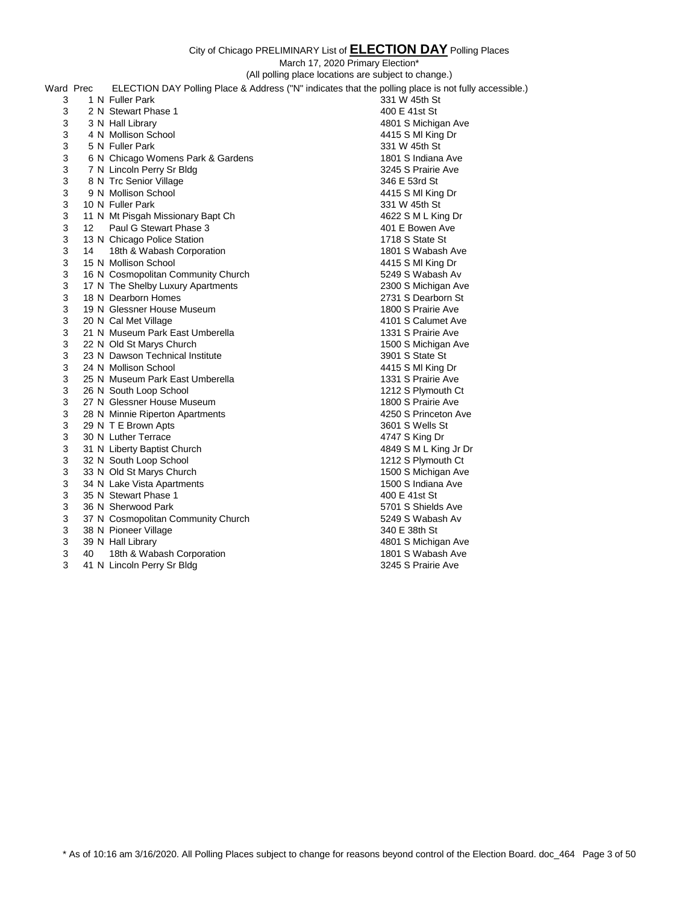|   |                 |                                    | City of Chicago PRELIMINARY List of <b>ELECTION DAY</b> Polling Places                               |
|---|-----------------|------------------------------------|------------------------------------------------------------------------------------------------------|
|   |                 |                                    | March 17, 2020 Primary Election*                                                                     |
|   |                 |                                    | (All polling place locations are subject to change.)                                                 |
|   | Ward Prec       |                                    | ELECTION DAY Polling Place & Address ("N" indicates that the polling place is not fully accessible.) |
| 3 |                 | 1 N Fuller Park                    | 331 W 45th St                                                                                        |
|   |                 | 2 N Stewart Phase 1                | 400 E 41st St                                                                                        |
| 3 |                 |                                    |                                                                                                      |
| 3 |                 | 3 N Hall Library                   | 4801 S Michigan Ave                                                                                  |
| 3 |                 | 4 N Mollison School                | 4415 S MI King Dr                                                                                    |
| 3 |                 | 5 N Fuller Park                    | 331 W 45th St                                                                                        |
| 3 |                 | 6 N Chicago Womens Park & Gardens  | 1801 S Indiana Ave                                                                                   |
| 3 |                 | 7 N Lincoln Perry Sr Bldg          | 3245 S Prairie Ave                                                                                   |
| 3 |                 | 8 N Trc Senior Village             | 346 E 53rd St                                                                                        |
| 3 |                 | 9 N Mollison School                | 4415 S MI King Dr                                                                                    |
| 3 |                 | 10 N Fuller Park                   | 331 W 45th St                                                                                        |
| 3 |                 | 11 N Mt Pisgah Missionary Bapt Ch  | 4622 S M L King Dr                                                                                   |
| 3 | 12 <sup>7</sup> | Paul G Stewart Phase 3             | 401 E Bowen Ave                                                                                      |
| 3 |                 | 13 N Chicago Police Station        | 1718 S State St                                                                                      |
| 3 | 14              | 18th & Wabash Corporation          | 1801 S Wabash Ave                                                                                    |
| 3 |                 | 15 N Mollison School               | 4415 S MI King Dr                                                                                    |
| 3 |                 | 16 N Cosmopolitan Community Church | 5249 S Wabash Av                                                                                     |
| 3 |                 | 17 N The Shelby Luxury Apartments  | 2300 S Michigan Ave                                                                                  |
| 3 |                 | 18 N Dearborn Homes                | 2731 S Dearborn St                                                                                   |
| 3 |                 | 19 N Glessner House Museum         | 1800 S Prairie Ave                                                                                   |

- 
- 3 21 N Museum Park East Umberella
- 3 22 N Old St Marys Church 1500 S Michigan Ave
- 23 N Dawson Technical Institute 3901 S State St
- 24 N Mollison School 4415 S Ml King Dr
- 3 25 N Museum Park East Umberella 1331 S Prairie Ave
- 3 26 N South Loop School 1212 S Plymouth Ct
- 27 N Glessner House Museum 1800 S Prairie Ave
- 
- 3 29 N T E Brown Apts
- 3 30 N Luther Terrace 4747 S King Dr
- 31 N Liberty Baptist Church 4849 S M L King Jr Dr
- 3 32 N South Loop School 1212 S Plymouth Ct
- 33 N Old St Marys Church 1500 S Michigan Ave
- 34 N Lake Vista Apartments 1500 S Indiana Ave
- 
- 3 36 N Sherwood Park
- 37 N Cosmopolitan Community Church 5249 S Wabash Av
- 3 38 N Pioneer Village 340 E 38th St
- 
- 40 18th & Wabash Corporation 1801 S Wabash Ave
- 3 41 N Lincoln Perry Sr Bldg 3245 S Prairie Ave

3 20 N Cal Met Village 4101 S Calumet Ave 4101 S Calumet Ave 4101 S Calumet Ave 4101 S Calumet Ave 3 28 N Minnie Riperton Apartments<br>
3 29 N T E Brown Apts<br>
4250 S Wells St 4250 S Wells St 3 35 N Stewart Phase 1 400 E 41st St 400 E 41st St 400 E 41st St 400 E 41st St 400 E 41st St 400 E 41st St 400 E 41st St 400 E 41st St 400 E 41st St 400 E 41st St 400 E 41st St 400 E 41st St 400 E 41st St 400 E 41st St 400 39 N Hall Library 4801 S Michigan Ave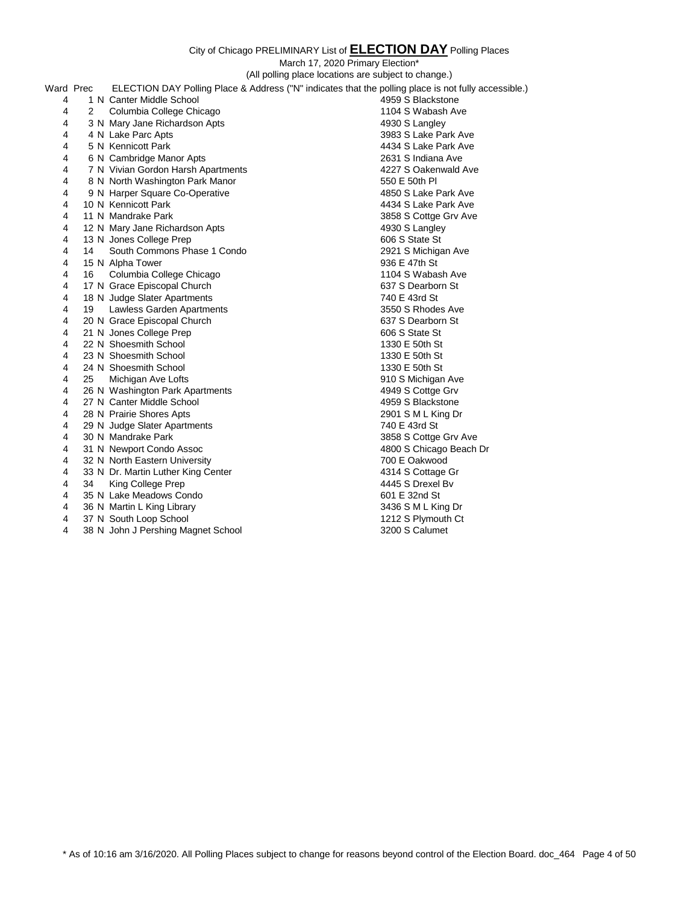March 17, 2020 Primary Election\*

|                |    |                                    | (All polling place locations are subject to change.)                                                 |
|----------------|----|------------------------------------|------------------------------------------------------------------------------------------------------|
| Ward Prec      |    |                                    | ELECTION DAY Polling Place & Address ("N" indicates that the polling place is not fully accessible.) |
| 4              |    | 1 N Canter Middle School           | 4959 S Blackstone                                                                                    |
| 4              | 2  | Columbia College Chicago           | 1104 S Wabash Ave                                                                                    |
| 4              |    | 3 N Mary Jane Richardson Apts      | 4930 S Langley                                                                                       |
| 4              |    | 4 N Lake Parc Apts                 | 3983 S Lake Park Ave                                                                                 |
| 4              |    | 5 N Kennicott Park                 | 4434 S Lake Park Ave                                                                                 |
| 4              |    | 6 N Cambridge Manor Apts           | 2631 S Indiana Ave                                                                                   |
| 4              |    | 7 N Vivian Gordon Harsh Apartments | 4227 S Oakenwald Ave                                                                                 |
| 4              |    | 8 N North Washington Park Manor    | 550 E 50th PI                                                                                        |
| 4              |    | 9 N Harper Square Co-Operative     | 4850 S Lake Park Ave                                                                                 |
| 4              |    | 10 N Kennicott Park                | 4434 S Lake Park Ave                                                                                 |
| 4              |    | 11 N Mandrake Park                 | 3858 S Cottge Grv Ave                                                                                |
| $\overline{4}$ |    | 12 N Mary Jane Richardson Apts     | 4930 S Langley                                                                                       |
| 4              |    | 13 N Jones College Prep            | 606 S State St                                                                                       |
| 4              | 14 | South Commons Phase 1 Condo        | 2921 S Michigan Ave                                                                                  |
| 4              |    | 15 N Alpha Tower                   | 936 E 47th St                                                                                        |
| 4              | 16 | Columbia College Chicago           | 1104 S Wabash Ave                                                                                    |
| 4              |    | 17 N Grace Episcopal Church        | 637 S Dearborn St                                                                                    |
| 4              |    | 18 N Judge Slater Apartments       | 740 E 43rd St                                                                                        |
| 4              | 19 | Lawless Garden Apartments          | 3550 S Rhodes Ave                                                                                    |
| $\overline{4}$ |    | 20 N Grace Episcopal Church        | 637 S Dearborn St                                                                                    |
| 4              |    | 21 N Jones College Prep            | 606 S State St                                                                                       |
| $\overline{4}$ |    | 22 N Shoesmith School              | 1330 E 50th St                                                                                       |
| $\overline{4}$ |    | 23 N Shoesmith School              | 1330 E 50th St                                                                                       |
| 4              |    | 24 N Shoesmith School              | 1330 E 50th St                                                                                       |
| 4              | 25 | Michigan Ave Lofts                 | 910 S Michigan Ave                                                                                   |
| 4              |    | 26 N Washington Park Apartments    | 4949 S Cottge Grv                                                                                    |
| 4              |    | 27 N Canter Middle School          | 4959 S Blackstone                                                                                    |
| 4              |    | 28 N Prairie Shores Apts           | 2901 S M L King Dr                                                                                   |
| 4              |    | 29 N Judge Slater Apartments       | 740 E 43rd St                                                                                        |
| 4              |    | 30 N Mandrake Park                 | 3858 S Cottge Grv Ave                                                                                |
| 4              |    | 31 N Newport Condo Assoc           | 4800 S Chicago Beach Dr                                                                              |
| $\overline{4}$ |    | 32 N North Eastern University      | 700 E Oakwood                                                                                        |
| 4              |    | 33 N Dr. Martin Luther King Center | 4314 S Cottage Gr                                                                                    |
| 4              | 34 | King College Prep                  | 4445 S Drexel Bv                                                                                     |
| 4              |    | 35 N Lake Meadows Condo            | 601 E 32nd St                                                                                        |
| 4              |    | 36 N Martin L King Library         | 3436 S M L King Dr                                                                                   |
| 4              |    | 37 N South Loop School             | 1212 S Plymouth Ct                                                                                   |
|                |    |                                    |                                                                                                      |

4 38 N John J Pershing Magnet School 3200 S Calumet

\* As of 10:16 am 3/16/2020. All Polling Places subject to change for reasons beyond control of the Election Board. doc\_464 Page 4 of 50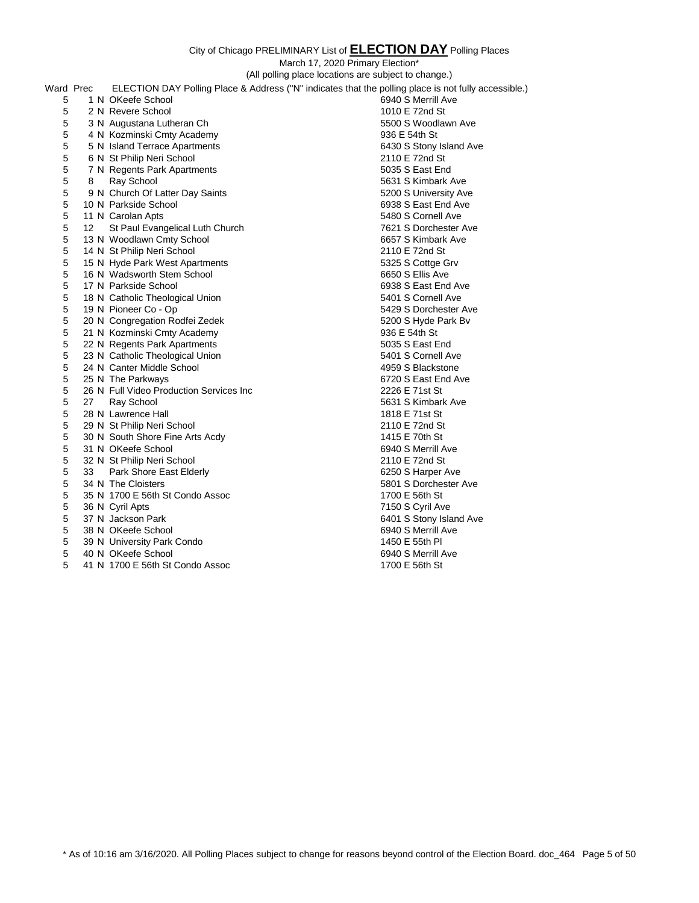|   |           |                                         | March 17, 2020 Primary Election*                                                                     |
|---|-----------|-----------------------------------------|------------------------------------------------------------------------------------------------------|
|   |           |                                         | (All polling place locations are subject to change.)                                                 |
|   | Ward Prec |                                         | ELECTION DAY Polling Place & Address ("N" indicates that the polling place is not fully accessible.) |
| 5 |           | 1 N OKeefe School                       | 6940 S Merrill Ave                                                                                   |
| 5 |           | 2 N Revere School                       | 1010 E 72nd St                                                                                       |
| 5 |           | 3 N Augustana Lutheran Ch               | 5500 S Woodlawn Ave                                                                                  |
| 5 |           | 4 N Kozminski Cmty Academy              | 936 E 54th St                                                                                        |
| 5 |           | 5 N Island Terrace Apartments           | 6430 S Stony Island Ave                                                                              |
| 5 |           | 6 N St Philip Neri School               | 2110 E 72nd St                                                                                       |
| 5 |           | 7 N Regents Park Apartments             | 5035 S East End                                                                                      |
| 5 | 8         | Ray School                              | 5631 S Kimbark Ave                                                                                   |
| 5 |           | 9 N Church Of Latter Day Saints         | 5200 S University Ave                                                                                |
| 5 |           | 10 N Parkside School                    | 6938 S East End Ave                                                                                  |
| 5 |           | 11 N Carolan Apts                       | 5480 S Cornell Ave                                                                                   |
| 5 | 12        | St Paul Evangelical Luth Church         | 7621 S Dorchester Ave                                                                                |
| 5 |           | 13 N Woodlawn Cmty School               | 6657 S Kimbark Ave                                                                                   |
| 5 |           | 14 N St Philip Neri School              | 2110 E 72nd St                                                                                       |
| 5 |           | 15 N Hyde Park West Apartments          | 5325 S Cottge Grv                                                                                    |
| 5 |           | 16 N Wadsworth Stem School              | 6650 S Ellis Ave                                                                                     |
| 5 |           | 17 N Parkside School                    | 6938 S East End Ave                                                                                  |
| 5 |           | 18 N Catholic Theological Union         | 5401 S Cornell Ave                                                                                   |
| 5 |           | 19 N Pioneer Co - Op                    | 5429 S Dorchester Ave                                                                                |
| 5 |           | 20 N Congregation Rodfei Zedek          | 5200 S Hyde Park Bv                                                                                  |
| 5 |           | 21 N Kozminski Cmty Academy             | 936 E 54th St                                                                                        |
| 5 |           | 22 N Regents Park Apartments            | 5035 S East End                                                                                      |
| 5 |           | 23 N Catholic Theological Union         | 5401 S Cornell Ave                                                                                   |
| 5 |           | 24 N Canter Middle School               | 4959 S Blackstone                                                                                    |
| 5 |           | 25 N The Parkways                       | 6720 S East End Ave                                                                                  |
| 5 |           | 26 N Full Video Production Services Inc | 2226 E 71st St                                                                                       |
| 5 | 27        | Ray School                              | 5631 S Kimbark Ave                                                                                   |
| 5 |           | 28 N Lawrence Hall                      | 1818 E 71st St                                                                                       |
| 5 |           | 29 N St Philip Neri School              | 2110 E 72nd St                                                                                       |
| 5 |           | 30 N South Shore Fine Arts Acdy         | 1415 E 70th St                                                                                       |
| 5 |           | 31 N OKeefe School                      | 6940 S Merrill Ave                                                                                   |
| 5 |           | 32 N St Philip Neri School              | 2110 E 72nd St                                                                                       |
| 5 | 33        | Park Shore East Elderly                 | 6250 S Harper Ave                                                                                    |
| 5 |           | 34 N The Cloisters                      | 5801 S Dorchester Ave                                                                                |
| 5 |           | 35 N 1700 E 56th St Condo Assoc         | 1700 E 56th St                                                                                       |
| 5 |           | 36 N Cyril Apts                         | 7150 S Cyril Ave                                                                                     |
| 5 |           | 37 N Jackson Park                       | 6401 S Stony Island Ave                                                                              |
| 5 |           | 38 N OKeefe School                      | 6940 S Merrill Ave                                                                                   |
| 5 |           | 39 N University Park Condo              | 1450 E 55th PI                                                                                       |
| 5 |           | 40 N OKeefe School                      | 6940 S Merrill Ave                                                                                   |

5 41 N 1700 E 56th St Condo Assoc 1700 E 56th St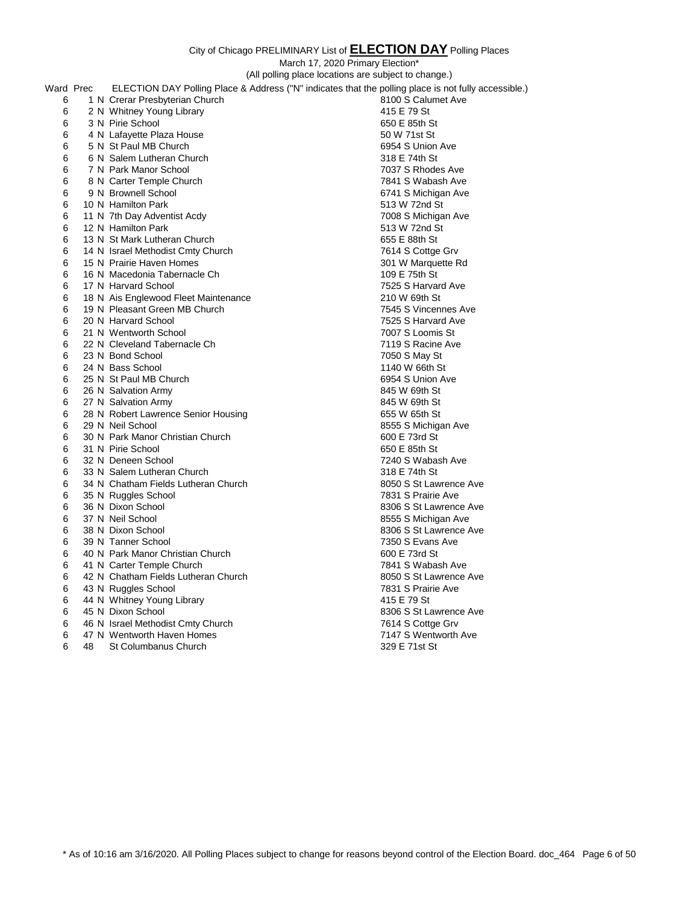|           |    |                                      | March 17, 2020 Primary Election*                                                                     |
|-----------|----|--------------------------------------|------------------------------------------------------------------------------------------------------|
|           |    |                                      | (All polling place locations are subject to change.)                                                 |
| Ward Prec |    |                                      | ELECTION DAY Polling Place & Address ("N" indicates that the polling place is not fully accessible.) |
| 6         |    | 1 N Crerar Presbyterian Church       | 8100 S Calumet Ave                                                                                   |
| 6         |    | 2 N Whitney Young Library            | 415 E 79 St                                                                                          |
| 6         |    | 3 N Pirie School                     | 650 E 85th St                                                                                        |
| 6         |    | 4 N Lafayette Plaza House            | 50 W 71st St                                                                                         |
| 6         |    | 5 N St Paul MB Church                | 6954 S Union Ave                                                                                     |
| 6         |    | 6 N Salem Lutheran Church            | 318 E 74th St                                                                                        |
| 6         |    | 7 N Park Manor School                | 7037 S Rhodes Ave                                                                                    |
| 6         |    | 8 N Carter Temple Church             | 7841 S Wabash Ave                                                                                    |
| 6         |    | 9 N Brownell School                  | 6741 S Michigan Ave                                                                                  |
| 6         |    | 10 N Hamilton Park                   | 513 W 72nd St                                                                                        |
| 6         |    | 11 N 7th Day Adventist Acdy          | 7008 S Michigan Ave                                                                                  |
| 6         |    | 12 N Hamilton Park                   | 513 W 72nd St                                                                                        |
| 6         |    | 13 N St Mark Lutheran Church         | 655 E 88th St                                                                                        |
| 6         |    | 14 N Israel Methodist Cmty Church    | 7614 S Cottge Grv                                                                                    |
| 6         |    | 15 N Prairie Haven Homes             | 301 W Marquette Rd                                                                                   |
| 6         |    | 16 N Macedonia Tabernacle Ch         | 109 E 75th St                                                                                        |
| 6         |    | 17 N Harvard School                  | 7525 S Harvard Ave                                                                                   |
| 6         |    | 18 N Ais Englewood Fleet Maintenance | 210 W 69th St                                                                                        |
| 6         |    | 19 N Pleasant Green MB Church        | 7545 S Vincennes Ave                                                                                 |
| 6         |    | 20 N Harvard School                  | 7525 S Harvard Ave                                                                                   |
| 6         |    | 21 N Wentworth School                | 7007 S Loomis St                                                                                     |
| 6         |    | 22 N Cleveland Tabernacle Ch         | 7119 S Racine Ave                                                                                    |
| 6         |    | 23 N Bond School                     | 7050 S May St                                                                                        |
| 6         |    | 24 N Bass School                     | 1140 W 66th St                                                                                       |
| 6         |    | 25 N St Paul MB Church               | 6954 S Union Ave                                                                                     |
| 6         |    | 26 N Salvation Army                  | 845 W 69th St                                                                                        |
| 6         |    | 27 N Salvation Army                  | 845 W 69th St                                                                                        |
| 6         |    | 28 N Robert Lawrence Senior Housing  | 655 W 65th St                                                                                        |
| 6         |    | 29 N Neil School                     | 8555 S Michigan Ave                                                                                  |
| 6         |    | 30 N Park Manor Christian Church     | 600 E 73rd St                                                                                        |
| 6         |    | 31 N Pirie School                    | 650 E 85th St                                                                                        |
| 6         |    | 32 N Deneen School                   | 7240 S Wabash Ave                                                                                    |
| 6         |    | 33 N Salem Lutheran Church           | 318 E 74th St                                                                                        |
| 6         |    | 34 N Chatham Fields Lutheran Church  | 8050 S St Lawrence Ave                                                                               |
| 6         |    | 35 N Ruggles School                  | 7831 S Prairie Ave                                                                                   |
| 6         |    | 36 N Dixon School                    | 8306 S St Lawrence Ave                                                                               |
| 6         |    | 37 N Neil School                     | 8555 S Michigan Ave                                                                                  |
| 6         |    | 38 N Dixon School                    | 8306 S St Lawrence Ave                                                                               |
| 6         |    | 39 N Tanner School                   | 7350 S Evans Ave                                                                                     |
| 6         |    | 40 N Park Manor Christian Church     | 600 E 73rd St                                                                                        |
| 6         |    | 41 N Carter Temple Church            | 7841 S Wabash Ave                                                                                    |
| 6         |    | 42 N Chatham Fields Lutheran Church  | 8050 S St Lawrence Ave                                                                               |
| 6         |    | 43 N Ruggles School                  | 7831 S Prairie Ave                                                                                   |
| 6         |    | 44 N Whitney Young Library           | 415 E 79 St                                                                                          |
| 6         |    | 45 N Dixon School                    | 8306 S St Lawrence Ave                                                                               |
| 6         |    | 46 N Israel Methodist Cmty Church    | 7614 S Cottge Grv                                                                                    |
| 6         |    | 47 N Wentworth Haven Homes           | 7147 S Wentworth Ave                                                                                 |
| 6         | 48 | St Columbanus Church                 | 329 E 71st St                                                                                        |
|           |    |                                      |                                                                                                      |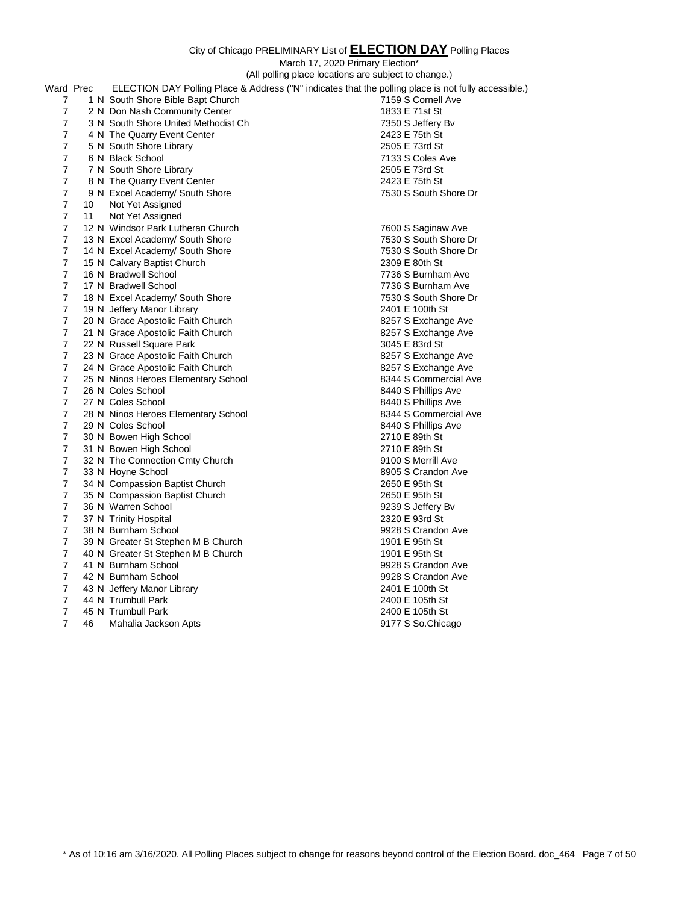|                |    |                                     | City of Chicago PRELIMINARY List of ELECTION DAY Polling Places                                      |  |
|----------------|----|-------------------------------------|------------------------------------------------------------------------------------------------------|--|
|                |    |                                     | March 17, 2020 Primary Election*                                                                     |  |
|                |    |                                     | (All polling place locations are subject to change.)                                                 |  |
| Ward Prec      |    |                                     | ELECTION DAY Polling Place & Address ("N" indicates that the polling place is not fully accessible.) |  |
| $\overline{7}$ |    | 1 N South Shore Bible Bapt Church   | 7159 S Cornell Ave                                                                                   |  |
| $\overline{7}$ |    | 2 N Don Nash Community Center       | 1833 E 71st St                                                                                       |  |
| 7              |    | 3 N South Shore United Methodist Ch | 7350 S Jeffery Bv                                                                                    |  |
| 7              |    | 4 N The Quarry Event Center         | 2423 E 75th St                                                                                       |  |
| 7              |    | 5 N South Shore Library             | 2505 E 73rd St                                                                                       |  |
| $\overline{7}$ |    | 6 N Black School                    | 7133 S Coles Ave                                                                                     |  |
| $\overline{7}$ |    | 7 N South Shore Library             | 2505 E 73rd St                                                                                       |  |
| 7              |    | 8 N The Quarry Event Center         | 2423 E 75th St                                                                                       |  |
| 7              |    | 9 N Excel Academy/ South Shore      | 7530 S South Shore Dr                                                                                |  |
| $\overline{7}$ | 10 | Not Yet Assigned                    |                                                                                                      |  |
| $\overline{7}$ | 11 | Not Yet Assigned                    |                                                                                                      |  |
| 7              |    | 12 N Windsor Park Lutheran Church   | 7600 S Saginaw Ave                                                                                   |  |
| $\overline{7}$ |    | 13 N Excel Academy/ South Shore     | 7530 S South Shore Dr                                                                                |  |
| $\overline{7}$ |    | 14 N Excel Academy/ South Shore     | 7530 S South Shore Dr                                                                                |  |
| 7              |    | 15 N Calvary Baptist Church         | 2309 E 80th St                                                                                       |  |
| $\overline{7}$ |    | 16 N Bradwell School                | 7736 S Burnham Ave                                                                                   |  |
| $\overline{7}$ |    | 17 N Bradwell School                | 7736 S Burnham Ave                                                                                   |  |
| 7              |    | 18 N Excel Academy/ South Shore     | 7530 S South Shore Dr                                                                                |  |
| 7              |    | 19 N Jeffery Manor Library          | 2401 E 100th St                                                                                      |  |
| $\overline{7}$ |    | 20 N Grace Apostolic Faith Church   | 8257 S Exchange Ave                                                                                  |  |
| $\overline{7}$ |    | 21 N Grace Apostolic Faith Church   | 8257 S Exchange Ave                                                                                  |  |
| 7              |    | 22 N Russell Square Park            | 3045 E 83rd St                                                                                       |  |
| 7              |    | 23 N Grace Apostolic Faith Church   | 8257 S Exchange Ave                                                                                  |  |
| 7              |    | 24 N Grace Apostolic Faith Church   | 8257 S Exchange Ave                                                                                  |  |
| 7              |    | 25 N Ninos Heroes Elementary School | 8344 S Commercial Ave                                                                                |  |
| $\overline{7}$ |    | 26 N Coles School                   | 8440 S Phillips Ave                                                                                  |  |
| $\overline{7}$ |    | 27 N Coles School                   | 8440 S Phillips Ave                                                                                  |  |
| 7              |    | 28 N Ninos Heroes Elementary School | 8344 S Commercial Ave                                                                                |  |
| 7              |    | 29 N Coles School                   | 8440 S Phillips Ave                                                                                  |  |
| $\overline{7}$ |    | 30 N Bowen High School              | 2710 E 89th St                                                                                       |  |
| 7              |    | 31 N Bowen High School              | 2710 E 89th St                                                                                       |  |
| 7              |    | 32 N The Connection Cmty Church     | 9100 S Merrill Ave                                                                                   |  |
| 7              |    | 33 N Hoyne School                   | 8905 S Crandon Ave                                                                                   |  |
| 7              |    | 34 N Compassion Baptist Church      | 2650 E 95th St                                                                                       |  |
| 7              |    | 35 N Compassion Baptist Church      | 2650 E 95th St                                                                                       |  |
| 7              |    | 36 N Warren School                  | 9239 S Jeffery Bv                                                                                    |  |
| 7              |    | 37 N Trinity Hospital               | 2320 E 93rd St                                                                                       |  |
| 7              |    | 38 N Burnham School                 | 9928 S Crandon Ave                                                                                   |  |
| 7              |    | 39 N Greater St Stephen M B Church  | 1901 E 95th St                                                                                       |  |
| $\overline{7}$ |    | 40 N Greater St Stephen M B Church  | 1901 E 95th St                                                                                       |  |
| $\overline{7}$ |    | 41 N Burnham School                 | 9928 S Crandon Ave                                                                                   |  |
| 7              |    | 42 N Burnham School                 | 9928 S Crandon Ave                                                                                   |  |
| $\overline{7}$ |    | 43 N Jeffery Manor Library          | 2401 E 100th St                                                                                      |  |
| $\overline{7}$ |    | 44 N Trumbull Park                  | 2400 E 105th St                                                                                      |  |
| $\overline{7}$ |    | 45 N Trumbull Park                  | 2400 E 105th St                                                                                      |  |
| $\overline{7}$ | 46 | Mahalia Jackson Apts                | 9177 S So.Chicago                                                                                    |  |
|                |    |                                     |                                                                                                      |  |

\* As of 10:16 am 3/16/2020. All Polling Places subject to change for reasons beyond control of the Election Board. doc\_464 Page 7 of 50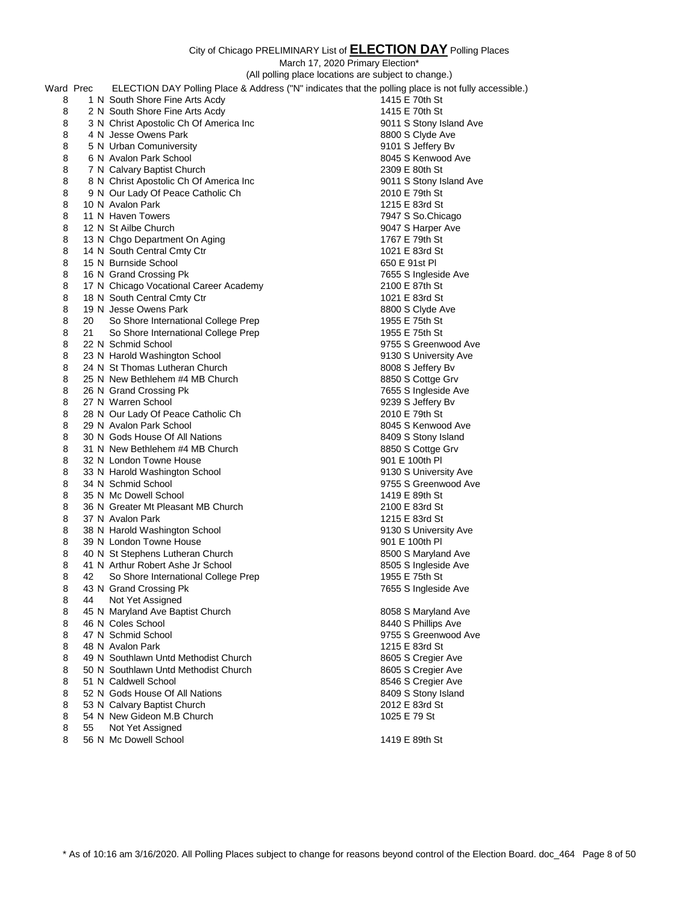|           |    |                                                | March 17, 2020 Primary Election*                                                                     |
|-----------|----|------------------------------------------------|------------------------------------------------------------------------------------------------------|
|           |    |                                                | (All polling place locations are subject to change.)                                                 |
| Ward Prec |    |                                                | ELECTION DAY Polling Place & Address ("N" indicates that the polling place is not fully accessible.) |
| 8         |    | 1 N South Shore Fine Arts Acdy                 | 1415 E 70th St                                                                                       |
| 8         |    | 2 N South Shore Fine Arts Acdy                 | 1415 E 70th St                                                                                       |
| 8         |    | 3 N Christ Apostolic Ch Of America Inc         | 9011 S Stony Island Ave                                                                              |
| 8         |    | 4 N Jesse Owens Park                           | 8800 S Clyde Ave                                                                                     |
| 8         |    | 5 N Urban Comuniversity                        | 9101 S Jeffery Bv                                                                                    |
| 8         |    | 6 N Avalon Park School                         | 8045 S Kenwood Ave                                                                                   |
| 8         |    | 7 N Calvary Baptist Church                     | 2309 E 80th St                                                                                       |
| 8         |    | 8 N Christ Apostolic Ch Of America Inc         | 9011 S Stony Island Ave                                                                              |
| 8         |    | 9 N Our Lady Of Peace Catholic Ch              | 2010 E 79th St                                                                                       |
| 8         |    | 10 N Avalon Park                               | 1215 E 83rd St                                                                                       |
| 8         |    | 11 N Haven Towers                              | 7947 S So.Chicago                                                                                    |
| 8         |    | 12 N St Ailbe Church                           | 9047 S Harper Ave                                                                                    |
| 8         |    | 13 N Chgo Department On Aging                  | 1767 E 79th St                                                                                       |
| 8         |    | 14 N South Central Cmty Ctr                    | 1021 E 83rd St                                                                                       |
| 8         |    | 15 N Burnside School                           | 650 E 91st Pl                                                                                        |
| 8         |    | 16 N Grand Crossing Pk                         | 7655 S Ingleside Ave                                                                                 |
| 8         |    | 17 N Chicago Vocational Career Academy         | 2100 E 87th St                                                                                       |
| 8         |    | 18 N South Central Cmty Ctr                    | 1021 E 83rd St                                                                                       |
| 8         |    | 19 N Jesse Owens Park                          | 8800 S Clyde Ave                                                                                     |
| 8         | 20 | So Shore International College Prep            | 1955 E 75th St                                                                                       |
| 8         | 21 | So Shore International College Prep            | 1955 E 75th St                                                                                       |
| 8         |    | 22 N Schmid School                             | 9755 S Greenwood Ave                                                                                 |
| 8         |    | 23 N Harold Washington School                  | 9130 S University Ave                                                                                |
| 8         |    | 24 N St Thomas Lutheran Church                 | 8008 S Jeffery Bv                                                                                    |
| 8         |    | 25 N New Bethlehem #4 MB Church                | 8850 S Cottge Grv                                                                                    |
| 8         |    | 26 N Grand Crossing Pk                         | 7655 S Ingleside Ave                                                                                 |
| 8         |    | 27 N Warren School                             | 9239 S Jeffery Bv                                                                                    |
| 8         |    | 28 N Our Lady Of Peace Catholic Ch             | 2010 E 79th St                                                                                       |
| 8         |    | 29 N Avalon Park School                        | 8045 S Kenwood Ave                                                                                   |
| 8         |    | 30 N Gods House Of All Nations                 | 8409 S Stony Island                                                                                  |
| 8         |    | 31 N New Bethlehem #4 MB Church                | 8850 S Cottge Grv                                                                                    |
| 8         |    | 32 N London Towne House                        | 901 E 100th PI                                                                                       |
| 8         |    | 33 N Harold Washington School                  | 9130 S University Ave                                                                                |
| 8         |    | 34 N Schmid School                             | 9755 S Greenwood Ave                                                                                 |
| 8         |    | 35 N Mc Dowell School                          | 1419 E 89th St                                                                                       |
| 8         |    | 36 N Greater Mt Pleasant MB Church             | 2100 E 83rd St                                                                                       |
| 8         |    | 37 N Avalon Park                               | 1215 E 83rd St                                                                                       |
| 8         |    | 38 N Harold Washington School                  | 9130 S University Ave                                                                                |
| 8         |    | 39 N London Towne House                        | 901 E 100th PI                                                                                       |
| 8         |    | 40 N St Stephens Lutheran Church               | 8500 S Maryland Ave                                                                                  |
| 8         |    | 41 N Arthur Robert Ashe Jr School              | 8505 S Ingleside Ave                                                                                 |
| 8         | 42 | So Shore International College Prep            | 1955 E 75th St                                                                                       |
| 8         |    | 43 N Grand Crossing Pk                         | 7655 S Ingleside Ave                                                                                 |
| 8         | 44 | Not Yet Assigned                               |                                                                                                      |
| 8         |    | 45 N Maryland Ave Baptist Church               | 8058 S Maryland Ave                                                                                  |
| 8         |    | 46 N Coles School                              | 8440 S Phillips Ave                                                                                  |
| 8         |    | 47 N Schmid School                             | 9755 S Greenwood Ave                                                                                 |
| 8         |    | 48 N Avalon Park                               | 1215 E 83rd St                                                                                       |
| 8         |    | 49 N Southlawn Untd Methodist Church           | 8605 S Cregier Ave                                                                                   |
| 8         |    | 50 N Southlawn Untd Methodist Church           | 8605 S Cregier Ave                                                                                   |
| 8         |    | 51 N Caldwell School                           | 8546 S Cregier Ave                                                                                   |
| 8         |    | 52 N Gods House Of All Nations                 | 8409 S Stony Island<br>2012 E 83rd St                                                                |
| 8         |    | 53 N Calvary Baptist Church                    |                                                                                                      |
| 8         |    | 54 N New Gideon M.B Church<br>Not Yet Assigned | 1025 E 79 St                                                                                         |
| 8         | 55 |                                                |                                                                                                      |

8 56 N Mc Dowell School 2008 1419 E 89th St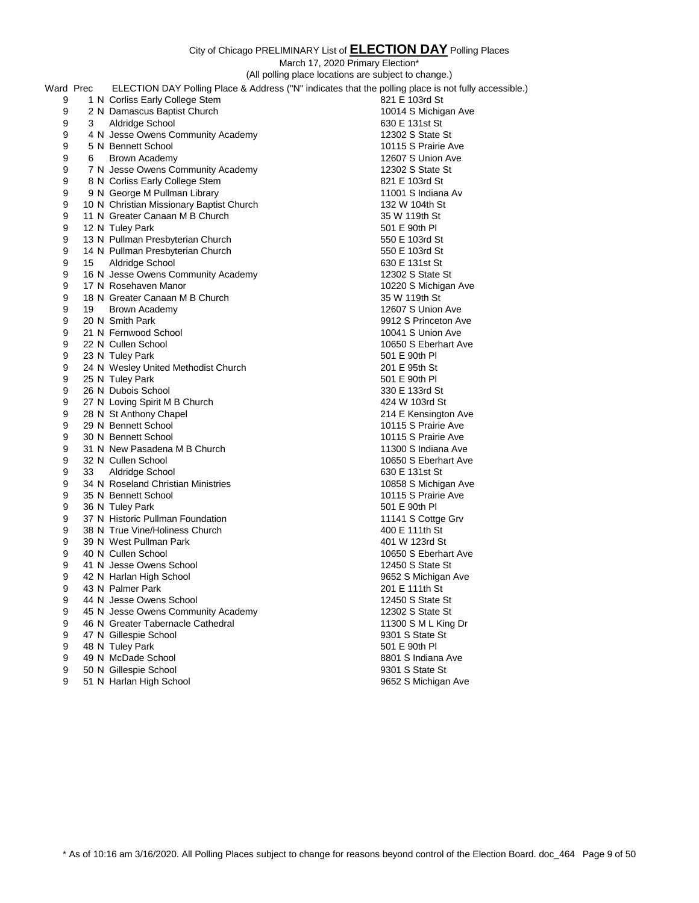March 17, 2020 Primary Election\*

|           | (All polling place locations are subject to change.)                                                 |                      |
|-----------|------------------------------------------------------------------------------------------------------|----------------------|
| Ward Prec | ELECTION DAY Polling Place & Address ("N" indicates that the polling place is not fully accessible.) |                      |
| 9         | 1 N Corliss Early College Stem                                                                       | 821 E 103rd St       |
| 9         | 2 N Damascus Baptist Church                                                                          | 10014 S Michigan Ave |
| 9<br>3    | Aldridge School                                                                                      | 630 E 131st St       |
| 9         | 4 N Jesse Owens Community Academy                                                                    | 12302 S State St     |
| 9         | 5 N Bennett School                                                                                   | 10115 S Prairie Ave  |
| 9<br>6    | Brown Academy                                                                                        | 12607 S Union Ave    |
| 9         | 7 N Jesse Owens Community Academy                                                                    | 12302 S State St     |
| 9         | 8 N Corliss Early College Stem                                                                       | 821 E 103rd St       |
| 9         | 9 N George M Pullman Library                                                                         | 11001 S Indiana Av   |
| 9         | 10 N Christian Missionary Baptist Church                                                             | 132 W 104th St       |
| 9         | 11 N Greater Canaan M B Church                                                                       | 35 W 119th St        |
| 9         | 12 N Tuley Park                                                                                      | 501 E 90th PI        |
| 9         | 13 N Pullman Presbyterian Church                                                                     | 550 E 103rd St       |
| 9         | 14 N Pullman Presbyterian Church                                                                     | 550 E 103rd St       |
| 9<br>15   | Aldridge School                                                                                      | 630 E 131st St       |
| 9         | 16 N Jesse Owens Community Academy                                                                   | 12302 S State St     |
| 9         | 17 N Rosehaven Manor                                                                                 | 10220 S Michigan Ave |
| 9         | 18 N Greater Canaan M B Church                                                                       | 35 W 119th St        |
| 9<br>19   | Brown Academy                                                                                        | 12607 S Union Ave    |
| 9         | 20 N Smith Park                                                                                      | 9912 S Princeton Ave |
| 9         | 21 N Fernwood School                                                                                 | 10041 S Union Ave    |
| 9         | 22 N Cullen School                                                                                   | 10650 S Eberhart Ave |
| 9         | 23 N Tuley Park                                                                                      | 501 E 90th PI        |
| 9         | 24 N Wesley United Methodist Church                                                                  | 201 E 95th St        |
| 9         | 25 N Tuley Park                                                                                      | 501 E 90th PI        |
| 9         | 26 N Dubois School                                                                                   | 330 E 133rd St       |
| 9         | 27 N Loving Spirit M B Church                                                                        | 424 W 103rd St       |
| 9         | 28 N St Anthony Chapel                                                                               | 214 E Kensington Ave |
| 9         | 29 N Bennett School                                                                                  | 10115 S Prairie Ave  |
| 9         | 30 N Bennett School                                                                                  | 10115 S Prairie Ave  |
| 9         | 31 N New Pasadena M B Church                                                                         | 11300 S Indiana Ave  |
| 9         | 32 N Cullen School                                                                                   | 10650 S Eberhart Ave |
| 9<br>33   | Aldridge School                                                                                      | 630 E 131st St       |
| 9         | 34 N Roseland Christian Ministries                                                                   | 10858 S Michigan Ave |
| 9         | 35 N Bennett School                                                                                  | 10115 S Prairie Ave  |
| 9         | 36 N Tuley Park                                                                                      | 501 E 90th PI        |
| 9         | 37 N Historic Pullman Foundation                                                                     | 11141 S Cottge Grv   |
| 9         | 38 N True Vine/Holiness Church                                                                       | 400 E 111th St       |
| 9         | 39 N West Pullman Park                                                                               | 401 W 123rd St       |
| 9         | 40 N Cullen School                                                                                   | 10650 S Eberhart Ave |
| 9         | 41 N Jesse Owens School                                                                              | 12450 S State St     |
| 9         | 42 N Harlan High School                                                                              | 9652 S Michigan Ave  |
| 9         | 43 N Palmer Park                                                                                     | 201 E 111th St       |
| 9         | 44 N Jesse Owens School                                                                              | 12450 S State St     |
| 9         | 45 N Jesse Owens Community Academy                                                                   | 12302 S State St     |
| 9         | 46 N Greater Tabernacle Cathedral                                                                    | 11300 S M L King Dr  |
| 9         | 47 N Gillespie School                                                                                | 9301 S State St      |
| 9         | 48 N Tuley Park                                                                                      | 501 E 90th PI        |
| 9         | 49 N McDade School                                                                                   | 8801 S Indiana Ave   |
| 9         | 50 N Gillespie School                                                                                | 9301 S State St      |

9 51 N Harlan High School 8652 S Michigan Ave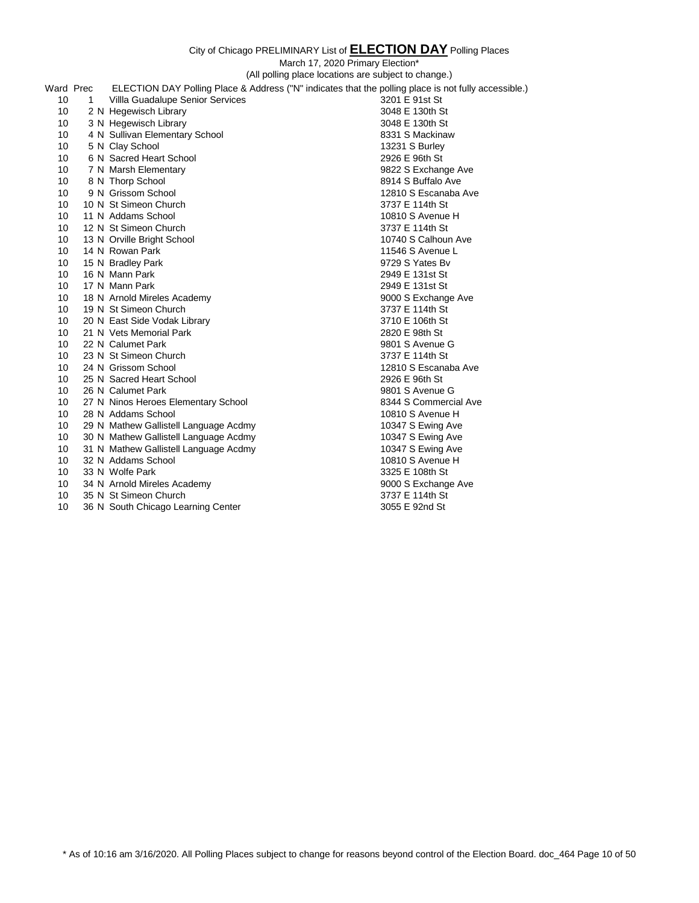March 17, 2020 Primary Election\*

(All polling place locations are subject to change.)

| Ward Prec        |              | ELECTION DAY Polling Place & Address ("N" indicates that the polling place is not fully accessible.) |                       |
|------------------|--------------|------------------------------------------------------------------------------------------------------|-----------------------|
| 10 <sup>10</sup> | $\mathbf{1}$ | Villla Guadalupe Senior Services                                                                     | 3201 E 91st St        |
| 10 <sup>°</sup>  |              | 2 N Hegewisch Library                                                                                | 3048 E 130th St       |
| 10 <sup>°</sup>  |              | 3 N Hegewisch Library                                                                                | 3048 E 130th St       |
| 10               |              | 4 N Sullivan Elementary School                                                                       | 8331 S Mackinaw       |
| 10               |              | 5 N Clay School                                                                                      | 13231 S Burley        |
| 10 <sup>°</sup>  |              | 6 N Sacred Heart School                                                                              | 2926 E 96th St        |
| 10               |              | 7 N Marsh Elementary                                                                                 | 9822 S Exchange Ave   |
| 10               |              | 8 N Thorp School                                                                                     | 8914 S Buffalo Ave    |
| 10 <sup>1</sup>  |              | 9 N Grissom School                                                                                   | 12810 S Escanaba Ave  |
| 10 <sup>°</sup>  |              | 10 N St Simeon Church                                                                                | 3737 E 114th St       |
| 10 <sup>10</sup> |              | 11 N Addams School                                                                                   | 10810 S Avenue H      |
| 10 <sup>10</sup> |              | 12 N St Simeon Church                                                                                | 3737 E 114th St       |
| 10               |              | 13 N Orville Bright School                                                                           | 10740 S Calhoun Ave   |
| 10 <sup>10</sup> |              | 14 N Rowan Park                                                                                      | 11546 S Avenue L      |
| 10 <sup>10</sup> |              | 15 N Bradley Park                                                                                    | 9729 S Yates By       |
| 10 <sup>°</sup>  |              | 16 N Mann Park                                                                                       | 2949 E 131st St       |
| 10 <sup>°</sup>  |              | 17 N Mann Park                                                                                       | 2949 E 131st St       |
| 10 <sup>10</sup> |              | 18 N Arnold Mireles Academy                                                                          | 9000 S Exchange Ave   |
| 10               |              | 19 N St Simeon Church                                                                                | 3737 E 114th St       |
| 10 <sup>°</sup>  |              | 20 N East Side Vodak Library                                                                         | 3710 E 106th St       |
| 10 <sup>10</sup> |              | 21 N Vets Memorial Park                                                                              | 2820 E 98th St        |
| 10 <sup>°</sup>  |              | 22 N Calumet Park                                                                                    | 9801 S Avenue G       |
| 10 <sup>°</sup>  |              | 23 N St Simeon Church                                                                                | 3737 E 114th St       |
| 10 <sup>1</sup>  |              | 24 N Grissom School                                                                                  | 12810 S Escanaba Ave  |
| 10 <sup>°</sup>  |              | 25 N Sacred Heart School                                                                             | 2926 E 96th St        |
| 10 <sup>°</sup>  |              | 26 N Calumet Park                                                                                    | 9801 S Avenue G       |
| 10 <sup>°</sup>  |              | 27 N Ninos Heroes Elementary School                                                                  | 8344 S Commercial Ave |
| 10 <sup>°</sup>  |              | 28 N Addams School                                                                                   | 10810 S Avenue H      |
| 10               |              | 29 N Mathew Gallistell Language Acdmy                                                                | 10347 S Ewing Ave     |
| 10 <sup>10</sup> |              | 30 N Mathew Gallistell Language Acdmy                                                                | 10347 S Ewing Ave     |
| 10 <sup>10</sup> |              | 31 N Mathew Gallistell Language Acdmy                                                                | 10347 S Ewing Ave     |
| 10 <sup>10</sup> |              | 32 N Addams School                                                                                   | 10810 S Avenue H      |
| 10 <sup>°</sup>  |              | 33 N Wolfe Park                                                                                      | 3325 E 108th St       |
| 10               |              | 34 N Arnold Mireles Academy                                                                          | 9000 S Exchange Ave   |
| 10 <sup>°</sup>  |              | 35 N St Simeon Church                                                                                | 3737 E 114th St       |
| 10               |              | 36 N South Chicago Learning Center                                                                   | 3055 E 92nd St        |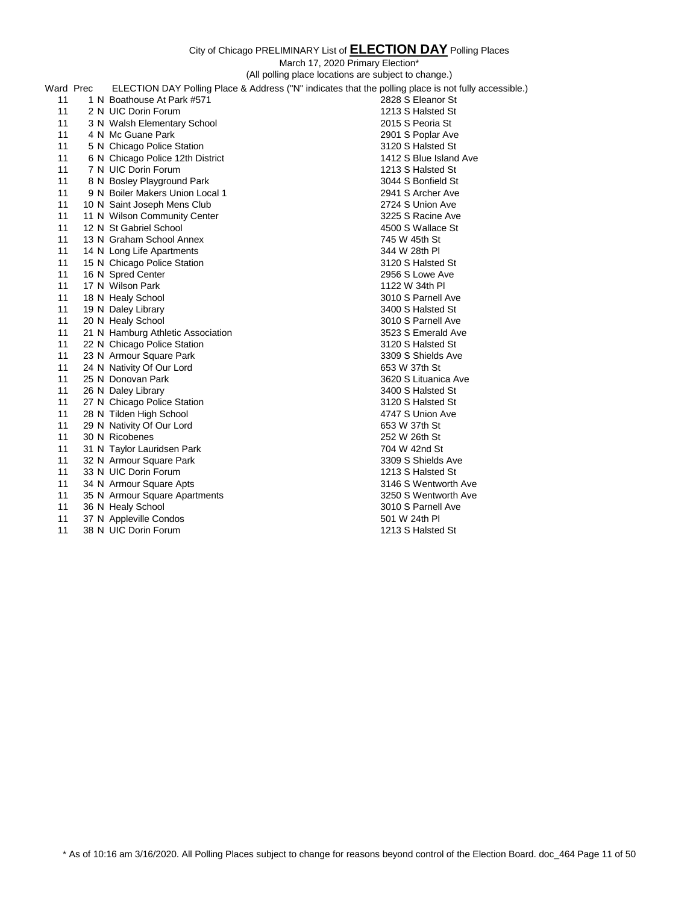|           | (All polling place locations are subject to change.)                                                 |                        |
|-----------|------------------------------------------------------------------------------------------------------|------------------------|
| Ward Prec | ELECTION DAY Polling Place & Address ("N" indicates that the polling place is not fully accessible.) |                        |
| 11        | 1 N Boathouse At Park #571                                                                           | 2828 S Eleanor St      |
| 11        | 2 N UIC Dorin Forum                                                                                  | 1213 S Halsted St      |
| 11        | 3 N Walsh Elementary School                                                                          | 2015 S Peoria St       |
| 11        | 4 N Mc Guane Park                                                                                    | 2901 S Poplar Ave      |
| 11        | 5 N Chicago Police Station                                                                           | 3120 S Halsted St      |
| 11        | 6 N Chicago Police 12th District                                                                     | 1412 S Blue Island Ave |
| 11        | 7 N UIC Dorin Forum                                                                                  | 1213 S Halsted St      |
| 11        | 8 N Bosley Playground Park                                                                           | 3044 S Bonfield St     |
| 11        | 9 N Boiler Makers Union Local 1                                                                      | 2941 S Archer Ave      |
| 11        | 10 N Saint Joseph Mens Club                                                                          | 2724 S Union Ave       |
| 11        | 11 N Wilson Community Center                                                                         | 3225 S Racine Ave      |
| 11        | 12 N St Gabriel School                                                                               | 4500 S Wallace St      |
| 11        | 13 N Graham School Annex                                                                             | 745 W 45th St          |
| 11        | 14 N Long Life Apartments                                                                            | 344 W 28th PI          |
| 11        | 15 N Chicago Police Station                                                                          | 3120 S Halsted St      |
| 11        | 16 N Spred Center                                                                                    | 2956 S Lowe Ave        |
| 11        | 17 N Wilson Park                                                                                     | 1122 W 34th PI         |
| 11        | 18 N Healy School                                                                                    | 3010 S Parnell Ave     |
| 11        | 19 N Daley Library                                                                                   | 3400 S Halsted St      |
| 11        | 20 N Healy School                                                                                    | 3010 S Parnell Ave     |
| 11        | 21 N Hamburg Athletic Association                                                                    | 3523 S Emerald Ave     |
| 11        | 22 N Chicago Police Station                                                                          | 3120 S Halsted St      |
| 11        | 23 N Armour Square Park                                                                              | 3309 S Shields Ave     |
| 11        | 24 N Nativity Of Our Lord                                                                            | 653 W 37th St          |
| 11        | 25 N Donovan Park                                                                                    | 3620 S Lituanica Ave   |
| 11        | 26 N Daley Library                                                                                   | 3400 S Halsted St      |
| 11        | 27 N Chicago Police Station                                                                          | 3120 S Halsted St      |
| 11        | 28 N Tilden High School                                                                              | 4747 S Union Ave       |
| 11        | 29 N Nativity Of Our Lord                                                                            | 653 W 37th St          |
| 11        | 30 N Ricobenes                                                                                       | 252 W 26th St          |
| 11        | 31 N Taylor Lauridsen Park                                                                           | 704 W 42nd St          |
| 11        | 32 N Armour Square Park                                                                              | 3309 S Shields Ave     |
| 11        | 33 N UIC Dorin Forum                                                                                 | 1213 S Halsted St      |
| 11        | 34 N Armour Square Apts                                                                              | 3146 S Wentworth Ave   |
| 11        | 35 N Armour Square Apartments                                                                        | 3250 S Wentworth Ave   |
| 11        | 36 N Healy School                                                                                    | 3010 S Parnell Ave     |
| 11        | 37 N Appleville Condos                                                                               | 501 W 24th PI          |
| 11        | 38 N UIC Dorin Forum                                                                                 | 1213 S Halsted St      |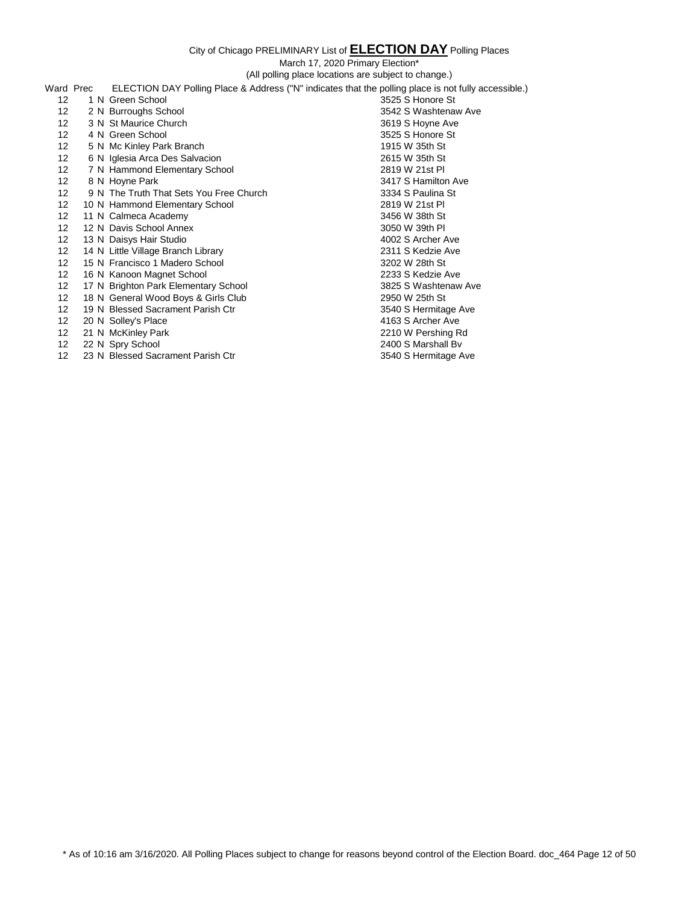March 17, 2020 Primary Election\*

(All polling place locations are subject to change.) Ward Prec ELECTION DAY Polling Place & Address ("N" indicates that the polling place is not fully accessible.) 12 1 N Green School 3525 S Honore St 12 2 N Burroughs School 3542 S Washtenaw Ave 12 3 N St Maurice Church 3619 S Hoyne Ave 12 4 N Green School 3525 S Honore St 12 5 N Mc Kinley Park Branch 1915 W 35th St 12 6 N Iglesia Arca Des Salvacion 2615 W 35th St 12 7 N Hammond Elementary School 2819 W 21st Pl 2819 W 21st Pl 3417 S Hamilton 12 8 N Hoyne Park 3417 S Hamilton Ave 12 9 N The Truth That Sets You Free Church 3334 S Paulina St<br>12 10 N Hammond Elementary School 3819 V 2819 W 21st Pl 12 10 N Hammond Elementary School 2819 W 21st Pl 12 11 N Calmeca Academy 3456 W 38th St 12 12 N Davis School Annex 3050 W 39th Pl 12 13 N Daisys Hair Studio 4002 S Archer Ave 12 14 N Little Village Branch Library 2311 S Kedzie Ave 12 15 N Francisco 1 Madero School 3202 W 28th St 12 16 N Kanoon Magnet School 2233 S Kedzie Ave 12 17 N Brighton Park Elementary School 3825 S Washtenaw Ave 12 18 N General Wood Boys & Girls Club 2950 W 25th St 12 19 N Blessed Sacrament Parish Ctr 3540 S Hermitage Ave 12 20 N Solley's Place 12 21 N McKinley Park 12 21 N McKinley Park 12 21 N McKinley Park 12 210 W Pershing Rd 12 21 N McKinley Park 12 22 N Spry School 2400 S Marshall Bv 12 23 N Blessed Sacrament Parish Ctr 3540 S Hermitage Ave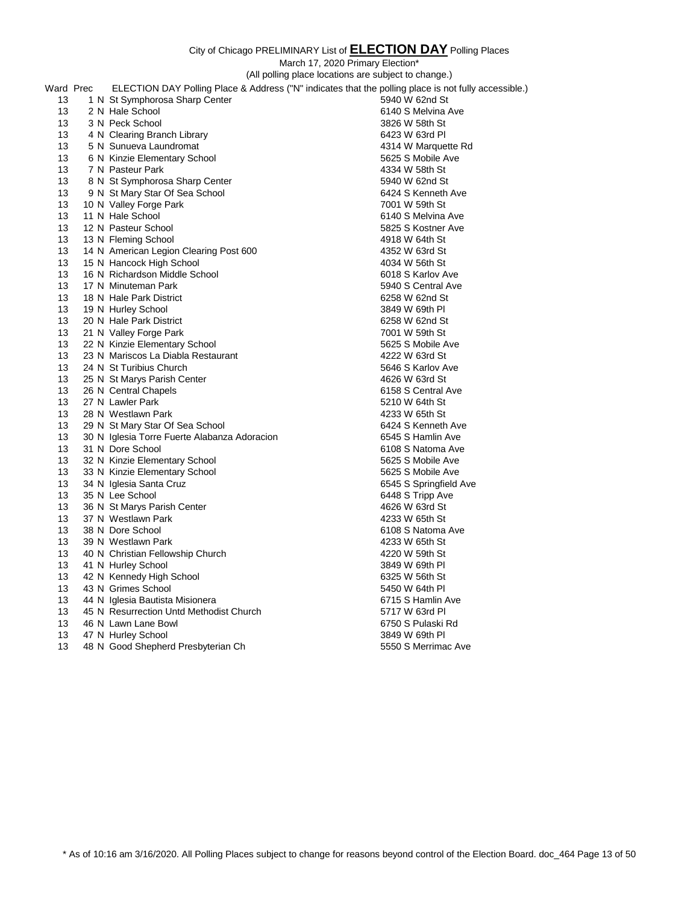### **Y** Polling Places

|           |                                              | City of Chicago PRELIMINARY List of <b>ELECTION DAY</b> Polling Places                               |
|-----------|----------------------------------------------|------------------------------------------------------------------------------------------------------|
|           |                                              | March 17, 2020 Primary Election*                                                                     |
|           |                                              | (All polling place locations are subject to change.)                                                 |
| Ward Prec |                                              | ELECTION DAY Polling Place & Address ("N" indicates that the polling place is not fully accessible.) |
| 13        | 1 N St Symphorosa Sharp Center               | 5940 W 62nd St                                                                                       |
| 13        | 2 N Hale School                              | 6140 S Melvina Ave                                                                                   |
| 13        | 3 N Peck School                              | 3826 W 58th St                                                                                       |
| 13        | 4 N Clearing Branch Library                  | 6423 W 63rd PI                                                                                       |
| 13        | 5 N Sunueva Laundromat                       | 4314 W Marquette Rd                                                                                  |
| 13        | 6 N Kinzie Elementary School                 | 5625 S Mobile Ave                                                                                    |
| 13        | 7 N Pasteur Park                             | 4334 W 58th St                                                                                       |
| 13        | 8 N St Symphorosa Sharp Center               | 5940 W 62nd St                                                                                       |
| 13        | 9 N St Mary Star Of Sea School               | 6424 S Kenneth Ave                                                                                   |
| 13        | 10 N Valley Forge Park                       | 7001 W 59th St                                                                                       |
| 13        | 11 N Hale School                             | 6140 S Melvina Ave                                                                                   |
| 13        | 12 N Pasteur School                          | 5825 S Kostner Ave                                                                                   |
| 13        | 13 N Fleming School                          | 4918 W 64th St                                                                                       |
| 13        | 14 N American Legion Clearing Post 600       | 4352 W 63rd St                                                                                       |
| 13        | 15 N Hancock High School                     | 4034 W 56th St                                                                                       |
| 13        | 16 N Richardson Middle School                | 6018 S Karlov Ave                                                                                    |
| 13        | 17 N Minuteman Park                          | 5940 S Central Ave                                                                                   |
| 13        | 18 N Hale Park District                      | 6258 W 62nd St                                                                                       |
| 13        | 19 N Hurley School                           | 3849 W 69th PI                                                                                       |
| 13        | 20 N Hale Park District                      | 6258 W 62nd St                                                                                       |
| 13        | 21 N Valley Forge Park                       | 7001 W 59th St                                                                                       |
| 13        | 22 N Kinzie Elementary School                | 5625 S Mobile Ave                                                                                    |
| 13        | 23 N Mariscos La Diabla Restaurant           | 4222 W 63rd St                                                                                       |
| 13        | 24 N St Turibius Church                      | 5646 S Karlov Ave                                                                                    |
| 13        | 25 N St Marys Parish Center                  | 4626 W 63rd St                                                                                       |
| 13<br>13  | 26 N Central Chapels<br>27 N Lawler Park     | 6158 S Central Ave                                                                                   |
| 13        | 28 N Westlawn Park                           | 5210 W 64th St<br>4233 W 65th St                                                                     |
| 13        | 29 N St Mary Star Of Sea School              | 6424 S Kenneth Ave                                                                                   |
| 13        | 30 N Iglesia Torre Fuerte Alabanza Adoracion | 6545 S Hamlin Ave                                                                                    |
| 13        | 31 N Dore School                             | 6108 S Natoma Ave                                                                                    |
| 13        | 32 N Kinzie Elementary School                | 5625 S Mobile Ave                                                                                    |
| 13        | 33 N Kinzie Elementary School                | 5625 S Mobile Ave                                                                                    |
| 13        | 34 N Iglesia Santa Cruz                      | 6545 S Springfield Ave                                                                               |
| 13        | 35 N Lee School                              | 6448 S Tripp Ave                                                                                     |
| 13        | 36 N St Marys Parish Center                  | 4626 W 63rd St                                                                                       |
| 13        | 37 N Westlawn Park                           | 4233 W 65th St                                                                                       |
| 13        | 38 N Dore School                             | 6108 S Natoma Ave                                                                                    |
| 13        | 39 N Westlawn Park                           | 4233 W 65th St                                                                                       |
| 13        | 40 N Christian Fellowship Church             | 4220 W 59th St                                                                                       |
| 13        | 41 N Hurley School                           | 3849 W 69th PI                                                                                       |

 42 N Kennedy High School 6325 W 56th St 13 43 N Grimes School 5450 W 64th Pl 13 44 N Iglesia Bautista Misionera **6715 State 12 and 13 44 N** Iglesia Bautista Misionera 13 45 N Resurrection Untd Methodist Church 6717 W 63rd Pl 46 N Lawn Lane Bowl 6750 S Pulaski Rd 47 N Hurley School 3849 W 69th Pl 13 48 N Good Shepherd Presbyterian Ch 5550 S Merrimac Ave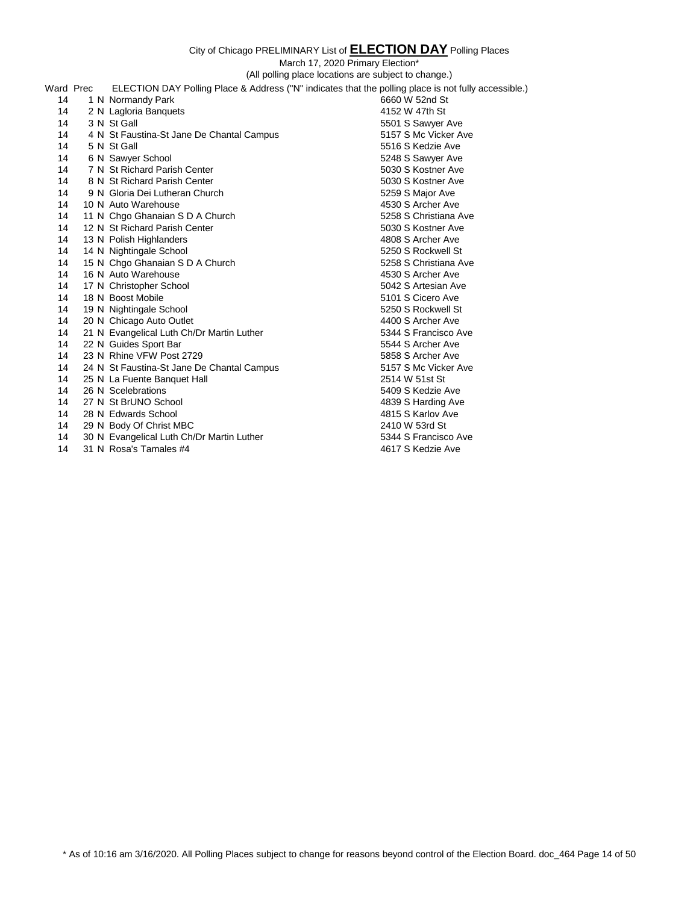March 17, 2020 Primary Election\*

(All polling place locations are subject to change.)

|           | this pointing place locations are subject to change.                                                 |                       |
|-----------|------------------------------------------------------------------------------------------------------|-----------------------|
| Ward Prec | ELECTION DAY Polling Place & Address ("N" indicates that the polling place is not fully accessible.) |                       |
| 14        | 1 N Normandy Park                                                                                    | 6660 W 52nd St        |
| 14        | 2 N Lagloria Banquets                                                                                | 4152 W 47th St        |
| 14        | 3 N St Gall                                                                                          | 5501 S Sawyer Ave     |
| 14        | 4 N St Faustina-St Jane De Chantal Campus                                                            | 5157 S Mc Vicker Ave  |
| 14        | 5 N St Gall                                                                                          | 5516 S Kedzie Ave     |
| 14        | 6 N Sawyer School                                                                                    | 5248 S Sawyer Ave     |
| 14        | 7 N St Richard Parish Center                                                                         | 5030 S Kostner Ave    |
| 14        | 8 N St Richard Parish Center                                                                         | 5030 S Kostner Ave    |
| 14        | 9 N Gloria Dei Lutheran Church                                                                       | 5259 S Major Ave      |
| 14        | 10 N Auto Warehouse                                                                                  | 4530 S Archer Ave     |
| 14        | 11 N Chgo Ghanaian S D A Church                                                                      | 5258 S Christiana Ave |
| 14        | 12 N St Richard Parish Center                                                                        | 5030 S Kostner Ave    |
| 14        | 13 N Polish Highlanders                                                                              | 4808 S Archer Ave     |
| 14        | 14 N Nightingale School                                                                              | 5250 S Rockwell St    |
| 14        | 15 N Chgo Ghanaian S D A Church                                                                      | 5258 S Christiana Ave |
| 14        | 16 N Auto Warehouse                                                                                  | 4530 S Archer Ave     |
| 14        | 17 N Christopher School                                                                              | 5042 S Artesian Ave   |
| 14        | 18 N Boost Mobile                                                                                    | 5101 S Cicero Ave     |
| 14        | 19 N Nightingale School                                                                              | 5250 S Rockwell St    |
| 14        | 20 N Chicago Auto Outlet                                                                             | 4400 S Archer Ave     |
| 14        | 21 N Evangelical Luth Ch/Dr Martin Luther                                                            | 5344 S Francisco Ave  |
| 14        | 22 N Guides Sport Bar                                                                                | 5544 S Archer Ave     |
| 14        | 23 N Rhine VFW Post 2729                                                                             | 5858 S Archer Ave     |
| 14        | 24 N St Faustina-St Jane De Chantal Campus                                                           | 5157 S Mc Vicker Ave  |
| 14        | 25 N La Fuente Banquet Hall                                                                          | 2514 W 51st St        |
| 14        | 26 N Scelebrations                                                                                   | 5409 S Kedzie Ave     |
| 14        | 27 N St BrUNO School                                                                                 | 4839 S Harding Ave    |
| 14        | 28 N Edwards School                                                                                  | 4815 S Karlov Ave     |
| 14        | 29 N Body Of Christ MBC                                                                              | 2410 W 53rd St        |
| 14        | 30 N Evangelical Luth Ch/Dr Martin Luther                                                            | 5344 S Francisco Ave  |

11 Communist Examples Have Communist Plants Communist Communist Communist Communist Communist Communist Communist Communist Communist Communist Communist Communist Communist Communist Communist Communist Communist Communis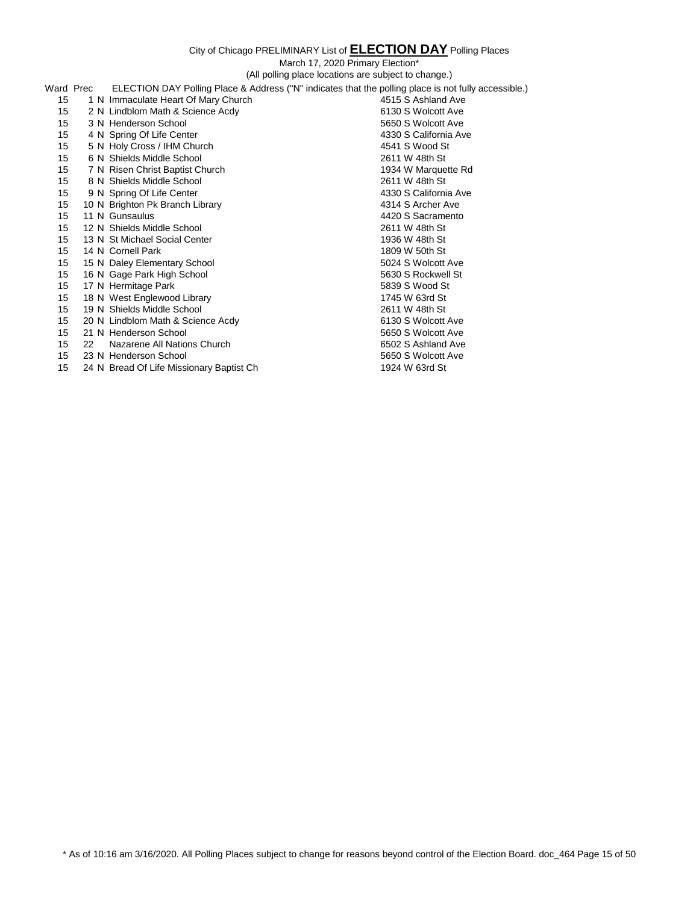|                  |    | (All polling place locations are subject to change.)                                                 |                       |
|------------------|----|------------------------------------------------------------------------------------------------------|-----------------------|
| Ward Prec        |    | ELECTION DAY Polling Place & Address ("N" indicates that the polling place is not fully accessible.) |                       |
| 15               |    | 1 N Immaculate Heart Of Mary Church                                                                  | 4515 S Ashland Ave    |
| 15               |    | 2 N Lindblom Math & Science Acdy                                                                     | 6130 S Wolcott Ave    |
| 15               |    | 3 N Henderson School                                                                                 | 5650 S Wolcott Ave    |
| 15               |    | 4 N Spring Of Life Center                                                                            | 4330 S California Ave |
| 15               |    | 5 N Holy Cross / IHM Church                                                                          | 4541 S Wood St        |
| 15               |    | 6 N Shields Middle School                                                                            | 2611 W 48th St        |
| 15               |    | 7 N Risen Christ Baptist Church                                                                      | 1934 W Marquette Rd   |
| 15               |    | 8 N Shields Middle School                                                                            | 2611 W 48th St        |
| 15               |    | 9 N Spring Of Life Center                                                                            | 4330 S California Ave |
| 15               |    | 10 N Brighton Pk Branch Library                                                                      | 4314 S Archer Ave     |
| 15               |    | 11 N Gunsaulus                                                                                       | 4420 S Sacramento     |
| 15               |    | 12 N Shields Middle School                                                                           | 2611 W 48th St        |
| 15               |    | 13 N St Michael Social Center                                                                        | 1936 W 48th St        |
| 15               |    | 14 N Cornell Park                                                                                    | 1809 W 50th St        |
| 15               |    | 15 N Daley Elementary School                                                                         | 5024 S Wolcott Ave    |
| 15               |    | 16 N Gage Park High School                                                                           | 5630 S Rockwell St    |
| 15               |    | 17 N Hermitage Park                                                                                  | 5839 S Wood St        |
| 15               |    | 18 N West Englewood Library                                                                          | 1745 W 63rd St        |
| 15               |    | 19 N Shields Middle School                                                                           | 2611 W 48th St        |
| 15 <sub>15</sub> |    | 20 N Lindblom Math & Science Acdy                                                                    | 6130 S Wolcott Ave    |
| 15               |    | 21 N Henderson School                                                                                | 5650 S Wolcott Ave    |
| 15               | 22 | Nazarene All Nations Church                                                                          | 6502 S Ashland Ave    |
| 15               |    | 23 N Henderson School                                                                                | 5650 S Wolcott Ave    |
| 15               |    | 24 N Bread Of Life Missionary Baptist Ch                                                             | 1924 W 63rd St        |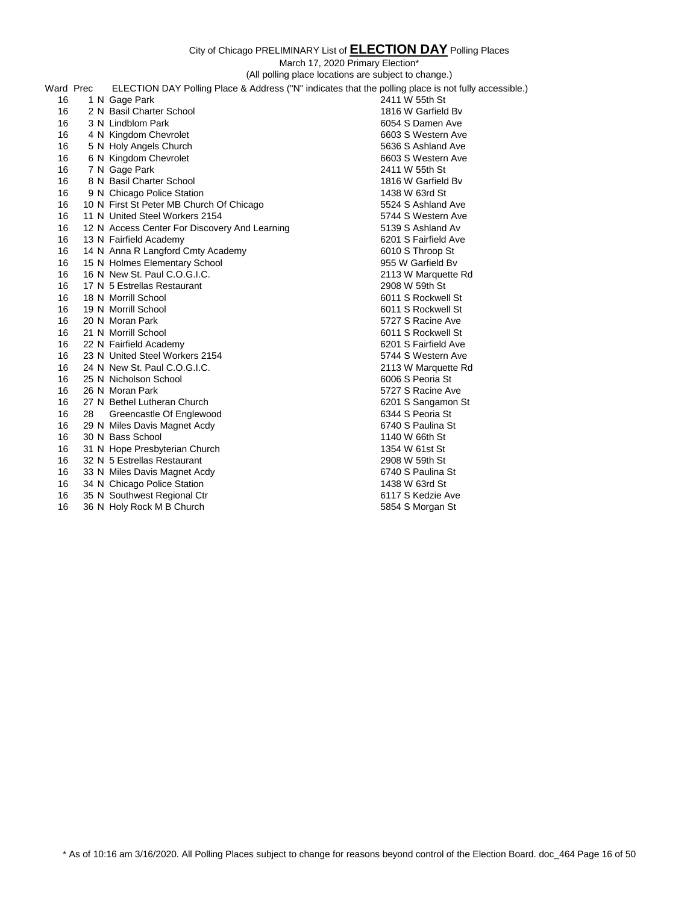March 17, 2020 Primary Election\*

(All polling place locations are subject to change.) Ward Prec ELECTION DAY Polling Place & Address ("N" indicates that the polling place is not fully accessible.) 16 1 N Gage Park 2411 W 55th St 16 2 N Basil Charter School 1816 W Garfield Bv 16 3 N Lindblom Park 6054 S Damen Ave 16 4 N Kingdom Chevrolet **6603** S Western Ave 16 5 N Holy Angels Church 5636 S Ashland Ave 16 6 N Kingdom Chevrolet 6603 S Western Ave 16 7 N Gage Park 2411 W 55th St 16 8 N Basil Charter School 1816 W Garfield Bv 16 9 N Chicago Police Station<br>16 10 N First St Peter MB Church Of Chicago<br>16 10 N First St Peter MB Church Of Chicago 16 10 N First St Peter MB Church Of Chicago 5524 S Ashland Ave 16 11 N United Steel Workers 2154 5744 S Western Ave 16 12 N Access Center For Discovery And Learning 5139 S Ashland Av 16 13 N Fairfield Academy 6201 S Fairfield Ave 16 14 N Anna R Langford Cmty Academy 6010 S Throop St 16 15 N Holmes Elementary School 955 W Garfield Bv 16 16 N New St. Paul C.O.G.I.C. 2113 W Marquette Rd 16 17 N 5 Estrellas Restaurant 2908 W 59th St 16 18 N Morrill School 6011 S Rockwell St 16 19 N Morrill School 6011 S Rockwell St 16 20 N Moran Park 5727 S Racine Ave 16 21 N Morrill School 6011 S Rockwell St 16 22 N Fairfield Academy 6201 S Fairfield Ave 16 23 N United Steel Workers 2154 5744 S Western Ave 16 24 N New St. Paul C.O.G.I.C. 2113 W Marquette Rd 16 25 N Nicholson School 6006 S Peoria St 16 26 N Moran Park 5727 S Racine Ave 16 27 N Bethel Lutheran Church 6201 S Sangamon St 16 28 Greencastle Of Englewood<br>16 29 N Miles Davis Magnet Acdy 6740 S Paulina St 16 29 N Miles Davis Magnet Acdy 16 30 N Bass School 1140 W 66th St 16 31 N Hope Presbyterian Church 1354 W 61st St 16 32 N 5 Estrellas Restaurant 2908 W 59th St 16 33 N Miles Davis Magnet Acdy 6740 S Paulina St 16 34 N Chicago Police Station 16 20 1438 W 63rd St 16 35 N Southwest Regional Ctr 6117 S Kedzie Ave 16 36 N Holy Rock M B Church 5854 S Morgan St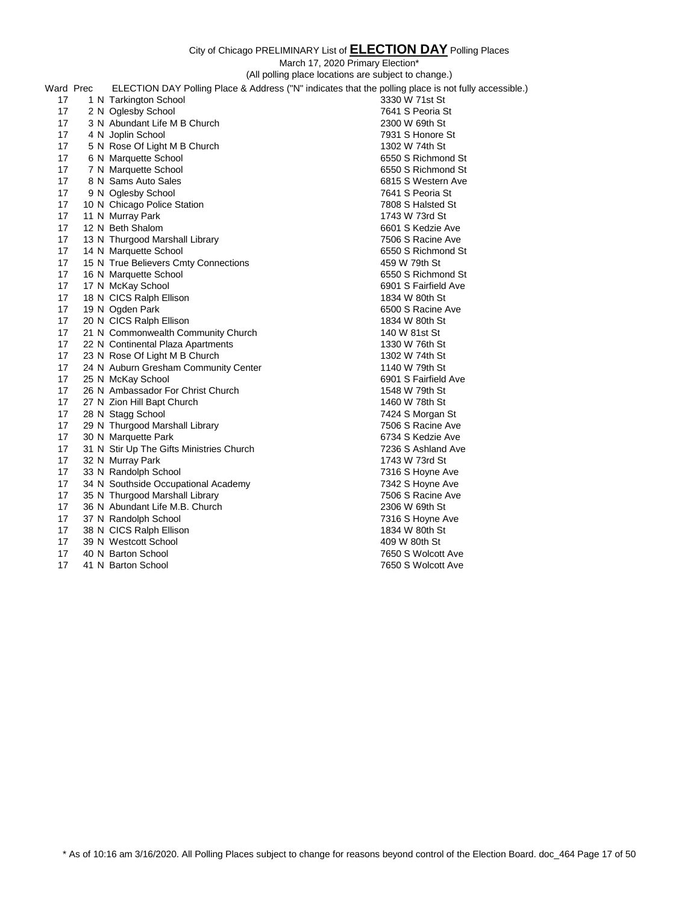March 17, 2020 Primary Election\*

|           | (All polling place locations are subject to change.) |                                                                                                      |                      |
|-----------|------------------------------------------------------|------------------------------------------------------------------------------------------------------|----------------------|
| Ward Prec |                                                      | ELECTION DAY Polling Place & Address ("N" indicates that the polling place is not fully accessible.) |                      |
| 17        |                                                      | 1 N Tarkington School                                                                                | 3330 W 71st St       |
| 17        |                                                      | 2 N Oglesby School                                                                                   | 7641 S Peoria St     |
| 17        |                                                      | 3 N Abundant Life M B Church                                                                         | 2300 W 69th St       |
| 17        |                                                      | 4 N Joplin School                                                                                    | 7931 S Honore St     |
| 17        |                                                      | 5 N Rose Of Light M B Church                                                                         | 1302 W 74th St       |
| 17        |                                                      | 6 N Marquette School                                                                                 | 6550 S Richmond St   |
| 17        |                                                      | 7 N Marquette School                                                                                 | 6550 S Richmond St   |
| 17        |                                                      | 8 N Sams Auto Sales                                                                                  | 6815 S Western Ave   |
| 17        |                                                      | 9 N Oglesby School                                                                                   | 7641 S Peoria St     |
| 17        |                                                      | 10 N Chicago Police Station                                                                          | 7808 S Halsted St    |
| 17        |                                                      | 11 N Murray Park                                                                                     | 1743 W 73rd St       |
| 17        |                                                      | 12 N Beth Shalom                                                                                     | 6601 S Kedzie Ave    |
| 17        |                                                      | 13 N Thurgood Marshall Library                                                                       | 7506 S Racine Ave    |
| 17        |                                                      | 14 N Marquette School                                                                                | 6550 S Richmond St   |
| 17        |                                                      | 15 N True Believers Cmty Connections                                                                 | 459 W 79th St        |
| 17        |                                                      | 16 N Marquette School                                                                                | 6550 S Richmond St   |
| 17        |                                                      | 17 N McKay School                                                                                    | 6901 S Fairfield Ave |
| 17        |                                                      | 18 N CICS Ralph Ellison                                                                              | 1834 W 80th St       |
| 17        |                                                      | 19 N Ogden Park                                                                                      | 6500 S Racine Ave    |
| 17        |                                                      | 20 N CICS Ralph Ellison                                                                              | 1834 W 80th St       |
| 17        |                                                      | 21 N Commonwealth Community Church                                                                   | 140 W 81st St        |
| 17        |                                                      | 22 N Continental Plaza Apartments                                                                    | 1330 W 76th St       |
| 17        |                                                      | 23 N Rose Of Light M B Church                                                                        | 1302 W 74th St       |
| 17        |                                                      | 24 N Auburn Gresham Community Center                                                                 | 1140 W 79th St       |
| 17        |                                                      | 25 N McKay School                                                                                    | 6901 S Fairfield Ave |
| 17        |                                                      | 26 N Ambassador For Christ Church                                                                    | 1548 W 79th St       |
| 17        |                                                      | 27 N Zion Hill Bapt Church                                                                           | 1460 W 78th St       |
| 17        |                                                      | 28 N Stagg School                                                                                    | 7424 S Morgan St     |
| 17        |                                                      | 29 N Thurgood Marshall Library                                                                       | 7506 S Racine Ave    |
| 17        |                                                      | 30 N Marquette Park                                                                                  | 6734 S Kedzie Ave    |
| 17        |                                                      | 31 N Stir Up The Gifts Ministries Church                                                             | 7236 S Ashland Ave   |
| 17        |                                                      | 32 N Murray Park                                                                                     | 1743 W 73rd St       |
| 17        |                                                      | 33 N Randolph School                                                                                 | 7316 S Hoyne Ave     |
| 17        |                                                      | 34 N Southside Occupational Academy                                                                  | 7342 S Hoyne Ave     |
| 17        |                                                      | 35 N Thurgood Marshall Library                                                                       | 7506 S Racine Ave    |
| 17        |                                                      | 36 N Abundant Life M.B. Church                                                                       | 2306 W 69th St       |
| 17        |                                                      | 37 N Randolph School                                                                                 | 7316 S Hoyne Ave     |
| 17        |                                                      | 38 N CICS Ralph Ellison                                                                              | 1834 W 80th St       |
| 17        |                                                      | 39 N Westcott School                                                                                 | 409 W 80th St        |
| 17        |                                                      | 40 N Barton School                                                                                   | 7650 S Wolcott Ave   |

41 N Barton School 7650 S Wolcott Ave

\* As of 10:16 am 3/16/2020. All Polling Places subject to change for reasons beyond control of the Election Board. doc\_464 Page 17 of 50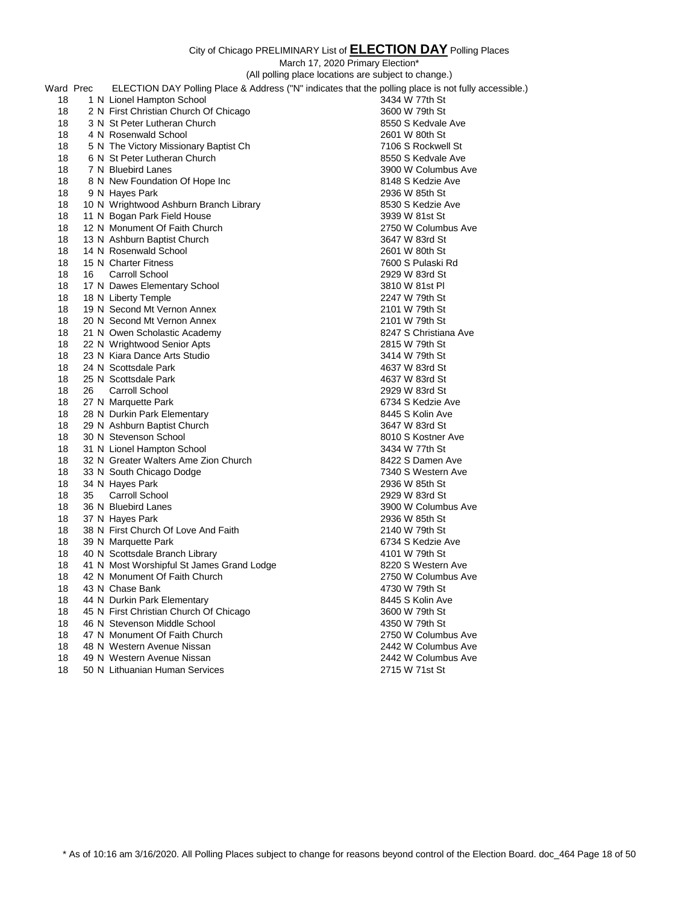March 17, 2020 Primary Election\*

|    |           |                                           | March 17, 2020 Primary Election*                                                                     |
|----|-----------|-------------------------------------------|------------------------------------------------------------------------------------------------------|
|    |           |                                           | (All polling place locations are subject to change.)                                                 |
|    | Ward Prec |                                           | ELECTION DAY Polling Place & Address ("N" indicates that the polling place is not fully accessible.) |
| 18 |           | 1 N Lionel Hampton School                 | 3434 W 77th St                                                                                       |
| 18 |           | 2 N First Christian Church Of Chicago     | 3600 W 79th St                                                                                       |
| 18 |           | 3 N St Peter Lutheran Church              | 8550 S Kedvale Ave                                                                                   |
| 18 |           | 4 N Rosenwald School                      | 2601 W 80th St                                                                                       |
| 18 |           | 5 N The Victory Missionary Baptist Ch     | 7106 S Rockwell St                                                                                   |
| 18 |           | 6 N St Peter Lutheran Church              | 8550 S Kedvale Ave                                                                                   |
| 18 |           | 7 N Bluebird Lanes                        | 3900 W Columbus Ave                                                                                  |
| 18 |           | 8 N New Foundation Of Hope Inc            | 8148 S Kedzie Ave                                                                                    |
| 18 |           | 9 N Hayes Park                            | 2936 W 85th St                                                                                       |
| 18 |           | 10 N Wrightwood Ashburn Branch Library    | 8530 S Kedzie Ave                                                                                    |
| 18 |           | 11 N Bogan Park Field House               | 3939 W 81st St                                                                                       |
| 18 |           | 12 N Monument Of Faith Church             | 2750 W Columbus Ave                                                                                  |
| 18 |           | 13 N Ashburn Baptist Church               | 3647 W 83rd St                                                                                       |
| 18 |           | 14 N Rosenwald School                     | 2601 W 80th St                                                                                       |
| 18 |           | 15 N Charter Fitness                      | 7600 S Pulaski Rd                                                                                    |
| 18 | 16        | <b>Carroll School</b>                     | 2929 W 83rd St                                                                                       |
| 18 |           | 17 N Dawes Elementary School              | 3810 W 81st PI                                                                                       |
| 18 |           | 18 N Liberty Temple                       | 2247 W 79th St                                                                                       |
| 18 |           | 19 N Second Mt Vernon Annex               | 2101 W 79th St                                                                                       |
| 18 |           | 20 N Second Mt Vernon Annex               | 2101 W 79th St                                                                                       |
| 18 |           | 21 N Owen Scholastic Academy              | 8247 S Christiana Ave                                                                                |
| 18 |           | 22 N Wrightwood Senior Apts               | 2815 W 79th St                                                                                       |
| 18 |           | 23 N Kiara Dance Arts Studio              | 3414 W 79th St                                                                                       |
| 18 |           | 24 N Scottsdale Park                      | 4637 W 83rd St                                                                                       |
| 18 |           | 25 N Scottsdale Park                      | 4637 W 83rd St                                                                                       |
| 18 | 26        | Carroll School                            | 2929 W 83rd St                                                                                       |
| 18 |           | 27 N Marquette Park                       | 6734 S Kedzie Ave                                                                                    |
| 18 |           | 28 N Durkin Park Elementary               | 8445 S Kolin Ave                                                                                     |
| 18 |           | 29 N Ashburn Baptist Church               | 3647 W 83rd St                                                                                       |
| 18 |           | 30 N Stevenson School                     | 8010 S Kostner Ave                                                                                   |
| 18 |           | 31 N Lionel Hampton School                | 3434 W 77th St                                                                                       |
| 18 |           | 32 N Greater Walters Ame Zion Church      | 8422 S Damen Ave                                                                                     |
| 18 |           | 33 N South Chicago Dodge                  | 7340 S Western Ave                                                                                   |
| 18 |           | 34 N Hayes Park                           | 2936 W 85th St                                                                                       |
| 18 | 35        | Carroll School                            | 2929 W 83rd St                                                                                       |
| 18 |           | 36 N Bluebird Lanes                       | 3900 W Columbus Ave                                                                                  |
| 18 |           | 37 N Hayes Park                           | 2936 W 85th St                                                                                       |
| 18 |           | 38 N First Church Of Love And Faith       | 2140 W 79th St                                                                                       |
| 18 |           | 39 N Marquette Park                       | 6734 S Kedzie Ave                                                                                    |
| 18 |           | 40 N Scottsdale Branch Library            | 4101 W 79th St                                                                                       |
| 18 |           | 41 N Most Worshipful St James Grand Lodge | 8220 S Western Ave                                                                                   |
| 18 |           | 42 N Monument Of Faith Church             | 2750 W Columbus Ave                                                                                  |
| 18 |           | 43 N Chase Bank                           | 4730 W 79th St                                                                                       |
| 18 |           | 44 N Durkin Park Elementary               | 8445 S Kolin Ave                                                                                     |
| 18 |           | 45 N First Christian Church Of Chicago    | 3600 W 79th St                                                                                       |
| 18 |           | 46 N Stevenson Middle School              | 4350 W 79th St                                                                                       |
| 18 |           | 47 N Monument Of Faith Church             | 2750 W Columbus Ave                                                                                  |
| 18 |           | 48 N Western Avenue Nissan                | 2442 W Columbus Ave                                                                                  |
| 18 |           | 49 N Western Avenue Nissan                | 2442 W Columbus Ave                                                                                  |
| 18 |           | 50 N Lithuanian Human Services            | 2715 W 71st St                                                                                       |
|    |           |                                           |                                                                                                      |

\* As of 10:16 am 3/16/2020. All Polling Places subject to change for reasons beyond control of the Election Board. doc\_464 Page 18 of 50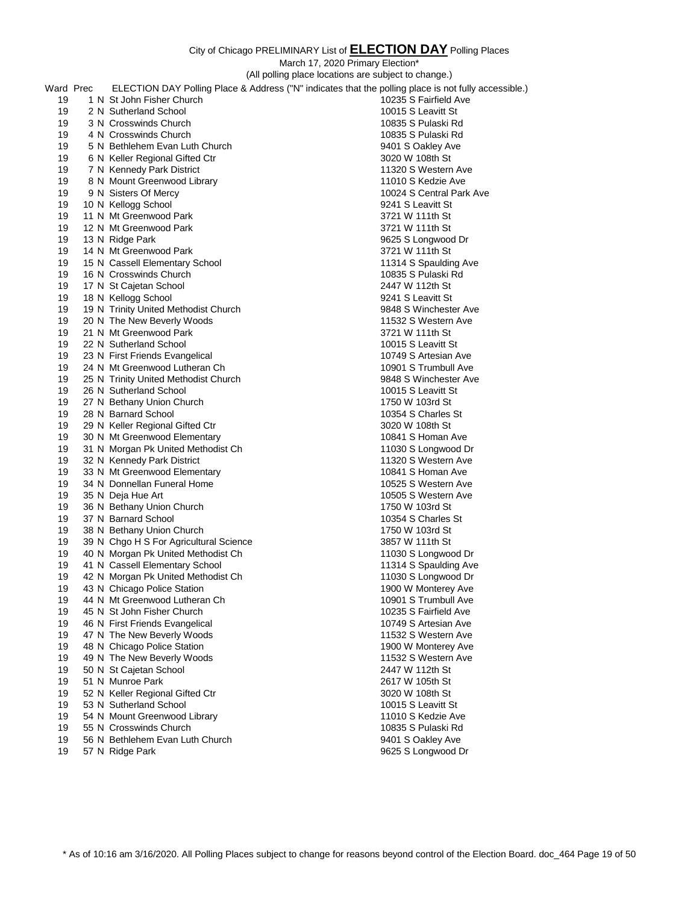|    |           |                                        | March 17, 2020 Primary Election*                                                                     |
|----|-----------|----------------------------------------|------------------------------------------------------------------------------------------------------|
|    |           |                                        | (All polling place locations are subject to change.)                                                 |
|    | Ward Prec |                                        | ELECTION DAY Polling Place & Address ("N" indicates that the polling place is not fully accessible.) |
| 19 |           | 1 N St John Fisher Church              | 10235 S Fairfield Ave                                                                                |
| 19 |           | 2 N Sutherland School                  | 10015 S Leavitt St                                                                                   |
| 19 |           | 3 N Crosswinds Church                  | 10835 S Pulaski Rd                                                                                   |
| 19 |           | 4 N Crosswinds Church                  | 10835 S Pulaski Rd                                                                                   |
| 19 |           | 5 N Bethlehem Evan Luth Church         | 9401 S Oakley Ave                                                                                    |
|    |           |                                        |                                                                                                      |
| 19 |           | 6 N Keller Regional Gifted Ctr         | 3020 W 108th St                                                                                      |
| 19 |           | 7 N Kennedy Park District              | 11320 S Western Ave                                                                                  |
| 19 |           | 8 N Mount Greenwood Library            | 11010 S Kedzie Ave                                                                                   |
| 19 |           | 9 N Sisters Of Mercy                   | 10024 S Central Park Ave                                                                             |
| 19 |           | 10 N Kellogg School                    | 9241 S Leavitt St                                                                                    |
| 19 |           | 11 N Mt Greenwood Park                 | 3721 W 111th St                                                                                      |
| 19 |           | 12 N Mt Greenwood Park                 | 3721 W 111th St                                                                                      |
| 19 |           | 13 N Ridge Park                        | 9625 S Longwood Dr                                                                                   |
| 19 |           | 14 N Mt Greenwood Park                 | 3721 W 111th St                                                                                      |
| 19 |           | 15 N Cassell Elementary School         | 11314 S Spaulding Ave                                                                                |
| 19 |           | 16 N Crosswinds Church                 | 10835 S Pulaski Rd                                                                                   |
| 19 |           | 17 N St Cajetan School                 | 2447 W 112th St                                                                                      |
| 19 |           | 18 N Kellogg School                    | 9241 S Leavitt St                                                                                    |
| 19 |           | 19 N Trinity United Methodist Church   | 9848 S Winchester Ave                                                                                |
| 19 |           | 20 N The New Beverly Woods             | 11532 S Western Ave                                                                                  |
| 19 |           | 21 N Mt Greenwood Park                 | 3721 W 111th St                                                                                      |
| 19 |           | 22 N Sutherland School                 | 10015 S Leavitt St                                                                                   |
| 19 |           | 23 N First Friends Evangelical         | 10749 S Artesian Ave                                                                                 |
| 19 |           | 24 N Mt Greenwood Lutheran Ch          | 10901 S Trumbull Ave                                                                                 |
| 19 |           | 25 N Trinity United Methodist Church   | 9848 S Winchester Ave                                                                                |
| 19 |           | 26 N Sutherland School                 | 10015 S Leavitt St                                                                                   |
| 19 |           | 27 N Bethany Union Church              | 1750 W 103rd St                                                                                      |
| 19 |           | 28 N Barnard School                    | 10354 S Charles St                                                                                   |
| 19 |           | 29 N Keller Regional Gifted Ctr        | 3020 W 108th St                                                                                      |
| 19 |           |                                        |                                                                                                      |
|    |           | 30 N Mt Greenwood Elementary           | 10841 S Homan Ave                                                                                    |
| 19 |           | 31 N Morgan Pk United Methodist Ch     | 11030 S Longwood Dr                                                                                  |
| 19 |           | 32 N Kennedy Park District             | 11320 S Western Ave                                                                                  |
| 19 |           | 33 N Mt Greenwood Elementary           | 10841 S Homan Ave                                                                                    |
| 19 |           | 34 N Donnellan Funeral Home            | 10525 S Western Ave                                                                                  |
| 19 |           | 35 N Deja Hue Art                      | 10505 S Western Ave                                                                                  |
| 19 |           | 36 N Bethany Union Church              | 1750 W 103rd St                                                                                      |
| 19 |           | 37 N Barnard School                    | 10354 S Charles St                                                                                   |
| 19 |           | 38 N Bethany Union Church              | 1750 W 103rd St                                                                                      |
| 19 |           | 39 N Chgo H S For Agricultural Science | 3857 W 111th St                                                                                      |
| 19 |           | 40 N Morgan Pk United Methodist Ch     | 11030 S Longwood Dr                                                                                  |
| 19 |           | 41 N Cassell Elementary School         | 11314 S Spaulding Ave                                                                                |
| 19 |           | 42 N Morgan Pk United Methodist Ch     | 11030 S Longwood Dr                                                                                  |
| 19 |           | 43 N Chicago Police Station            | 1900 W Monterey Ave                                                                                  |
| 19 |           | 44 N Mt Greenwood Lutheran Ch          | 10901 S Trumbull Ave                                                                                 |
| 19 |           | 45 N St John Fisher Church             | 10235 S Fairfield Ave                                                                                |
| 19 |           | 46 N First Friends Evangelical         | 10749 S Artesian Ave                                                                                 |
| 19 |           | 47 N The New Beverly Woods             | 11532 S Western Ave                                                                                  |
| 19 |           | 48 N Chicago Police Station            | 1900 W Monterey Ave                                                                                  |
| 19 |           | 49 N The New Beverly Woods             | 11532 S Western Ave                                                                                  |
| 19 |           | 50 N St Cajetan School                 | 2447 W 112th St                                                                                      |
| 19 |           | 51 N Munroe Park                       | 2617 W 105th St                                                                                      |
| 19 |           | 52 N Keller Regional Gifted Ctr        | 3020 W 108th St                                                                                      |
| 19 |           | 53 N Sutherland School                 | 10015 S Leavitt St                                                                                   |
| 19 |           | 54 N Mount Greenwood Library           | 11010 S Kedzie Ave                                                                                   |
| 19 |           | 55 N Crosswinds Church                 | 10835 S Pulaski Rd                                                                                   |
| 19 |           | 56 N Bethlehem Evan Luth Church        | 9401 S Oakley Ave                                                                                    |
|    |           |                                        |                                                                                                      |

57 N Ridge Park 9625 S Longwood Dr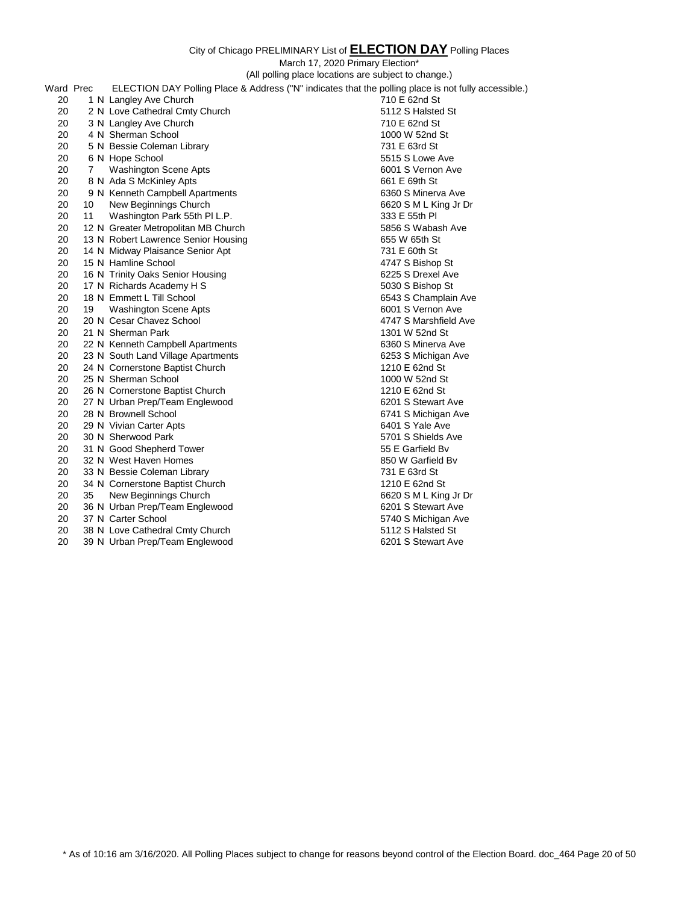March 17, 2020 Primary Election\* (All polling place locations are subject to change.) Ward Prec ELECTION DAY Polling Place & Address ("N" indicates that the polling place is not fully accessible.) 20 1 N Langley Ave Church 710 E 62nd St 20 2 N Love Cathedral Cmty Church 5112 S Halsted St 20 3 N Langley Ave Church 20 20 3 N Langley Ave Church 20 20 20 210 E 62nd St 20 4 N Sherman School 1000 W 52nd St 20 5 N Bessie Coleman Library 731 E 63rd St 20 6 N Hope School 20 7 Washington Scene Apts 6001 S Vernon Ave 20 8 N Ada S McKinley Apts 661 E 69th St 20 9 N Kenneth Campbell Apartments 6360 S Minerva Ave 20 10 New Beginnings Church 6620 S M L King Jr Dr 20 11 Washington Park 55th Pl L.P. 333 E 55th Pl 20 12 N Greater Metropolitan MB Church 6856 S Wabash Ave 20 13 N Robert Lawrence Senior Housing 655 W 65th St 20 14 N Midway Plaisance Senior Apt 731 E 60th St 20 15 N Hamline School **4747** S Bishop St 20 16 N Trinity Oaks Senior Housing 6225 S Drexel Ave 20 17 N Richards Academy H S 5030 S Bishop St 20 18 N Emmett L Till School 6543 S Champlain Ave 20 19 Washington Scene Apts 6001 S Vernon Ave 20 20 N Cesar Chavez School 4747 S Marshfield Ave 20 21 N Sherman Park 1301 W 52nd St 20 22 N Kenneth Campbell Apartments **6360 S Minerva Ave** 20 23 N South Land Village Apartments 6253 S Michigan Ave 20 24 N Cornerstone Baptist Church 1210 E 62nd St 20 25 N Sherman School 20 20 25 N Sherman School 20 20 20 20 31 20 26 N Cornerstone Baptist Church 1210 E 62nd St 20 27 N Urban Prep/Team Englewood 6201 S Stewart Ave 20 28 N Brownell School 6741 S Michigan Ave 20 29 N Vivian Carter Apts 6401 S Yale Ave 20 30 N Sherwood Park 5701 S Shields Ave 20 31 N Good Shepherd Tower 55 E Garfield Bv 20 32 N West Haven Homes 850 W Garfield Bv 20 33 N Bessie Coleman Library 731 E 63rd St 20 34 N Cornerstone Baptist Church 1210 E 62nd St 20 35 New Beginnings Church 6620 S M L King Jr Dr 20 36 N Urban Prep/Team Englewood 6201 S Stewart Ave 20 37 N Carter School 5740 S Michigan Ave 20 38 N Love Cathedral Cmty Church 5112 S Halsted St 20 39 N Urban Prep/Team Englewood 6201 S Stewart Ave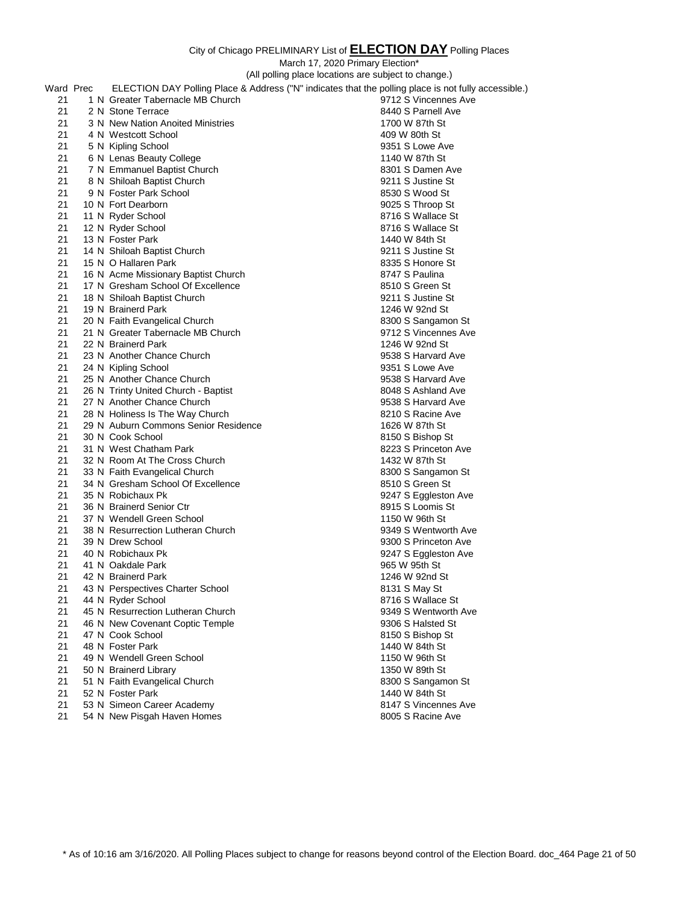March 17, 2020 Primary Election\*

(All polling place locations are subject to change.)

| Ward Prec | ELECTION DAY Polling Place & Address ("N" indicates that the polling place is not fully accessible.) |                      |
|-----------|------------------------------------------------------------------------------------------------------|----------------------|
| 21        | 1 N Greater Tabernacle MB Church                                                                     | 9712 S Vincennes Ave |
| 21        | 2 N Stone Terrace                                                                                    | 8440 S Parnell Ave   |
| 21        | 3 N New Nation Anoited Ministries                                                                    | 1700 W 87th St       |
| 21        | 4 N Westcott School                                                                                  | 409 W 80th St        |
| 21        | 5 N Kipling School                                                                                   | 9351 S Lowe Ave      |
| 21        | 6 N Lenas Beauty College                                                                             | 1140 W 87th St       |
| 21        | 7 N Emmanuel Baptist Church                                                                          | 8301 S Damen Ave     |
| 21        | 8 N Shiloah Baptist Church                                                                           | 9211 S Justine St    |
| 21        | 9 N Foster Park School                                                                               | 8530 S Wood St       |
| 21        | 10 N Fort Dearborn                                                                                   | 9025 S Throop St     |
| 21        | 11 N Ryder School                                                                                    | 8716 S Wallace St    |
| 21        | 12 N Ryder School                                                                                    | 8716 S Wallace St    |
| 21        | 13 N Foster Park                                                                                     | 1440 W 84th St       |
| 21        | 14 N Shiloah Baptist Church                                                                          | 9211 S Justine St    |
| 21        | 15 N O Hallaren Park                                                                                 | 8335 S Honore St     |
| 21        | 16 N Acme Missionary Baptist Church                                                                  | 8747 S Paulina       |
| 21        | 17 N Gresham School Of Excellence                                                                    |                      |
|           |                                                                                                      | 8510 S Green St      |
| 21        | 18 N Shiloah Baptist Church                                                                          | 9211 S Justine St    |
| 21        | 19 N Brainerd Park                                                                                   | 1246 W 92nd St       |
| 21        | 20 N Faith Evangelical Church                                                                        | 8300 S Sangamon St   |
| 21        | 21 N Greater Tabernacle MB Church                                                                    | 9712 S Vincennes Ave |
| 21        | 22 N Brainerd Park                                                                                   | 1246 W 92nd St       |
| 21        | 23 N Another Chance Church                                                                           | 9538 S Harvard Ave   |
| 21        | 24 N Kipling School                                                                                  | 9351 S Lowe Ave      |
| 21        | 25 N Another Chance Church                                                                           | 9538 S Harvard Ave   |
| 21        | 26 N Trinty United Church - Baptist                                                                  | 8048 S Ashland Ave   |
| 21        | 27 N Another Chance Church                                                                           | 9538 S Harvard Ave   |
| 21        | 28 N Holiness Is The Way Church                                                                      | 8210 S Racine Ave    |
| 21        | 29 N Auburn Commons Senior Residence                                                                 | 1626 W 87th St       |
| 21        | 30 N Cook School                                                                                     | 8150 S Bishop St     |
| 21        | 31 N West Chatham Park                                                                               | 8223 S Princeton Ave |
| 21        | 32 N Room At The Cross Church                                                                        | 1432 W 87th St       |
| 21        | 33 N Faith Evangelical Church                                                                        | 8300 S Sangamon St   |
| 21        | 34 N Gresham School Of Excellence                                                                    | 8510 S Green St      |
| 21        | 35 N Robichaux Pk                                                                                    | 9247 S Eggleston Ave |
| 21        | 36 N Brainerd Senior Ctr                                                                             | 8915 S Loomis St     |
| 21        | 37 N Wendell Green School                                                                            | 1150 W 96th St       |
| 21        | 38 N Resurrection Lutheran Church                                                                    | 9349 S Wentworth Ave |
| 21        | 39 N Drew School                                                                                     | 9300 S Princeton Ave |
| 21        | 40 N Robichaux Pk                                                                                    | 9247 S Eggleston Ave |
| 21        | 41 N Oakdale Park                                                                                    | 965 W 95th St        |
| 21        | 42 N Brainerd Park                                                                                   | 1246 W 92nd St       |
| 21        | 43 N Perspectives Charter School                                                                     | 8131 S May St        |
| 21        | 44 N Ryder School                                                                                    | 8716 S Wallace St    |
| 21        | 45 N Resurrection Lutheran Church                                                                    | 9349 S Wentworth Ave |
| 21        | 46 N New Covenant Coptic Temple                                                                      | 9306 S Halsted St    |
| 21        | 47 N Cook School                                                                                     | 8150 S Bishop St     |
| 21        | 48 N Foster Park                                                                                     | 1440 W 84th St       |
| 21        | 49 N Wendell Green School                                                                            | 1150 W 96th St       |
| 21        | 50 N Brainerd Library                                                                                | 1350 W 89th St       |
| 21        | 51 N Faith Evangelical Church                                                                        | 8300 S Sangamon St   |
|           | 52 N Foster Park                                                                                     | 1440 W 84th St       |
| 21        |                                                                                                      |                      |
| 21        | 53 N Simeon Career Academy                                                                           | 8147 S Vincennes Ave |

21 54 N New Pisgah Haven Homes 8005 S Racine Ave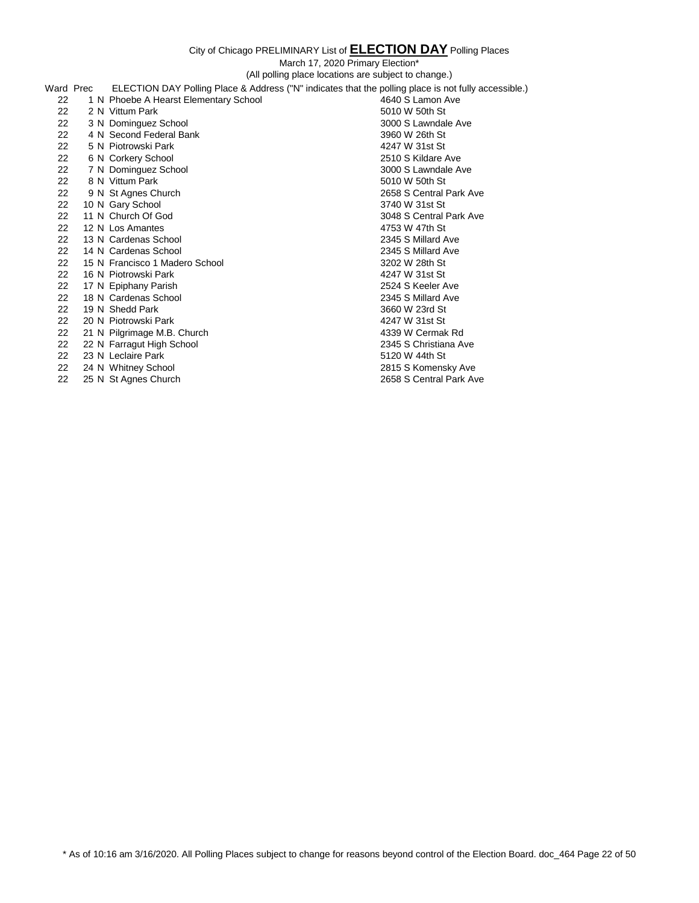March 17, 2020 Primary Election\*

(All polling place locations are subject to change.)

| Ward Prec | ELECTION DAY Polling Place & Address ("N" indicates that the polling place is not fully accessible.) |                         |
|-----------|------------------------------------------------------------------------------------------------------|-------------------------|
| 22        | 1 N Phoebe A Hearst Elementary School                                                                | 4640 S Lamon Ave        |
| 22        | 2 N Vittum Park                                                                                      | 5010 W 50th St          |
| 22        | 3 N Dominguez School                                                                                 | 3000 S Lawndale Ave     |
| 22        | 4 N Second Federal Bank                                                                              | 3960 W 26th St          |
| 22        | 5 N Piotrowski Park                                                                                  | 4247 W 31st St          |
| 22        | 6 N Corkery School                                                                                   | 2510 S Kildare Ave      |
| 22        | 7 N Dominguez School                                                                                 | 3000 S Lawndale Ave     |
| 22        | 8 N Vittum Park                                                                                      | 5010 W 50th St          |
| 22        | 9 N St Agnes Church                                                                                  | 2658 S Central Park Ave |
| 22        | 10 N Gary School                                                                                     | 3740 W 31st St          |
| 22        | 11 N Church Of God                                                                                   | 3048 S Central Park Ave |
| 22        | 12 N Los Amantes                                                                                     | 4753 W 47th St          |
| 22        | 13 N Cardenas School                                                                                 | 2345 S Millard Ave      |
| 22        | 14 N Cardenas School                                                                                 | 2345 S Millard Ave      |
| 22        | 15 N Francisco 1 Madero School                                                                       | 3202 W 28th St          |
| 22        | 16 N Piotrowski Park                                                                                 | 4247 W 31st St          |
| 22        | 17 N Epiphany Parish                                                                                 | 2524 S Keeler Ave       |
| 22        | 18 N Cardenas School                                                                                 | 2345 S Millard Ave      |
| 22        | 19 N Shedd Park                                                                                      | 3660 W 23rd St          |
| 22        | 20 N Piotrowski Park                                                                                 | 4247 W 31st St          |
| 22        | 21 N Pilgrimage M.B. Church                                                                          | 4339 W Cermak Rd        |
| 22        | 22 N Farragut High School                                                                            | 2345 S Christiana Ave   |
| 22        | 23 N Leclaire Park                                                                                   | 5120 W 44th St          |
| 22        | 24 N Whitney School                                                                                  | 2815 S Komensky Ave     |
| 22        | 25 N St Agnes Church                                                                                 | 2658 S Central Park Ave |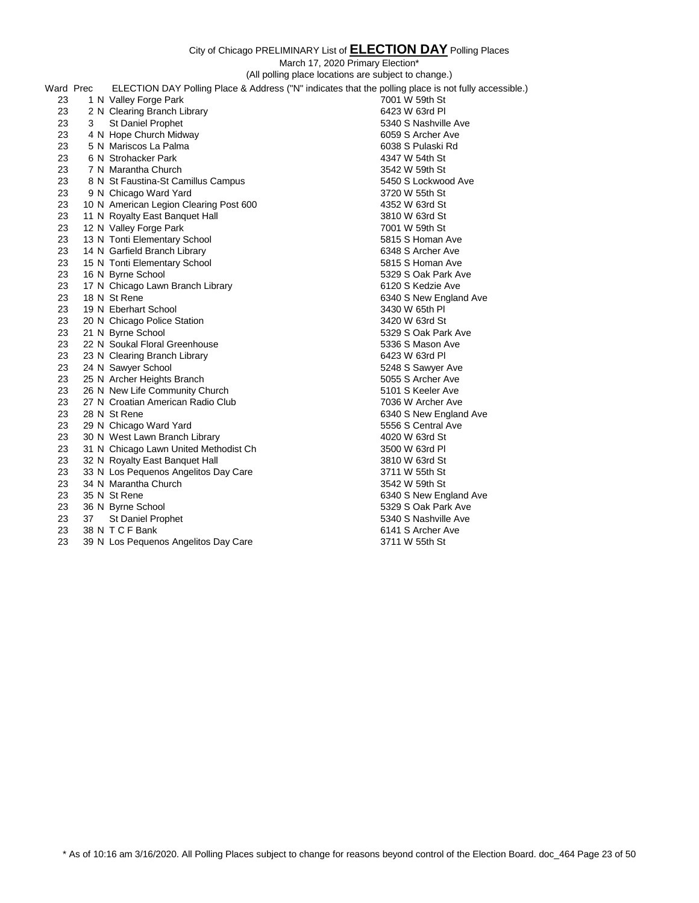March 17, 2020 Primary Election\*

(All polling place locations are subject to change.)

| Ward Prec |    | ELECTION DAY Polling Place & Address ("N" indicates that the polling place is not fully accessible.) |                        |
|-----------|----|------------------------------------------------------------------------------------------------------|------------------------|
| 23        |    | 1 N Valley Forge Park                                                                                | 7001 W 59th St         |
| 23        |    | 2 N Clearing Branch Library                                                                          | 6423 W 63rd PI         |
| 23        | 3  | St Daniel Prophet                                                                                    | 5340 S Nashville Ave   |
| 23        |    | 4 N Hope Church Midway                                                                               | 6059 S Archer Ave      |
| 23        |    | 5 N Mariscos La Palma                                                                                | 6038 S Pulaski Rd      |
| 23        |    | 6 N Strohacker Park                                                                                  | 4347 W 54th St         |
| 23        |    | 7 N Marantha Church                                                                                  | 3542 W 59th St         |
| 23        |    | 8 N St Faustina-St Camillus Campus                                                                   | 5450 S Lockwood Ave    |
| 23        |    | 9 N Chicago Ward Yard                                                                                | 3720 W 55th St         |
| 23        |    | 10 N American Legion Clearing Post 600                                                               | 4352 W 63rd St         |
| 23        |    | 11 N Royalty East Banquet Hall                                                                       | 3810 W 63rd St         |
| 23        |    | 12 N Valley Forge Park                                                                               | 7001 W 59th St         |
| 23        |    | 13 N Tonti Elementary School                                                                         | 5815 S Homan Ave       |
| 23        |    | 14 N Garfield Branch Library                                                                         | 6348 S Archer Ave      |
| 23        |    | 15 N Tonti Elementary School                                                                         | 5815 S Homan Ave       |
| 23        |    | 16 N Byrne School                                                                                    | 5329 S Oak Park Ave    |
| 23        |    | 17 N Chicago Lawn Branch Library                                                                     | 6120 S Kedzie Ave      |
| 23        |    | 18 N St Rene                                                                                         | 6340 S New England Ave |
| 23        |    | 19 N Eberhart School                                                                                 | 3430 W 65th PI         |
| 23        |    | 20 N Chicago Police Station                                                                          | 3420 W 63rd St         |
| 23        |    | 21 N Byrne School                                                                                    | 5329 S Oak Park Ave    |
| 23        |    | 22 N Soukal Floral Greenhouse                                                                        | 5336 S Mason Ave       |
| 23        |    | 23 N Clearing Branch Library                                                                         | 6423 W 63rd PI         |
| 23        |    | 24 N Sawyer School                                                                                   | 5248 S Sawyer Ave      |
| 23        |    | 25 N Archer Heights Branch                                                                           | 5055 S Archer Ave      |
| 23        |    | 26 N New Life Community Church                                                                       | 5101 S Keeler Ave      |
| 23        |    | 27 N Croatian American Radio Club                                                                    | 7036 W Archer Ave      |
| 23        |    | 28 N St Rene                                                                                         | 6340 S New England Ave |
| 23        |    | 29 N Chicago Ward Yard                                                                               | 5556 S Central Ave     |
| 23        |    | 30 N West Lawn Branch Library                                                                        | 4020 W 63rd St         |
| 23        |    | 31 N Chicago Lawn United Methodist Ch                                                                | 3500 W 63rd PI         |
| 23        |    | 32 N Royalty East Banquet Hall                                                                       | 3810 W 63rd St         |
| 23        |    | 33 N Los Pequenos Angelitos Day Care                                                                 | 3711 W 55th St         |
| 23        |    | 34 N Marantha Church                                                                                 | 3542 W 59th St         |
| 23        |    | 35 N St Rene                                                                                         | 6340 S New England Ave |
| 23        |    | 36 N Byrne School                                                                                    | 5329 S Oak Park Ave    |
| 23        | 37 | St Daniel Prophet                                                                                    | 5340 S Nashville Ave   |
| 23        |    | 38 N T C F Bank                                                                                      | 6141 S Archer Ave      |
| 23        |    | 39 N Los Pequenos Angelitos Day Care                                                                 | 3711 W 55th St         |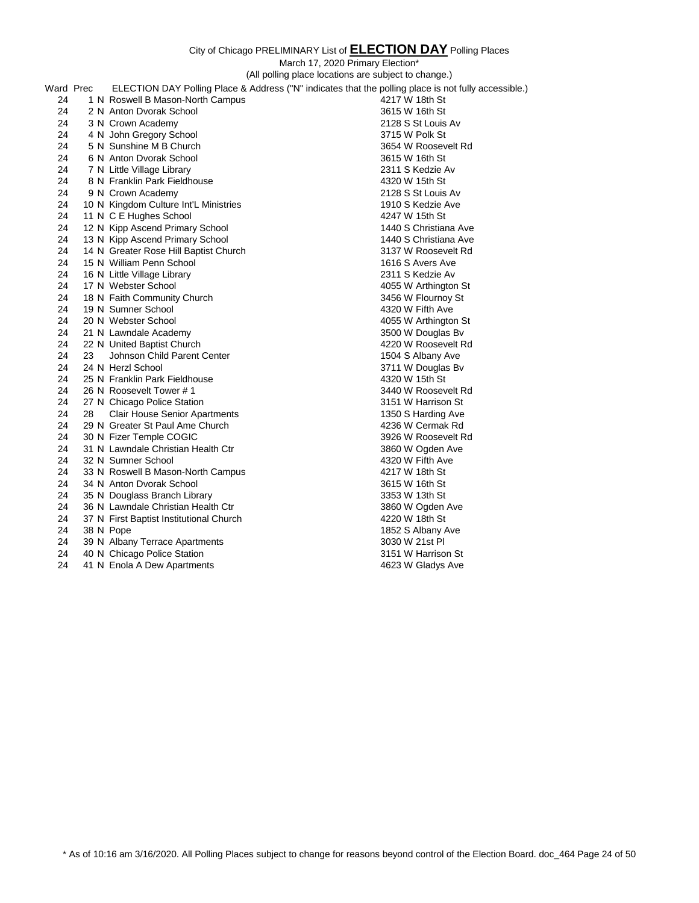|           |    | (All polling place locations are subject to change.)                                                 |                       |
|-----------|----|------------------------------------------------------------------------------------------------------|-----------------------|
| Ward Prec |    | ELECTION DAY Polling Place & Address ("N" indicates that the polling place is not fully accessible.) |                       |
| 24        |    | 1 N Roswell B Mason-North Campus                                                                     | 4217 W 18th St        |
| 24        |    | 2 N Anton Dvorak School                                                                              | 3615 W 16th St        |
| 24        |    | 3 N Crown Academy                                                                                    | 2128 S St Louis Av    |
| 24        |    | 4 N John Gregory School                                                                              | 3715 W Polk St        |
| 24        |    | 5 N Sunshine M B Church                                                                              | 3654 W Roosevelt Rd   |
| 24        |    | 6 N Anton Dvorak School                                                                              | 3615 W 16th St        |
| 24        |    | 7 N Little Village Library                                                                           | 2311 S Kedzie Av      |
| 24        |    | 8 N Franklin Park Fieldhouse                                                                         | 4320 W 15th St        |
| 24        |    | 9 N Crown Academy                                                                                    | 2128 S St Louis Av    |
| 24        |    | 10 N Kingdom Culture Int'L Ministries                                                                | 1910 S Kedzie Ave     |
| 24        |    | 11 N C E Hughes School                                                                               | 4247 W 15th St        |
| 24        |    | 12 N Kipp Ascend Primary School                                                                      | 1440 S Christiana Ave |
| 24        |    | 13 N Kipp Ascend Primary School                                                                      | 1440 S Christiana Ave |
| 24        |    | 14 N Greater Rose Hill Baptist Church                                                                | 3137 W Roosevelt Rd   |
| 24        |    | 15 N William Penn School                                                                             | 1616 S Avers Ave      |
| 24        |    | 16 N Little Village Library                                                                          | 2311 S Kedzie Av      |
| 24        |    | 17 N Webster School                                                                                  | 4055 W Arthington St  |
| 24        |    | 18 N Faith Community Church                                                                          | 3456 W Flournoy St    |
| 24        |    | 19 N Sumner School                                                                                   | 4320 W Fifth Ave      |
| 24        |    | 20 N Webster School                                                                                  | 4055 W Arthington St  |
| 24        |    | 21 N Lawndale Academy                                                                                | 3500 W Douglas Bv     |
| 24        |    | 22 N United Baptist Church                                                                           | 4220 W Roosevelt Rd   |
| 24        | 23 | Johnson Child Parent Center                                                                          | 1504 S Albany Ave     |
| 24        |    | 24 N Herzl School                                                                                    | 3711 W Douglas Bv     |
| 24        |    | 25 N Franklin Park Fieldhouse                                                                        | 4320 W 15th St        |
| 24        |    | 26 N Roosevelt Tower # 1                                                                             | 3440 W Roosevelt Rd   |
| 24        |    | 27 N Chicago Police Station                                                                          | 3151 W Harrison St    |
| 24        | 28 | <b>Clair House Senior Apartments</b>                                                                 | 1350 S Harding Ave    |
| 24        |    | 29 N Greater St Paul Ame Church                                                                      | 4236 W Cermak Rd      |
| 24        |    | 30 N Fizer Temple COGIC                                                                              | 3926 W Roosevelt Rd   |
| 24        |    | 31 N Lawndale Christian Health Ctr                                                                   | 3860 W Ogden Ave      |
| 24        |    | 32 N Sumner School                                                                                   | 4320 W Fifth Ave      |
| 24        |    | 33 N Roswell B Mason-North Campus                                                                    | 4217 W 18th St        |
| 24        |    | 34 N Anton Dvorak School                                                                             | 3615 W 16th St        |
| 24        |    | 35 N Douglass Branch Library                                                                         | 3353 W 13th St        |
| 24        |    | 36 N Lawndale Christian Health Ctr                                                                   | 3860 W Ogden Ave      |
| 24        |    | 37 N First Baptist Institutional Church                                                              | 4220 W 18th St        |
| 24        |    | 38 N Pope                                                                                            | 1852 S Albany Ave     |
| 24        |    | 39 N Albany Terrace Apartments                                                                       | 3030 W 21st Pl        |
| 24        |    | 40 N Chicago Police Station                                                                          | 3151 W Harrison St    |
| 24        |    | 41 N Enola A Dew Apartments                                                                          | 4623 W Gladys Ave     |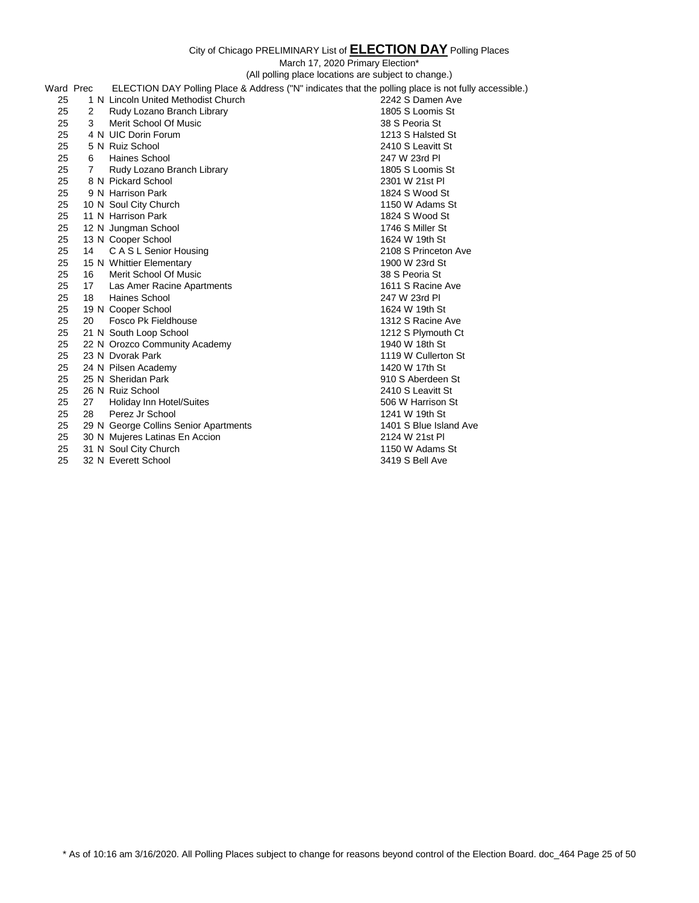City of Chicago PRELIMINARY List of **ELECTION DAY** Polling Places March 17, 2020 Primary Election\* (All polling place locations are subject to change.) Ward Prec ELECTION DAY Polling Place & Address ("N" indicates that the polling place is not fully accessible.)<br>25 1 N Lincoln United Methodist Church 2242 S Damen Ave 25 1 N Lincoln United Methodist Church 25 2 Rudy Lozano Branch Library 1805 S Loomis St 25 3 Merit School Of Music 38 S Peoria St 25 4 N UIC Dorin Forum 1213 S Halsted St 25 5 N Ruiz School 2410 S Leavitt St 25 6 Haines School 25 6 Haines School 247 W 23rd Pl 25 6 Haines School<br>25 7 Rudv Lozano P 25 7 Rudy Lozano Branch Library 1805 S Loomis St 25 8 N Pickard School 2301 W 21st Pl 25 9 N Harrison Park 1824 S Wood St 25 10 N Soul City Church 1150 W Adams St 25 11 N Harrison Park 1824 S Wood St 25 12 N Jungman School 25 1746 S Miller St 25 13 N Cooper School 25 1624 W 19th St 25 14 C A S L Senior Housing 2108 S Princeton Ave 25 15 N Whittier Elementary 1900 W 23rd St 25 16 Merit School Of Music 38 S Peoria St 25 17 Las Amer Racine Apartments 1611 S Racine Ave 25 18 Haines School 247 W 23rd Pl 25 19 N Cooper School 25 1624 W 19th St 25 20 Fosco Pk Fieldhouse 1312 S Racine Ave 1312 S Racine Ave 1312 S Racine Ave 1312 S Plymouth Ct 21 N South Loop School 21 N South Loop School 25 22 N Orozco Community Academy 1940 W 18th St 25 23 N Dvorak Park 1119 W Cullerton St 25 24 N Pilsen Academy 1420 W 17th St 25 25 N Sheridan Park 910 S Aberdeen St 25 26 N Ruiz School 2410 S Leavitt St 25 27 Holiday Inn Hotel/Suites 606 W Harrison St 25 28 Perez Jr School 25 28 Perez Jr School 25 29 N George Collins Senior Apartments 25 29 N George Collins Senior Apartments 25 29 N George Collins Senior Apartments 25 30 N Mujeres Latinas En Accion 2124 W 21st Pl 25 31 N Soul City Church 1150 W Adams St

25 32 N Everett School 3419 S Bell Ave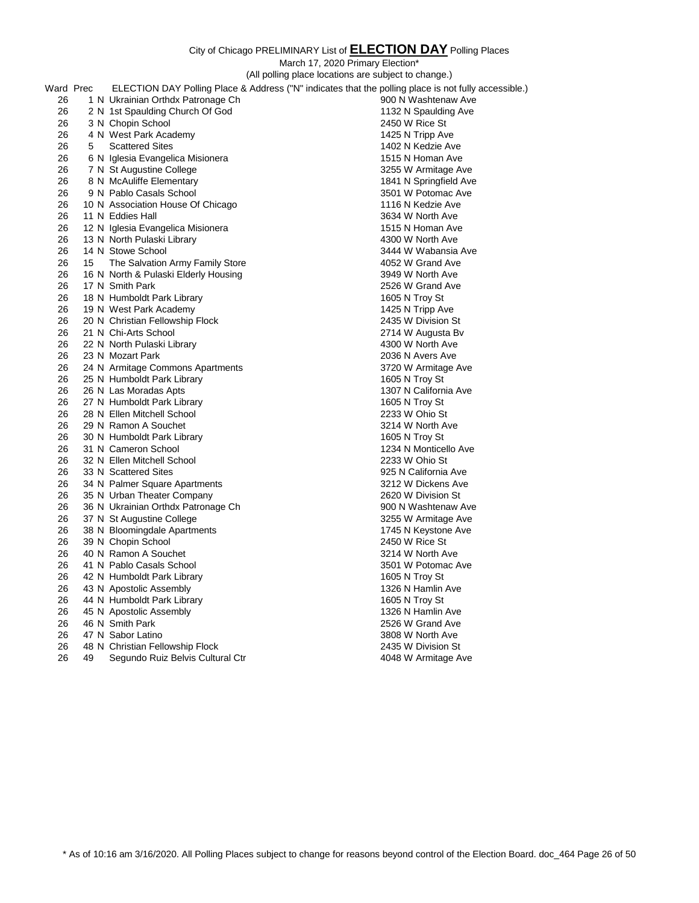|           |    | (All polling place locations are subject to change.)                                                 |                                      |  |
|-----------|----|------------------------------------------------------------------------------------------------------|--------------------------------------|--|
| Ward Prec |    | ELECTION DAY Polling Place & Address ("N" indicates that the polling place is not fully accessible.) |                                      |  |
| 26        |    | 1 N Ukrainian Orthdx Patronage Ch                                                                    | 900 N Washtenaw Ave                  |  |
| 26        |    | 2 N 1st Spaulding Church Of God                                                                      | 1132 N Spaulding Ave                 |  |
| 26        |    | 3 N Chopin School                                                                                    | 2450 W Rice St                       |  |
| 26        |    | 4 N West Park Academy                                                                                | 1425 N Tripp Ave                     |  |
| 26        | 5  | <b>Scattered Sites</b>                                                                               | 1402 N Kedzie Ave                    |  |
| 26        |    | 6 N Iglesia Evangelica Misionera                                                                     | 1515 N Homan Ave                     |  |
| 26        |    | 7 N St Augustine College                                                                             | 3255 W Armitage Ave                  |  |
| 26        |    | 8 N McAuliffe Elementary                                                                             | 1841 N Springfield Ave               |  |
| 26        |    | 9 N Pablo Casals School                                                                              | 3501 W Potomac Ave                   |  |
| 26        |    | 10 N Association House Of Chicago                                                                    | 1116 N Kedzie Ave                    |  |
| 26        |    | 11 N Eddies Hall                                                                                     | 3634 W North Ave                     |  |
| 26        |    | 12 N Iglesia Evangelica Misionera                                                                    | 1515 N Homan Ave                     |  |
| 26        |    | 13 N North Pulaski Library                                                                           | 4300 W North Ave                     |  |
| 26        |    | 14 N Stowe School                                                                                    | 3444 W Wabansia Ave                  |  |
| 26        | 15 | The Salvation Army Family Store                                                                      | 4052 W Grand Ave                     |  |
| 26        |    | 16 N North & Pulaski Elderly Housing                                                                 | 3949 W North Ave                     |  |
| 26        |    | 17 N Smith Park                                                                                      | 2526 W Grand Ave                     |  |
| 26        |    | 18 N Humboldt Park Library                                                                           | 1605 N Troy St                       |  |
| 26        |    | 19 N West Park Academy                                                                               | 1425 N Tripp Ave                     |  |
| 26        |    | 20 N Christian Fellowship Flock                                                                      | 2435 W Division St                   |  |
| 26        |    | 21 N Chi-Arts School                                                                                 | 2714 W Augusta Bv                    |  |
| 26        |    | 22 N North Pulaski Library                                                                           | 4300 W North Ave                     |  |
| 26        |    | 23 N Mozart Park                                                                                     | 2036 N Avers Ave                     |  |
| 26        |    | 24 N Armitage Commons Apartments                                                                     | 3720 W Armitage Ave                  |  |
| 26        |    | 25 N Humboldt Park Library                                                                           | 1605 N Troy St                       |  |
| 26        |    | 26 N Las Moradas Apts                                                                                | 1307 N California Ave                |  |
| 26        |    | 27 N Humboldt Park Library                                                                           | 1605 N Troy St                       |  |
| 26        |    | 28 N Ellen Mitchell School                                                                           | 2233 W Ohio St                       |  |
| 26        |    | 29 N Ramon A Souchet                                                                                 | 3214 W North Ave                     |  |
| 26        |    | 30 N Humboldt Park Library                                                                           | 1605 N Troy St                       |  |
| 26        |    | 31 N Cameron School                                                                                  | 1234 N Monticello Ave                |  |
| 26        |    | 32 N Ellen Mitchell School                                                                           | 2233 W Ohio St                       |  |
| 26        |    | 33 N Scattered Sites                                                                                 | 925 N California Ave                 |  |
| 26        |    | 34 N Palmer Square Apartments                                                                        | 3212 W Dickens Ave                   |  |
| 26        |    | 35 N Urban Theater Company                                                                           | 2620 W Division St                   |  |
| 26        |    | 36 N Ukrainian Orthdx Patronage Ch                                                                   | 900 N Washtenaw Ave                  |  |
| 26        |    | 37 N St Augustine College                                                                            | 3255 W Armitage Ave                  |  |
| 26        |    | 38 N Bloomingdale Apartments                                                                         | 1745 N Keystone Ave                  |  |
| 26        |    | 39 N Chopin School                                                                                   | 2450 W Rice St                       |  |
| 26        |    | 40 N Ramon A Souchet                                                                                 | 3214 W North Ave                     |  |
| 26        |    | 41 N Pablo Casals School                                                                             | 3501 W Potomac Ave                   |  |
| 26        |    | 42 N Humboldt Park Library                                                                           | 1605 N Troy St                       |  |
| 26        |    | 43 N Apostolic Assembly                                                                              | 1326 N Hamlin Ave                    |  |
| 26        |    | 44 N Humboldt Park Library                                                                           | 1605 N Troy St                       |  |
| 26        |    | 45 N Apostolic Assembly<br>46 N Smith Park                                                           | 1326 N Hamlin Ave                    |  |
| 26<br>26  |    | 47 N Sabor Latino                                                                                    | 2526 W Grand Ave<br>3808 W North Ave |  |
| 26        |    |                                                                                                      | 2435 W Division St                   |  |
| 26        | 49 | 48 N Christian Fellowship Flock<br>Segundo Ruiz Belvis Cultural Ctr                                  | 4048 W Armitage Ave                  |  |
|           |    |                                                                                                      |                                      |  |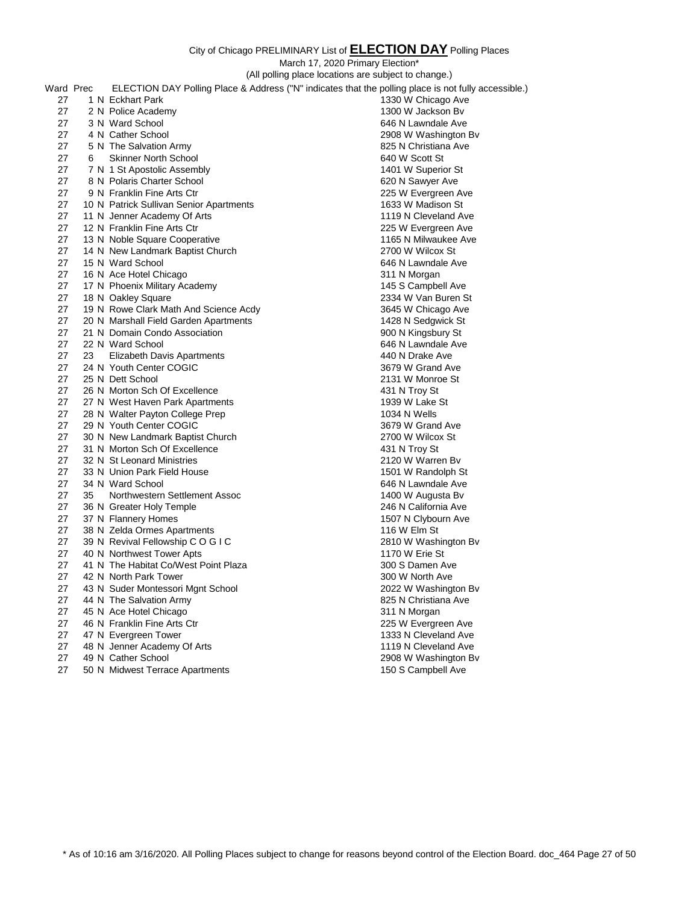March 17, 2020 Primary Election\* (All polling place locations are subject to change.) Ward Prec ELECTION DAY Polling Place & Address ("N" indicates that the polling place is not fully accessible.) 27 1 N Eckhart Park 1330 W Chicago Ave 27 2 N Police Academy 1300 W Jackson Bv 27 3 N Ward School 646 N Lawndale Ave 27 4 N Cather School 2908 W Washington Bv 27 5 N The Salvation Army **825 N Christiana** Ave 27 6 Skinner North School 640 W Scott St 27 7 N 1 St Apostolic Assembly 1401 W Superior St 27 8 N Polaris Charter School 620 N Sawyer Ave 27 9 N Franklin Fine Arts Ctr 27 N Every 19th 225 W Evergreen Ave 27 10 N Patrick Sullivan Senior Apartments 1633 W Madison St 27 11 N Jenner Academy Of Arts 1119 N Cleveland Ave 27 12 N Franklin Fine Arts Ctr 27 12 N Franklin Fine Arts Ctr 27 13 N Noble Square Cooperative 1165 N Milwaukee Ave 27 14 N New Landmark Baptist Church 27 2700 W Wilcox St 27 15 N Ward School 646 N Lawndale Ave 27 16 N Ace Hotel Chicago 311 N Morgan 27 17 N Phoenix Military Academy 145 S Campbell Ave 27 18 N Oakley Square 237 18 N Oakley Square 2334 W Van Buren St 27 19 N Rowe Clark Math And Science Acdy 3645 W Chicago Ave 27 20 N Marshall Field Garden Apartments<br>27 21 N Domain Condo Association 1428 N Sedgwick St 27 21 N Domain Condo Association 27 22 N Ward School **646 N Lawndale Ave** 27 23 Elizabeth Davis Apartments 440 N Drake Ave 27 24 N Youth Center COGIC 27 24 N Youth Center COGIC 27 25 N Dett School 2131 W Monroe St 27 26 N Morton Sch Of Excellence 431 N Troy St 27 27 N West Haven Park Apartments 1939 W Lake St 27 28 N Walter Payton College Prep 1034 N Wells 1034 N Wells<br>27 29 N Youth Center COGIC 1034 N Wells 1025 N Grand Ave 27 29 N Youth Center COGIC 27 30 N New Landmark Baptist Church 2700 W Wilcox St 27 31 N Morton Sch Of Excellence 431 N Troy St 27 32 N St Leonard Ministries 2120 W Warren Bv 27 33 N Union Park Field House 1501 W Randolph St 27 34 N Ward School **646 N** Lawndale Ave 27 35 Northwestern Settlement Assoc 1400 W Augusta Bv 27 36 N Greater Holy Temple 27 36 N California Ave 27 37 N Flannery Homes 27 37 N Clybourn Ave 27 38 N Zelda Ormes Apartments 116 W Elm St 27 39 N Revival Fellowship C O G I C 2810 W Washington Bv 27 40 N Northwest Tower Apts 1170 W Erie St 27 41 N The Habitat Co/West Point Plaza 300 S Damen Ave 27 42 N North Park Tower 300 W North Ave 27 43 N Suder Montessori Mgnt School 2022 W Washington Bv 27 44 N The Salvation Army **825 N Christiana Ave** 27 45 N Ace Hotel Chicago 311 N Morgan 27 46 N Franklin Fine Arts Ctr 27 19 225 W Evergreen Ave 27 47 N Evergreen Tower 1333 N Cleveland Ave 27 48 N Jenner Academy Of Arts 1119 N Cleveland Ave 27 49 N Cather School 2908 W Washington Bv 27 50 N Midwest Terrace Apartments 150 S Campbell Ave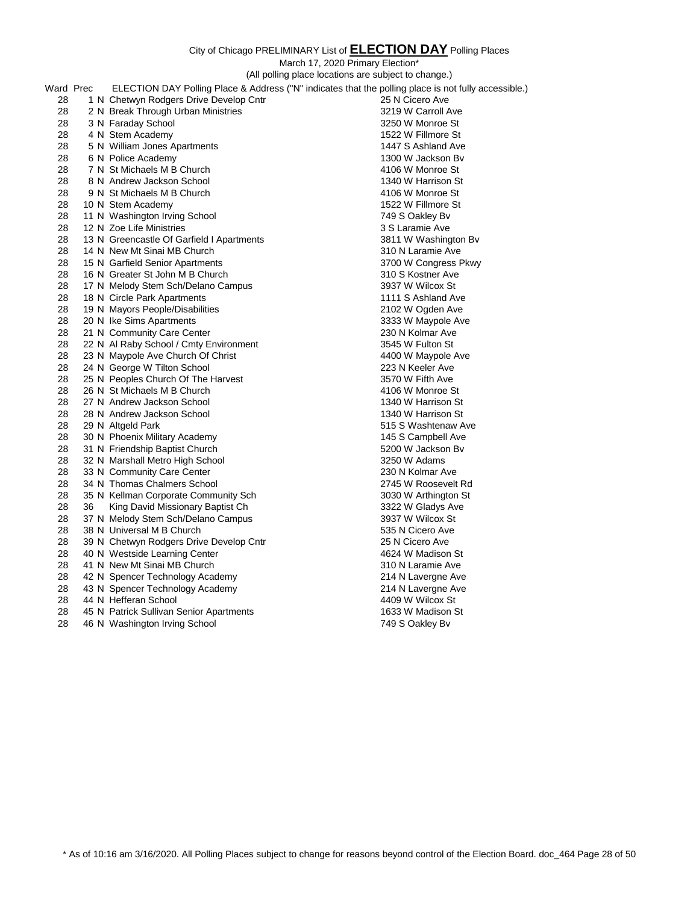March 17, 2020 Primary Election\*

(All polling place locations are subject to change.)

|           |    | (All polling place locations are subject to change.)                                                 |                      |
|-----------|----|------------------------------------------------------------------------------------------------------|----------------------|
| Ward Prec |    | ELECTION DAY Polling Place & Address ("N" indicates that the polling place is not fully accessible.) |                      |
| 28        |    | 1 N Chetwyn Rodgers Drive Develop Cntr                                                               | 25 N Cicero Ave      |
| 28        |    | 2 N Break Through Urban Ministries                                                                   | 3219 W Carroll Ave   |
| 28        |    | 3 N Faraday School                                                                                   | 3250 W Monroe St     |
| 28        |    | 4 N Stem Academy                                                                                     | 1522 W Fillmore St   |
| 28        |    | 5 N William Jones Apartments                                                                         | 1447 S Ashland Ave   |
| 28        |    | 6 N Police Academy                                                                                   | 1300 W Jackson By    |
| 28        |    | 7 N St Michaels M B Church                                                                           | 4106 W Monroe St     |
| 28        |    | 8 N Andrew Jackson School                                                                            | 1340 W Harrison St   |
| 28        |    | 9 N St Michaels M B Church                                                                           | 4106 W Monroe St     |
| 28        |    | 10 N Stem Academy                                                                                    | 1522 W Fillmore St   |
| 28        |    | 11 N Washington Irving School                                                                        | 749 S Oakley Bv      |
| 28        |    | 12 N Zoe Life Ministries                                                                             | 3 S Laramie Ave      |
| 28        |    | 13 N Greencastle Of Garfield I Apartments                                                            | 3811 W Washington Bv |
| 28        |    | 14 N New Mt Sinai MB Church                                                                          | 310 N Laramie Ave    |
| 28        |    | 15 N Garfield Senior Apartments                                                                      | 3700 W Congress Pkwy |
| 28        |    | 16 N Greater St John M B Church                                                                      | 310 S Kostner Ave    |
| 28        |    | 17 N Melody Stem Sch/Delano Campus                                                                   | 3937 W Wilcox St     |
| 28        |    | 18 N Circle Park Apartments                                                                          | 1111 S Ashland Ave   |
| 28        |    | 19 N Mayors People/Disabilities                                                                      | 2102 W Ogden Ave     |
| 28        |    | 20 N Ike Sims Apartments                                                                             | 3333 W Maypole Ave   |
| 28        |    | 21 N Community Care Center                                                                           | 230 N Kolmar Ave     |
| 28        |    | 22 N Al Raby School / Cmty Environment                                                               | 3545 W Fulton St     |
| 28        |    | 23 N Maypole Ave Church Of Christ                                                                    | 4400 W Maypole Ave   |
| 28        |    | 24 N George W Tilton School                                                                          | 223 N Keeler Ave     |
| 28        |    | 25 N Peoples Church Of The Harvest                                                                   | 3570 W Fifth Ave     |
| 28        |    | 26 N St Michaels M B Church                                                                          | 4106 W Monroe St     |
| 28        |    | 27 N Andrew Jackson School                                                                           | 1340 W Harrison St   |
| 28        |    | 28 N Andrew Jackson School                                                                           | 1340 W Harrison St   |
| 28        |    | 29 N Altgeld Park                                                                                    | 515 S Washtenaw Ave  |
| 28        |    | 30 N Phoenix Military Academy                                                                        | 145 S Campbell Ave   |
| 28        |    | 31 N Friendship Baptist Church                                                                       | 5200 W Jackson Bv    |
| 28        |    | 32 N Marshall Metro High School                                                                      | 3250 W Adams         |
| 28        |    | 33 N Community Care Center                                                                           | 230 N Kolmar Ave     |
| 28        |    | 34 N Thomas Chalmers School                                                                          | 2745 W Roosevelt Rd  |
| 28        |    | 35 N Kellman Corporate Community Sch                                                                 | 3030 W Arthington St |
| 28        | 36 | King David Missionary Baptist Ch                                                                     | 3322 W Gladys Ave    |
| 28        |    | 37 N Melody Stem Sch/Delano Campus                                                                   | 3937 W Wilcox St     |
| 28        |    | 38 N Universal M B Church                                                                            | 535 N Cicero Ave     |
| 28        |    | 39 N Chetwyn Rodgers Drive Develop Cntr                                                              | 25 N Cicero Ave      |
| 28        |    | 40 N Westside Learning Center                                                                        | 4624 W Madison St    |
| 28        |    | 41 N New Mt Sinai MB Church                                                                          | 310 N Laramie Ave    |
| 28        |    | 42 N Spencer Technology Academy                                                                      | 214 N Lavergne Ave   |
| 28        |    | 43 N Spencer Technology Academy                                                                      | 214 N Lavergne Ave   |
| 28        |    | 44 N Hefferan School                                                                                 | 4409 W Wilcox St     |
| 28        |    | 45 N Patrick Sullivan Senior Apartments                                                              | 1633 W Madison St    |
| 28        |    | 46 N Washington Irving School                                                                        | 749 S Oakley Bv      |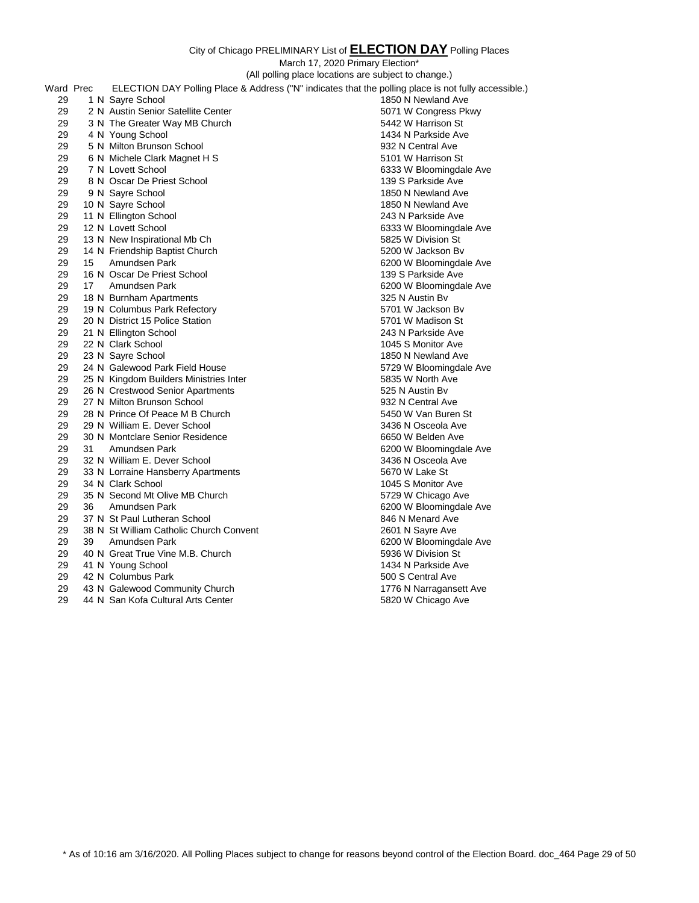| ELECTION DAY Polling Place & Address ("N" indicates that the polling place is not fully accessible.)<br>Ward Prec<br>1 N Sayre School<br>29<br>1850 N Newland Ave<br>29<br>2 N Austin Senior Satellite Center<br>5071 W Congress Pkwy<br>29<br>3 N The Greater Way MB Church<br>5442 W Harrison St<br>29<br>4 N Young School<br>1434 N Parkside Ave<br>29<br>932 N Central Ave<br>5 N Milton Brunson School<br>29<br>5101 W Harrison St<br>6 N Michele Clark Magnet H S<br>29<br>6333 W Bloomingdale Ave<br>7 N Lovett School<br>29<br>8 N Oscar De Priest School<br>139 S Parkside Ave<br>29<br>9 N Sayre School<br>1850 N Newland Ave<br>29<br>10 N Sayre School<br>1850 N Newland Ave<br>29<br>11 N Ellington School<br>243 N Parkside Ave<br>29<br>12 N Lovett School<br>6333 W Bloomingdale Ave<br>29<br>13 N New Inspirational Mb Ch<br>5825 W Division St<br>29<br>14 N Friendship Baptist Church<br>5200 W Jackson By<br>29<br>Amundsen Park<br>15<br>6200 W Bloomingdale Ave<br>29<br>16 N Oscar De Priest School<br>139 S Parkside Ave<br>29<br>17<br>Amundsen Park<br>6200 W Bloomingdale Ave<br>29<br>18 N Burnham Apartments<br>325 N Austin By<br>29<br>5701 W Jackson By<br>19 N Columbus Park Refectory<br>29<br>20 N District 15 Police Station<br>5701 W Madison St<br>29<br>243 N Parkside Ave<br>21 N Ellington School<br>29<br>22 N Clark School<br>1045 S Monitor Ave<br>29<br>23 N Sayre School<br>1850 N Newland Ave<br>29<br>24 N Galewood Park Field House<br>5729 W Bloomingdale Ave<br>29<br>25 N Kingdom Builders Ministries Inter<br>5835 W North Ave<br>29<br>26 N Crestwood Senior Apartments<br>525 N Austin By<br>29<br>27 N Milton Brunson School<br>932 N Central Ave<br>29<br>28 N Prince Of Peace M B Church<br>5450 W Van Buren St<br>29<br>29 N William E. Dever School<br>3436 N Osceola Ave<br>29<br>30 N Montclare Senior Residence<br>6650 W Belden Ave<br>29<br>31<br>Amundsen Park<br>6200 W Bloomingdale Ave<br>29<br>32 N William E. Dever School<br>3436 N Osceola Ave<br>29<br>33 N Lorraine Hansberry Apartments<br>5670 W Lake St<br>29<br>34 N Clark School<br>1045 S Monitor Ave<br>29<br>35 N Second Mt Olive MB Church<br>5729 W Chicago Ave<br>29<br>Amundsen Park<br>36<br>6200 W Bloomingdale Ave<br>29<br>37 N St Paul Lutheran School<br>846 N Menard Ave<br>29<br>38 N St William Catholic Church Convent<br>2601 N Sayre Ave<br>29<br>39<br>Amundsen Park<br>6200 W Bloomingdale Ave<br>29<br>40 N Great True Vine M.B. Church<br>5936 W Division St<br>29<br>41 N Young School<br>1434 N Parkside Ave<br>29<br>42 N Columbus Park<br>500 S Central Ave<br>29<br>43 N Galewood Community Church<br>1776 N Narragansett Ave<br>29<br>44 N San Kofa Cultural Arts Center<br>5820 W Chicago Ave |  | (All polling place locations are subject to change.) |  |
|-------------------------------------------------------------------------------------------------------------------------------------------------------------------------------------------------------------------------------------------------------------------------------------------------------------------------------------------------------------------------------------------------------------------------------------------------------------------------------------------------------------------------------------------------------------------------------------------------------------------------------------------------------------------------------------------------------------------------------------------------------------------------------------------------------------------------------------------------------------------------------------------------------------------------------------------------------------------------------------------------------------------------------------------------------------------------------------------------------------------------------------------------------------------------------------------------------------------------------------------------------------------------------------------------------------------------------------------------------------------------------------------------------------------------------------------------------------------------------------------------------------------------------------------------------------------------------------------------------------------------------------------------------------------------------------------------------------------------------------------------------------------------------------------------------------------------------------------------------------------------------------------------------------------------------------------------------------------------------------------------------------------------------------------------------------------------------------------------------------------------------------------------------------------------------------------------------------------------------------------------------------------------------------------------------------------------------------------------------------------------------------------------------------------------------------------------------------------------------------------------------------------------------------------------------------------------------------------------------------------------------------------------------------------------------------------------------------------------------------------------------------|--|------------------------------------------------------|--|
|                                                                                                                                                                                                                                                                                                                                                                                                                                                                                                                                                                                                                                                                                                                                                                                                                                                                                                                                                                                                                                                                                                                                                                                                                                                                                                                                                                                                                                                                                                                                                                                                                                                                                                                                                                                                                                                                                                                                                                                                                                                                                                                                                                                                                                                                                                                                                                                                                                                                                                                                                                                                                                                                                                                                                             |  |                                                      |  |
|                                                                                                                                                                                                                                                                                                                                                                                                                                                                                                                                                                                                                                                                                                                                                                                                                                                                                                                                                                                                                                                                                                                                                                                                                                                                                                                                                                                                                                                                                                                                                                                                                                                                                                                                                                                                                                                                                                                                                                                                                                                                                                                                                                                                                                                                                                                                                                                                                                                                                                                                                                                                                                                                                                                                                             |  |                                                      |  |
|                                                                                                                                                                                                                                                                                                                                                                                                                                                                                                                                                                                                                                                                                                                                                                                                                                                                                                                                                                                                                                                                                                                                                                                                                                                                                                                                                                                                                                                                                                                                                                                                                                                                                                                                                                                                                                                                                                                                                                                                                                                                                                                                                                                                                                                                                                                                                                                                                                                                                                                                                                                                                                                                                                                                                             |  |                                                      |  |
|                                                                                                                                                                                                                                                                                                                                                                                                                                                                                                                                                                                                                                                                                                                                                                                                                                                                                                                                                                                                                                                                                                                                                                                                                                                                                                                                                                                                                                                                                                                                                                                                                                                                                                                                                                                                                                                                                                                                                                                                                                                                                                                                                                                                                                                                                                                                                                                                                                                                                                                                                                                                                                                                                                                                                             |  |                                                      |  |
|                                                                                                                                                                                                                                                                                                                                                                                                                                                                                                                                                                                                                                                                                                                                                                                                                                                                                                                                                                                                                                                                                                                                                                                                                                                                                                                                                                                                                                                                                                                                                                                                                                                                                                                                                                                                                                                                                                                                                                                                                                                                                                                                                                                                                                                                                                                                                                                                                                                                                                                                                                                                                                                                                                                                                             |  |                                                      |  |
|                                                                                                                                                                                                                                                                                                                                                                                                                                                                                                                                                                                                                                                                                                                                                                                                                                                                                                                                                                                                                                                                                                                                                                                                                                                                                                                                                                                                                                                                                                                                                                                                                                                                                                                                                                                                                                                                                                                                                                                                                                                                                                                                                                                                                                                                                                                                                                                                                                                                                                                                                                                                                                                                                                                                                             |  |                                                      |  |
|                                                                                                                                                                                                                                                                                                                                                                                                                                                                                                                                                                                                                                                                                                                                                                                                                                                                                                                                                                                                                                                                                                                                                                                                                                                                                                                                                                                                                                                                                                                                                                                                                                                                                                                                                                                                                                                                                                                                                                                                                                                                                                                                                                                                                                                                                                                                                                                                                                                                                                                                                                                                                                                                                                                                                             |  |                                                      |  |
|                                                                                                                                                                                                                                                                                                                                                                                                                                                                                                                                                                                                                                                                                                                                                                                                                                                                                                                                                                                                                                                                                                                                                                                                                                                                                                                                                                                                                                                                                                                                                                                                                                                                                                                                                                                                                                                                                                                                                                                                                                                                                                                                                                                                                                                                                                                                                                                                                                                                                                                                                                                                                                                                                                                                                             |  |                                                      |  |
|                                                                                                                                                                                                                                                                                                                                                                                                                                                                                                                                                                                                                                                                                                                                                                                                                                                                                                                                                                                                                                                                                                                                                                                                                                                                                                                                                                                                                                                                                                                                                                                                                                                                                                                                                                                                                                                                                                                                                                                                                                                                                                                                                                                                                                                                                                                                                                                                                                                                                                                                                                                                                                                                                                                                                             |  |                                                      |  |
|                                                                                                                                                                                                                                                                                                                                                                                                                                                                                                                                                                                                                                                                                                                                                                                                                                                                                                                                                                                                                                                                                                                                                                                                                                                                                                                                                                                                                                                                                                                                                                                                                                                                                                                                                                                                                                                                                                                                                                                                                                                                                                                                                                                                                                                                                                                                                                                                                                                                                                                                                                                                                                                                                                                                                             |  |                                                      |  |
|                                                                                                                                                                                                                                                                                                                                                                                                                                                                                                                                                                                                                                                                                                                                                                                                                                                                                                                                                                                                                                                                                                                                                                                                                                                                                                                                                                                                                                                                                                                                                                                                                                                                                                                                                                                                                                                                                                                                                                                                                                                                                                                                                                                                                                                                                                                                                                                                                                                                                                                                                                                                                                                                                                                                                             |  |                                                      |  |
|                                                                                                                                                                                                                                                                                                                                                                                                                                                                                                                                                                                                                                                                                                                                                                                                                                                                                                                                                                                                                                                                                                                                                                                                                                                                                                                                                                                                                                                                                                                                                                                                                                                                                                                                                                                                                                                                                                                                                                                                                                                                                                                                                                                                                                                                                                                                                                                                                                                                                                                                                                                                                                                                                                                                                             |  |                                                      |  |
|                                                                                                                                                                                                                                                                                                                                                                                                                                                                                                                                                                                                                                                                                                                                                                                                                                                                                                                                                                                                                                                                                                                                                                                                                                                                                                                                                                                                                                                                                                                                                                                                                                                                                                                                                                                                                                                                                                                                                                                                                                                                                                                                                                                                                                                                                                                                                                                                                                                                                                                                                                                                                                                                                                                                                             |  |                                                      |  |
|                                                                                                                                                                                                                                                                                                                                                                                                                                                                                                                                                                                                                                                                                                                                                                                                                                                                                                                                                                                                                                                                                                                                                                                                                                                                                                                                                                                                                                                                                                                                                                                                                                                                                                                                                                                                                                                                                                                                                                                                                                                                                                                                                                                                                                                                                                                                                                                                                                                                                                                                                                                                                                                                                                                                                             |  |                                                      |  |
|                                                                                                                                                                                                                                                                                                                                                                                                                                                                                                                                                                                                                                                                                                                                                                                                                                                                                                                                                                                                                                                                                                                                                                                                                                                                                                                                                                                                                                                                                                                                                                                                                                                                                                                                                                                                                                                                                                                                                                                                                                                                                                                                                                                                                                                                                                                                                                                                                                                                                                                                                                                                                                                                                                                                                             |  |                                                      |  |
|                                                                                                                                                                                                                                                                                                                                                                                                                                                                                                                                                                                                                                                                                                                                                                                                                                                                                                                                                                                                                                                                                                                                                                                                                                                                                                                                                                                                                                                                                                                                                                                                                                                                                                                                                                                                                                                                                                                                                                                                                                                                                                                                                                                                                                                                                                                                                                                                                                                                                                                                                                                                                                                                                                                                                             |  |                                                      |  |
|                                                                                                                                                                                                                                                                                                                                                                                                                                                                                                                                                                                                                                                                                                                                                                                                                                                                                                                                                                                                                                                                                                                                                                                                                                                                                                                                                                                                                                                                                                                                                                                                                                                                                                                                                                                                                                                                                                                                                                                                                                                                                                                                                                                                                                                                                                                                                                                                                                                                                                                                                                                                                                                                                                                                                             |  |                                                      |  |
|                                                                                                                                                                                                                                                                                                                                                                                                                                                                                                                                                                                                                                                                                                                                                                                                                                                                                                                                                                                                                                                                                                                                                                                                                                                                                                                                                                                                                                                                                                                                                                                                                                                                                                                                                                                                                                                                                                                                                                                                                                                                                                                                                                                                                                                                                                                                                                                                                                                                                                                                                                                                                                                                                                                                                             |  |                                                      |  |
|                                                                                                                                                                                                                                                                                                                                                                                                                                                                                                                                                                                                                                                                                                                                                                                                                                                                                                                                                                                                                                                                                                                                                                                                                                                                                                                                                                                                                                                                                                                                                                                                                                                                                                                                                                                                                                                                                                                                                                                                                                                                                                                                                                                                                                                                                                                                                                                                                                                                                                                                                                                                                                                                                                                                                             |  |                                                      |  |
|                                                                                                                                                                                                                                                                                                                                                                                                                                                                                                                                                                                                                                                                                                                                                                                                                                                                                                                                                                                                                                                                                                                                                                                                                                                                                                                                                                                                                                                                                                                                                                                                                                                                                                                                                                                                                                                                                                                                                                                                                                                                                                                                                                                                                                                                                                                                                                                                                                                                                                                                                                                                                                                                                                                                                             |  |                                                      |  |
|                                                                                                                                                                                                                                                                                                                                                                                                                                                                                                                                                                                                                                                                                                                                                                                                                                                                                                                                                                                                                                                                                                                                                                                                                                                                                                                                                                                                                                                                                                                                                                                                                                                                                                                                                                                                                                                                                                                                                                                                                                                                                                                                                                                                                                                                                                                                                                                                                                                                                                                                                                                                                                                                                                                                                             |  |                                                      |  |
|                                                                                                                                                                                                                                                                                                                                                                                                                                                                                                                                                                                                                                                                                                                                                                                                                                                                                                                                                                                                                                                                                                                                                                                                                                                                                                                                                                                                                                                                                                                                                                                                                                                                                                                                                                                                                                                                                                                                                                                                                                                                                                                                                                                                                                                                                                                                                                                                                                                                                                                                                                                                                                                                                                                                                             |  |                                                      |  |
|                                                                                                                                                                                                                                                                                                                                                                                                                                                                                                                                                                                                                                                                                                                                                                                                                                                                                                                                                                                                                                                                                                                                                                                                                                                                                                                                                                                                                                                                                                                                                                                                                                                                                                                                                                                                                                                                                                                                                                                                                                                                                                                                                                                                                                                                                                                                                                                                                                                                                                                                                                                                                                                                                                                                                             |  |                                                      |  |
|                                                                                                                                                                                                                                                                                                                                                                                                                                                                                                                                                                                                                                                                                                                                                                                                                                                                                                                                                                                                                                                                                                                                                                                                                                                                                                                                                                                                                                                                                                                                                                                                                                                                                                                                                                                                                                                                                                                                                                                                                                                                                                                                                                                                                                                                                                                                                                                                                                                                                                                                                                                                                                                                                                                                                             |  |                                                      |  |
|                                                                                                                                                                                                                                                                                                                                                                                                                                                                                                                                                                                                                                                                                                                                                                                                                                                                                                                                                                                                                                                                                                                                                                                                                                                                                                                                                                                                                                                                                                                                                                                                                                                                                                                                                                                                                                                                                                                                                                                                                                                                                                                                                                                                                                                                                                                                                                                                                                                                                                                                                                                                                                                                                                                                                             |  |                                                      |  |
|                                                                                                                                                                                                                                                                                                                                                                                                                                                                                                                                                                                                                                                                                                                                                                                                                                                                                                                                                                                                                                                                                                                                                                                                                                                                                                                                                                                                                                                                                                                                                                                                                                                                                                                                                                                                                                                                                                                                                                                                                                                                                                                                                                                                                                                                                                                                                                                                                                                                                                                                                                                                                                                                                                                                                             |  |                                                      |  |
|                                                                                                                                                                                                                                                                                                                                                                                                                                                                                                                                                                                                                                                                                                                                                                                                                                                                                                                                                                                                                                                                                                                                                                                                                                                                                                                                                                                                                                                                                                                                                                                                                                                                                                                                                                                                                                                                                                                                                                                                                                                                                                                                                                                                                                                                                                                                                                                                                                                                                                                                                                                                                                                                                                                                                             |  |                                                      |  |
|                                                                                                                                                                                                                                                                                                                                                                                                                                                                                                                                                                                                                                                                                                                                                                                                                                                                                                                                                                                                                                                                                                                                                                                                                                                                                                                                                                                                                                                                                                                                                                                                                                                                                                                                                                                                                                                                                                                                                                                                                                                                                                                                                                                                                                                                                                                                                                                                                                                                                                                                                                                                                                                                                                                                                             |  |                                                      |  |
|                                                                                                                                                                                                                                                                                                                                                                                                                                                                                                                                                                                                                                                                                                                                                                                                                                                                                                                                                                                                                                                                                                                                                                                                                                                                                                                                                                                                                                                                                                                                                                                                                                                                                                                                                                                                                                                                                                                                                                                                                                                                                                                                                                                                                                                                                                                                                                                                                                                                                                                                                                                                                                                                                                                                                             |  |                                                      |  |
|                                                                                                                                                                                                                                                                                                                                                                                                                                                                                                                                                                                                                                                                                                                                                                                                                                                                                                                                                                                                                                                                                                                                                                                                                                                                                                                                                                                                                                                                                                                                                                                                                                                                                                                                                                                                                                                                                                                                                                                                                                                                                                                                                                                                                                                                                                                                                                                                                                                                                                                                                                                                                                                                                                                                                             |  |                                                      |  |
|                                                                                                                                                                                                                                                                                                                                                                                                                                                                                                                                                                                                                                                                                                                                                                                                                                                                                                                                                                                                                                                                                                                                                                                                                                                                                                                                                                                                                                                                                                                                                                                                                                                                                                                                                                                                                                                                                                                                                                                                                                                                                                                                                                                                                                                                                                                                                                                                                                                                                                                                                                                                                                                                                                                                                             |  |                                                      |  |
|                                                                                                                                                                                                                                                                                                                                                                                                                                                                                                                                                                                                                                                                                                                                                                                                                                                                                                                                                                                                                                                                                                                                                                                                                                                                                                                                                                                                                                                                                                                                                                                                                                                                                                                                                                                                                                                                                                                                                                                                                                                                                                                                                                                                                                                                                                                                                                                                                                                                                                                                                                                                                                                                                                                                                             |  |                                                      |  |
|                                                                                                                                                                                                                                                                                                                                                                                                                                                                                                                                                                                                                                                                                                                                                                                                                                                                                                                                                                                                                                                                                                                                                                                                                                                                                                                                                                                                                                                                                                                                                                                                                                                                                                                                                                                                                                                                                                                                                                                                                                                                                                                                                                                                                                                                                                                                                                                                                                                                                                                                                                                                                                                                                                                                                             |  |                                                      |  |
|                                                                                                                                                                                                                                                                                                                                                                                                                                                                                                                                                                                                                                                                                                                                                                                                                                                                                                                                                                                                                                                                                                                                                                                                                                                                                                                                                                                                                                                                                                                                                                                                                                                                                                                                                                                                                                                                                                                                                                                                                                                                                                                                                                                                                                                                                                                                                                                                                                                                                                                                                                                                                                                                                                                                                             |  |                                                      |  |
|                                                                                                                                                                                                                                                                                                                                                                                                                                                                                                                                                                                                                                                                                                                                                                                                                                                                                                                                                                                                                                                                                                                                                                                                                                                                                                                                                                                                                                                                                                                                                                                                                                                                                                                                                                                                                                                                                                                                                                                                                                                                                                                                                                                                                                                                                                                                                                                                                                                                                                                                                                                                                                                                                                                                                             |  |                                                      |  |
|                                                                                                                                                                                                                                                                                                                                                                                                                                                                                                                                                                                                                                                                                                                                                                                                                                                                                                                                                                                                                                                                                                                                                                                                                                                                                                                                                                                                                                                                                                                                                                                                                                                                                                                                                                                                                                                                                                                                                                                                                                                                                                                                                                                                                                                                                                                                                                                                                                                                                                                                                                                                                                                                                                                                                             |  |                                                      |  |
|                                                                                                                                                                                                                                                                                                                                                                                                                                                                                                                                                                                                                                                                                                                                                                                                                                                                                                                                                                                                                                                                                                                                                                                                                                                                                                                                                                                                                                                                                                                                                                                                                                                                                                                                                                                                                                                                                                                                                                                                                                                                                                                                                                                                                                                                                                                                                                                                                                                                                                                                                                                                                                                                                                                                                             |  |                                                      |  |
|                                                                                                                                                                                                                                                                                                                                                                                                                                                                                                                                                                                                                                                                                                                                                                                                                                                                                                                                                                                                                                                                                                                                                                                                                                                                                                                                                                                                                                                                                                                                                                                                                                                                                                                                                                                                                                                                                                                                                                                                                                                                                                                                                                                                                                                                                                                                                                                                                                                                                                                                                                                                                                                                                                                                                             |  |                                                      |  |
|                                                                                                                                                                                                                                                                                                                                                                                                                                                                                                                                                                                                                                                                                                                                                                                                                                                                                                                                                                                                                                                                                                                                                                                                                                                                                                                                                                                                                                                                                                                                                                                                                                                                                                                                                                                                                                                                                                                                                                                                                                                                                                                                                                                                                                                                                                                                                                                                                                                                                                                                                                                                                                                                                                                                                             |  |                                                      |  |
|                                                                                                                                                                                                                                                                                                                                                                                                                                                                                                                                                                                                                                                                                                                                                                                                                                                                                                                                                                                                                                                                                                                                                                                                                                                                                                                                                                                                                                                                                                                                                                                                                                                                                                                                                                                                                                                                                                                                                                                                                                                                                                                                                                                                                                                                                                                                                                                                                                                                                                                                                                                                                                                                                                                                                             |  |                                                      |  |
|                                                                                                                                                                                                                                                                                                                                                                                                                                                                                                                                                                                                                                                                                                                                                                                                                                                                                                                                                                                                                                                                                                                                                                                                                                                                                                                                                                                                                                                                                                                                                                                                                                                                                                                                                                                                                                                                                                                                                                                                                                                                                                                                                                                                                                                                                                                                                                                                                                                                                                                                                                                                                                                                                                                                                             |  |                                                      |  |
|                                                                                                                                                                                                                                                                                                                                                                                                                                                                                                                                                                                                                                                                                                                                                                                                                                                                                                                                                                                                                                                                                                                                                                                                                                                                                                                                                                                                                                                                                                                                                                                                                                                                                                                                                                                                                                                                                                                                                                                                                                                                                                                                                                                                                                                                                                                                                                                                                                                                                                                                                                                                                                                                                                                                                             |  |                                                      |  |
|                                                                                                                                                                                                                                                                                                                                                                                                                                                                                                                                                                                                                                                                                                                                                                                                                                                                                                                                                                                                                                                                                                                                                                                                                                                                                                                                                                                                                                                                                                                                                                                                                                                                                                                                                                                                                                                                                                                                                                                                                                                                                                                                                                                                                                                                                                                                                                                                                                                                                                                                                                                                                                                                                                                                                             |  |                                                      |  |
|                                                                                                                                                                                                                                                                                                                                                                                                                                                                                                                                                                                                                                                                                                                                                                                                                                                                                                                                                                                                                                                                                                                                                                                                                                                                                                                                                                                                                                                                                                                                                                                                                                                                                                                                                                                                                                                                                                                                                                                                                                                                                                                                                                                                                                                                                                                                                                                                                                                                                                                                                                                                                                                                                                                                                             |  |                                                      |  |
|                                                                                                                                                                                                                                                                                                                                                                                                                                                                                                                                                                                                                                                                                                                                                                                                                                                                                                                                                                                                                                                                                                                                                                                                                                                                                                                                                                                                                                                                                                                                                                                                                                                                                                                                                                                                                                                                                                                                                                                                                                                                                                                                                                                                                                                                                                                                                                                                                                                                                                                                                                                                                                                                                                                                                             |  |                                                      |  |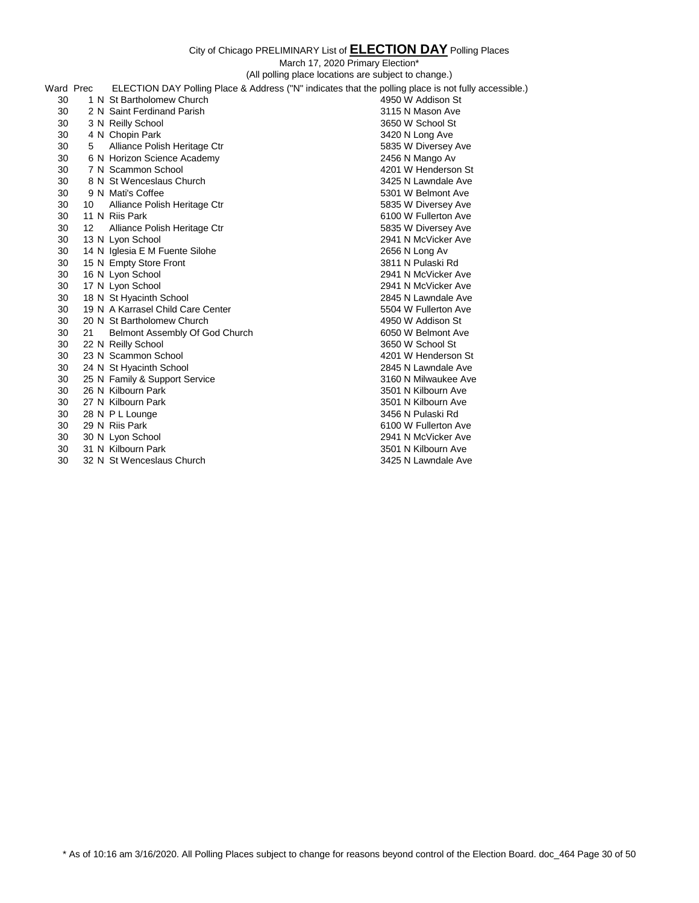|           |    | (All polling place locations are subject to change.)                                                 |                      |  |
|-----------|----|------------------------------------------------------------------------------------------------------|----------------------|--|
| Ward Prec |    | ELECTION DAY Polling Place & Address ("N" indicates that the polling place is not fully accessible.) |                      |  |
| 30        |    | 1 N St Bartholomew Church                                                                            | 4950 W Addison St    |  |
| 30        |    | 2 N Saint Ferdinand Parish                                                                           | 3115 N Mason Ave     |  |
| 30        |    | 3 N Reilly School                                                                                    | 3650 W School St     |  |
| 30        |    | 4 N Chopin Park                                                                                      | 3420 N Long Ave      |  |
| 30        | 5  | Alliance Polish Heritage Ctr                                                                         | 5835 W Diversey Ave  |  |
| 30        |    | 6 N Horizon Science Academy                                                                          | 2456 N Mango Av      |  |
| 30        |    | 7 N Scammon School                                                                                   | 4201 W Henderson St  |  |
| 30        |    | 8 N St Wenceslaus Church                                                                             | 3425 N Lawndale Ave  |  |
| 30        |    | 9 N Mati's Coffee                                                                                    | 5301 W Belmont Ave   |  |
| 30        | 10 | Alliance Polish Heritage Ctr                                                                         | 5835 W Diversey Ave  |  |
| 30        |    | 11 N Riis Park                                                                                       | 6100 W Fullerton Ave |  |
| 30        | 12 | Alliance Polish Heritage Ctr                                                                         | 5835 W Diversey Ave  |  |
| 30        |    | 13 N Lyon School                                                                                     | 2941 N McVicker Ave  |  |
| 30        |    | 14 N Iglesia E M Fuente Silohe                                                                       | 2656 N Long Av       |  |
| 30        |    | 15 N Empty Store Front                                                                               | 3811 N Pulaski Rd    |  |
| 30        |    | 16 N Lyon School                                                                                     | 2941 N McVicker Ave  |  |
| 30        |    | 17 N Lyon School                                                                                     | 2941 N McVicker Ave  |  |
| 30        |    | 18 N St Hyacinth School                                                                              | 2845 N Lawndale Ave  |  |
| 30        |    | 19 N A Karrasel Child Care Center                                                                    | 5504 W Fullerton Ave |  |
| 30        |    | 20 N St Bartholomew Church                                                                           | 4950 W Addison St    |  |
| 30        | 21 | Belmont Assembly Of God Church                                                                       | 6050 W Belmont Ave   |  |
| 30        |    | 22 N Reilly School                                                                                   | 3650 W School St     |  |
| 30        |    | 23 N Scammon School                                                                                  | 4201 W Henderson St  |  |
| 30        |    | 24 N St Hyacinth School                                                                              | 2845 N Lawndale Ave  |  |
| 30        |    | 25 N Family & Support Service                                                                        | 3160 N Milwaukee Ave |  |
| 30        |    | 26 N Kilbourn Park                                                                                   | 3501 N Kilbourn Ave  |  |
| 30        |    | 27 N Kilbourn Park                                                                                   | 3501 N Kilbourn Ave  |  |
| 30        |    | 28 N P L Lounge                                                                                      | 3456 N Pulaski Rd    |  |
| 30        |    | 29 N Riis Park                                                                                       | 6100 W Fullerton Ave |  |
| 30        |    | 30 N Lyon School                                                                                     | 2941 N McVicker Ave  |  |
| 30        |    | 31 N Kilbourn Park                                                                                   | 3501 N Kilbourn Ave  |  |
| 30        |    | 32 N St Wenceslaus Church                                                                            | 3425 N Lawndale Ave  |  |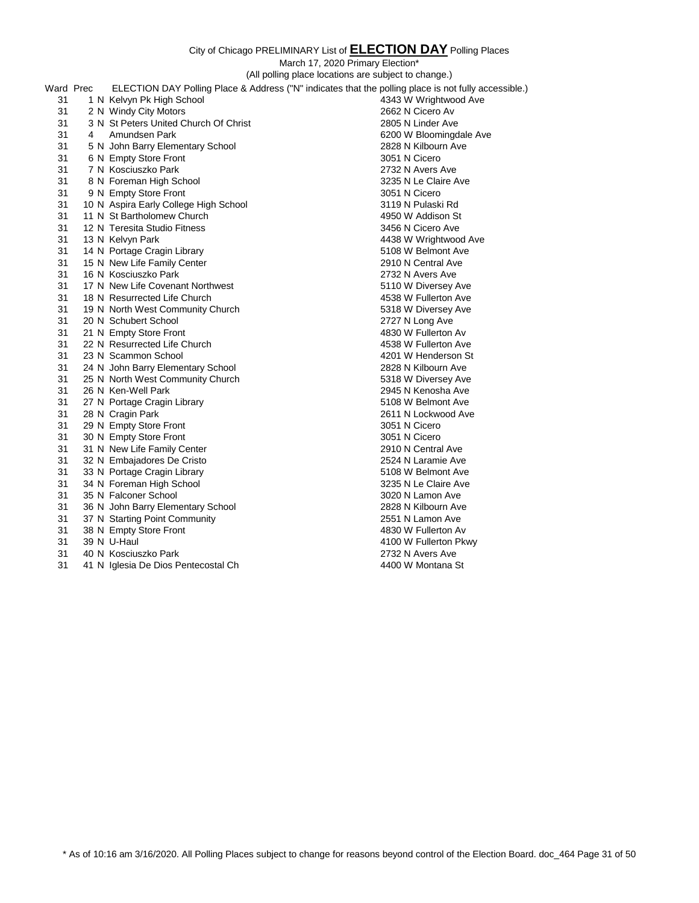City of Chicago PRELIMINARY List of **ELECTION DAY** Polling Places March 17, 2020 Primary Election\* (All polling place locations are subject to change.) Ward Prec ELECTION DAY Polling Place & Address ("N" indicates that the polling place is not fully accessible.)<br>31 1 N Kelvvn Pk High School 4343 W Wrightwood Ave 31 1 N Kelvyn Pk High School 2 N Windy City Motors 2662 N Cicero Av 3 N St Peters United Church Of Christ 2805 N Linder Ave 4 Amundsen Park 6200 W Bloomingdale Ave 5 N John Barry Elementary School 2828 N Kilbourn Ave 31 6 N Empty Store Front 3051 N Cicero 7 N Kosciuszko Park 2732 N Avers Ave 8 N Foreman High School 3235 N Le Claire Ave 31 9 N Empty Store Front 3051 N Cicero 3051 N Cicero 10 N Aspira Early College High School 3119 N Pulaski Rd 31 11 N St Bartholomew Church 4950 W Addison St 12 N Teresita Studio Fitness 3456 N Cicero Ave 13 N Kelvyn Park 4438 W Wrightwood Ave 31 14 N Portage Cragin Library 6108 W Belmont Ave 15 N New Life Family Center 2910 N Central Ave 16 N Kosciuszko Park 2732 N Avers Ave 17 N New Life Covenant Northwest 5110 W Diversey Ave 18 N Resurrected Life Church 4538 W Fullerton Ave 19 N North West Community Church 5318 W Diversey Ave 20 N Schubert School 2727 N Long Ave 31 21 N Empty Store Front 22 N Resurrected Life Church 4538 W Fullerton Ave 23 N Scammon School 4201 W Henderson St 24 N John Barry Elementary School 2828 N Kilbourn Ave 25 N North West Community Church 5318 W Diversey Ave 26 N Ken-Well Park 2945 N Kenosha Ave 31 27 N Portage Cragin Library 6108 W Belmont Ave 31 28 N Cragin Park 2611 N Lockwood Ave 2611 N Lockwood Ave 2611 N Lockwood Ave 2611 N Lockwood Ave 31 29 N Empty Store Front 31 30 N Empty Store Front 30 N Empty Store Front 3051 N Cicero 31 N New Life Family Center 2910 N Central Ave 32 N Embajadores De Cristo 2524 N Laramie Ave 33 N Portage Cragin Library 5108 W Belmont Ave

31 36 N John Barry Elementary School

31 34 N Foreman High School 3235 N Le Claire Ave 31 35 N Falconer School 3020 N Lamon Ave 3020 N Lamon Ave 31 3020 N Lamon Ave 31 3020 N Lamon Ave 31 3020 N Lamon Ave 31 37 N Starting Point Community 2551 N Lamon Ave 31 38 N Empty Store Front 4830 W Fullerton Av 31 39 N U-Haul 4100 W Fullerton Pkwy 31 40 N Kosciuszko Park 2732 N Avers Ave 31 41 N Iglesia De Dios Pentecostal Ch 4400 W Montana St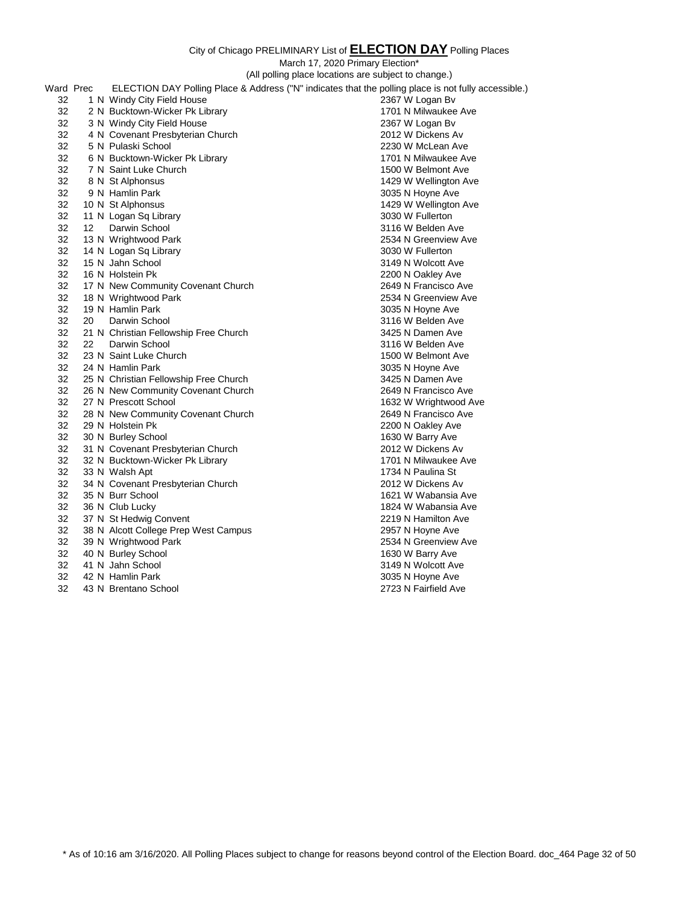|           |                                                                                          |                                                                                                      | City of Chicago Fitchminished ESC of <b>EEEO HON DAT</b> Folling Flaces |  |  |
|-----------|------------------------------------------------------------------------------------------|------------------------------------------------------------------------------------------------------|-------------------------------------------------------------------------|--|--|
|           | March 17, 2020 Primary Election*<br>(All polling place locations are subject to change.) |                                                                                                      |                                                                         |  |  |
| Ward Prec |                                                                                          | ELECTION DAY Polling Place & Address ("N" indicates that the polling place is not fully accessible.) |                                                                         |  |  |
|           |                                                                                          |                                                                                                      |                                                                         |  |  |
| 32        |                                                                                          | 1 N Windy City Field House                                                                           | 2367 W Logan Bv                                                         |  |  |
| 32        |                                                                                          | 2 N Bucktown-Wicker Pk Library                                                                       | 1701 N Milwaukee Ave                                                    |  |  |
| 32        |                                                                                          | 3 N Windy City Field House                                                                           | 2367 W Logan By                                                         |  |  |
| 32        |                                                                                          | 4 N Covenant Presbyterian Church                                                                     | 2012 W Dickens Av                                                       |  |  |
| 32        |                                                                                          | 5 N Pulaski School                                                                                   | 2230 W McLean Ave                                                       |  |  |
| 32        |                                                                                          | 6 N Bucktown-Wicker Pk Library                                                                       | 1701 N Milwaukee Ave                                                    |  |  |
| 32        |                                                                                          | 7 N Saint Luke Church                                                                                | 1500 W Belmont Ave                                                      |  |  |
| 32        |                                                                                          | 8 N St Alphonsus                                                                                     | 1429 W Wellington Ave                                                   |  |  |
| 32        |                                                                                          | 9 N Hamlin Park                                                                                      | 3035 N Hoyne Ave                                                        |  |  |
| 32        |                                                                                          | 10 N St Alphonsus                                                                                    | 1429 W Wellington Ave                                                   |  |  |
| 32        |                                                                                          | 11 N Logan Sq Library                                                                                | 3030 W Fullerton                                                        |  |  |
| 32        | 12 <sup>2</sup>                                                                          | Darwin School                                                                                        | 3116 W Belden Ave                                                       |  |  |
| 32        |                                                                                          | 13 N Wrightwood Park                                                                                 | 2534 N Greenview Ave                                                    |  |  |
| 32        |                                                                                          | 14 N Logan Sq Library                                                                                | 3030 W Fullerton                                                        |  |  |
| 32        |                                                                                          | 15 N Jahn School                                                                                     | 3149 N Wolcott Ave                                                      |  |  |
| 32        |                                                                                          | 16 N Holstein Pk                                                                                     | 2200 N Oakley Ave                                                       |  |  |
| 32        |                                                                                          | 17 N New Community Covenant Church                                                                   | 2649 N Francisco Ave                                                    |  |  |
| 32        |                                                                                          | 18 N Wrightwood Park                                                                                 | 2534 N Greenview Ave                                                    |  |  |
| 32        |                                                                                          | 19 N Hamlin Park                                                                                     | 3035 N Hoyne Ave                                                        |  |  |
| 32        | 20                                                                                       | Darwin School                                                                                        | 3116 W Belden Ave                                                       |  |  |
| 32        |                                                                                          | 21 N Christian Fellowship Free Church                                                                | 3425 N Damen Ave                                                        |  |  |
| 32        | 22                                                                                       | Darwin School                                                                                        | 3116 W Belden Ave                                                       |  |  |
| 32        |                                                                                          | 23 N Saint Luke Church                                                                               | 1500 W Belmont Ave                                                      |  |  |
| 32        |                                                                                          | 24 N Hamlin Park                                                                                     | 3035 N Hoyne Ave                                                        |  |  |
| 32        |                                                                                          | 25 N Christian Fellowship Free Church                                                                | 3425 N Damen Ave                                                        |  |  |
| 32        |                                                                                          | 26 N New Community Covenant Church                                                                   | 2649 N Francisco Ave                                                    |  |  |
| 32        |                                                                                          | 27 N Prescott School                                                                                 | 1632 W Wrightwood Ave                                                   |  |  |
| 32        |                                                                                          | 28 N New Community Covenant Church                                                                   | 2649 N Francisco Ave                                                    |  |  |
| 32        |                                                                                          | 29 N Holstein Pk                                                                                     | 2200 N Oakley Ave                                                       |  |  |
| 32        |                                                                                          | 30 N Burley School                                                                                   | 1630 W Barry Ave                                                        |  |  |
| 32        |                                                                                          | 31 N Covenant Presbyterian Church                                                                    | 2012 W Dickens Av                                                       |  |  |
| 32        |                                                                                          | 32 N Bucktown-Wicker Pk Library                                                                      | 1701 N Milwaukee Ave                                                    |  |  |
| 32        |                                                                                          | 33 N Walsh Apt                                                                                       | 1734 N Paulina St                                                       |  |  |
| 32        |                                                                                          | 34 N Covenant Presbyterian Church                                                                    | 2012 W Dickens Av                                                       |  |  |
| 32        |                                                                                          | 35 N Burr School                                                                                     | 1621 W Wabansia Ave                                                     |  |  |
| 32        |                                                                                          | 36 N Club Lucky                                                                                      | 1824 W Wabansia Ave                                                     |  |  |
| 32        |                                                                                          | 37 N St Hedwig Convent                                                                               | 2219 N Hamilton Ave                                                     |  |  |
| 32        |                                                                                          | 38 N Alcott College Prep West Campus                                                                 | 2957 N Hoyne Ave                                                        |  |  |
| 32        |                                                                                          | 39 N Wrightwood Park                                                                                 | 2534 N Greenview Ave                                                    |  |  |
| 32        |                                                                                          | 40 N Burley School                                                                                   | 1630 W Barry Ave                                                        |  |  |
| 32        |                                                                                          | 41 N Jahn School                                                                                     | 3149 N Wolcott Ave                                                      |  |  |
| 32        |                                                                                          | 42 N Hamlin Park                                                                                     | 3035 N Hoyne Ave                                                        |  |  |
| 32        |                                                                                          | 43 N Brentano School                                                                                 | 2723 N Fairfield Ave                                                    |  |  |

\* As of 10:16 am 3/16/2020. All Polling Places subject to change for reasons beyond control of the Election Board. doc\_464 Page 32 of 50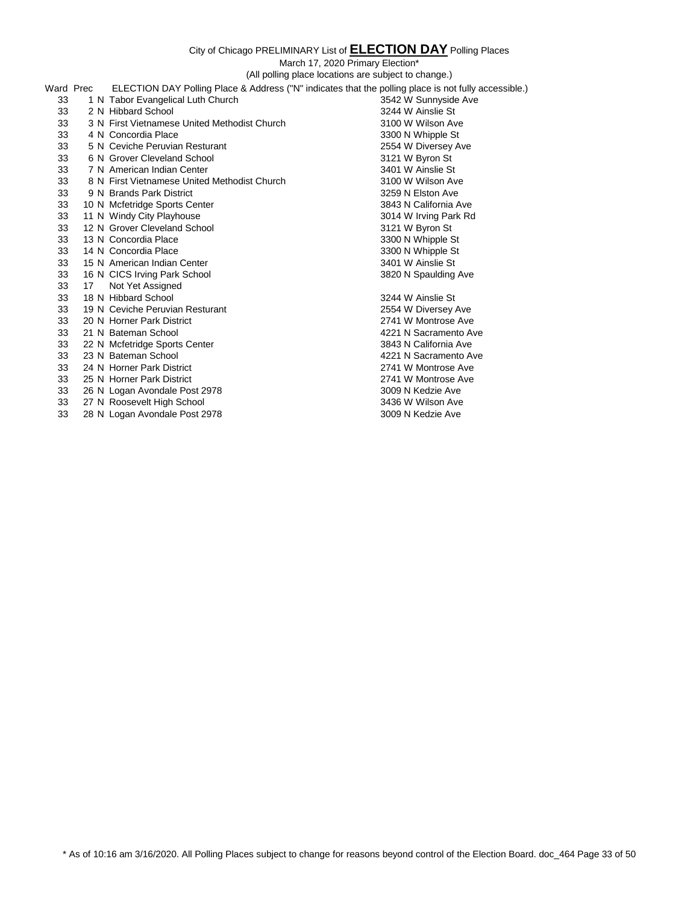March 17, 2020 Primary Election\*

(All polling place locations are subject to change.)

| Ward Prec |    |                                              | ELECTION DAY Polling Place & Address ("N" indicates that the polling place is not fully accessible.) |
|-----------|----|----------------------------------------------|------------------------------------------------------------------------------------------------------|
| 33        |    | 1 N Tabor Evangelical Luth Church            | 3542 W Sunnyside Ave                                                                                 |
| 33        |    | 2 N Hibbard School                           | 3244 W Ainslie St                                                                                    |
| 33        |    | 3 N First Vietnamese United Methodist Church | 3100 W Wilson Ave                                                                                    |
| 33        |    | 4 N Concordia Place                          | 3300 N Whipple St                                                                                    |
| 33        |    | 5 N Ceviche Peruvian Resturant               | 2554 W Diversey Ave                                                                                  |
| 33        |    | 6 N Grover Cleveland School                  | 3121 W Byron St                                                                                      |
| 33        |    | 7 N American Indian Center                   | 3401 W Ainslie St                                                                                    |
| 33        |    | 8 N First Vietnamese United Methodist Church | 3100 W Wilson Ave                                                                                    |
| 33        |    | 9 N Brands Park District                     | 3259 N Elston Ave                                                                                    |
| 33        |    | 10 N Mcfetridge Sports Center                | 3843 N California Ave                                                                                |
| 33        |    | 11 N Windy City Playhouse                    | 3014 W Irving Park Rd                                                                                |
| 33        |    | 12 N Grover Cleveland School                 | 3121 W Byron St                                                                                      |
| 33        |    | 13 N Concordia Place                         | 3300 N Whipple St                                                                                    |
| 33        |    | 14 N Concordia Place                         | 3300 N Whipple St                                                                                    |
| 33        |    | 15 N American Indian Center                  | 3401 W Ainslie St                                                                                    |
| 33        |    | 16 N CICS Irving Park School                 | 3820 N Spaulding Ave                                                                                 |
| 33        | 17 | Not Yet Assigned                             |                                                                                                      |
| 33        |    | 18 N Hibbard School                          | 3244 W Ainslie St                                                                                    |
| 33        |    | 19 N Ceviche Peruvian Resturant              | 2554 W Diversey Ave                                                                                  |
| 33        |    | 20 N Horner Park District                    | 2741 W Montrose Ave                                                                                  |
| 33        |    | 21 N Bateman School                          | 4221 N Sacramento Ave                                                                                |
| 33        |    | 22 N Mcfetridge Sports Center                | 3843 N California Ave                                                                                |
| 33        |    | 23 N Bateman School                          | 4221 N Sacramento Ave                                                                                |
| 33        |    | 24 N Horner Park District                    | 2741 W Montrose Ave                                                                                  |
| 33        |    | 25 N Horner Park District                    | 2741 W Montrose Ave                                                                                  |
| 33        |    | 26 N Logan Avondale Post 2978                | 3009 N Kedzie Ave                                                                                    |
| 33        |    | 27 N Roosevelt High School                   | 3436 W Wilson Ave                                                                                    |
| 33        |    | 28 N Logan Avondale Post 2978                | 3009 N Kedzie Ave                                                                                    |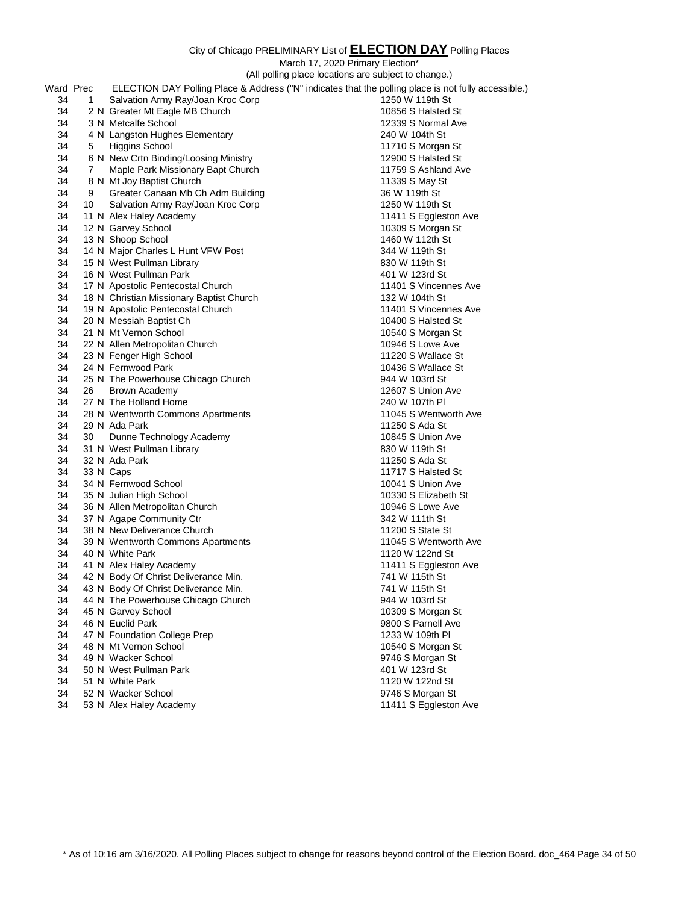|           |    |                                                                  | March 17, 2020 Primary Election*                                                                     |
|-----------|----|------------------------------------------------------------------|------------------------------------------------------------------------------------------------------|
|           |    |                                                                  | (All polling place locations are subject to change.)                                                 |
| Ward Prec |    |                                                                  | ELECTION DAY Polling Place & Address ("N" indicates that the polling place is not fully accessible.) |
| 34        | 1  | Salvation Army Ray/Joan Kroc Corp                                | 1250 W 119th St                                                                                      |
| 34        |    | 2 N Greater Mt Eagle MB Church                                   | 10856 S Halsted St                                                                                   |
| 34        |    | 3 N Metcalfe School                                              | 12339 S Normal Ave                                                                                   |
| 34        |    | 4 N Langston Hughes Elementary                                   | 240 W 104th St                                                                                       |
| 34        | 5  | Higgins School                                                   | 11710 S Morgan St                                                                                    |
| 34        |    | 6 N New Crtn Binding/Loosing Ministry                            | 12900 S Halsted St                                                                                   |
| 34        | 7  | Maple Park Missionary Bapt Church                                | 11759 S Ashland Ave                                                                                  |
| 34        |    | 8 N Mt Joy Baptist Church                                        | 11339 S May St                                                                                       |
| 34        | 9  | Greater Canaan Mb Ch Adm Building                                | 36 W 119th St                                                                                        |
| 34        | 10 | Salvation Army Ray/Joan Kroc Corp                                | 1250 W 119th St                                                                                      |
| 34        |    | 11 N Alex Haley Academy                                          | 11411 S Eggleston Ave                                                                                |
| 34        |    | 12 N Garvey School                                               | 10309 S Morgan St                                                                                    |
| 34        |    | 13 N Shoop School                                                | 1460 W 112th St                                                                                      |
| 34        |    | 14 N Major Charles L Hunt VFW Post                               | 344 W 119th St                                                                                       |
| 34        |    | 15 N West Pullman Library                                        | 830 W 119th St                                                                                       |
| 34        |    | 16 N West Pullman Park                                           | 401 W 123rd St                                                                                       |
| 34        |    | 17 N Apostolic Pentecostal Church                                | 11401 S Vincennes Ave                                                                                |
| 34        |    | 18 N Christian Missionary Baptist Church                         | 132 W 104th St                                                                                       |
| 34        |    | 19 N Apostolic Pentecostal Church                                | 11401 S Vincennes Ave                                                                                |
| 34        |    | 20 N Messiah Baptist Ch                                          | 10400 S Halsted St                                                                                   |
| 34        |    | 21 N Mt Vernon School                                            | 10540 S Morgan St                                                                                    |
| 34        |    | 22 N Allen Metropolitan Church                                   | 10946 S Lowe Ave                                                                                     |
| 34        |    | 23 N Fenger High School                                          | 11220 S Wallace St                                                                                   |
| 34        |    | 24 N Fernwood Park                                               | 10436 S Wallace St                                                                                   |
| 34        |    | 25 N The Powerhouse Chicago Church                               | 944 W 103rd St                                                                                       |
| 34        | 26 | Brown Academy                                                    | 12607 S Union Ave                                                                                    |
| 34        |    | 27 N The Holland Home                                            | 240 W 107th PI                                                                                       |
| 34        |    | 28 N Wentworth Commons Apartments                                | 11045 S Wentworth Ave                                                                                |
| 34        |    | 29 N Ada Park                                                    | 11250 S Ada St                                                                                       |
| 34        | 30 | Dunne Technology Academy                                         | 10845 S Union Ave                                                                                    |
| 34        |    | 31 N West Pullman Library                                        | 830 W 119th St                                                                                       |
| 34        |    | 32 N Ada Park                                                    | 11250 S Ada St                                                                                       |
| 34        |    | 33 N Caps                                                        | 11717 S Halsted St                                                                                   |
| 34        |    | 34 N Fernwood School                                             | 10041 S Union Ave                                                                                    |
| 34        |    | 35 N Julian High School                                          | 10330 S Elizabeth St                                                                                 |
| 34        |    | 36 N Allen Metropolitan Church                                   | 10946 S Lowe Ave                                                                                     |
| 34        |    | 37 N Agape Community Ctr                                         | 342 W 111th St                                                                                       |
| 34<br>34  |    | 38 N New Deliverance Church<br>39 N Wentworth Commons Apartments | 11200 S State St<br>11045 S Wentworth Ave                                                            |
| 34        |    |                                                                  | 1120 W 122nd St                                                                                      |
| 34        |    | 40 N White Park                                                  |                                                                                                      |
| 34        |    | 41 N Alex Haley Academy<br>42 N Body Of Christ Deliverance Min.  | 11411 S Eggleston Ave<br>741 W 115th St                                                              |
| 34        |    | 43 N Body Of Christ Deliverance Min.                             | 741 W 115th St                                                                                       |
| 34        |    | 44 N The Powerhouse Chicago Church                               | 944 W 103rd St                                                                                       |
| 34        |    | 45 N Garvey School                                               | 10309 S Morgan St                                                                                    |
| 34        |    | 46 N Euclid Park                                                 | 9800 S Parnell Ave                                                                                   |
| 34        |    | 47 N Foundation College Prep                                     | 1233 W 109th PI                                                                                      |
| 34        |    | 48 N Mt Vernon School                                            | 10540 S Morgan St                                                                                    |
| 34        |    | 49 N Wacker School                                               | 9746 S Morgan St                                                                                     |
| 34        |    | 50 N West Pullman Park                                           | 401 W 123rd St                                                                                       |
| 34        |    | 51 N White Park                                                  | 1120 W 122nd St                                                                                      |
| 34        |    | 52 N Wacker School                                               | 9746 S Morgan St                                                                                     |
|           |    |                                                                  |                                                                                                      |

53 N Alex Haley Academy 11411 S Eggleston Ave

\* As of 10:16 am 3/16/2020. All Polling Places subject to change for reasons beyond control of the Election Board. doc\_464 Page 34 of 50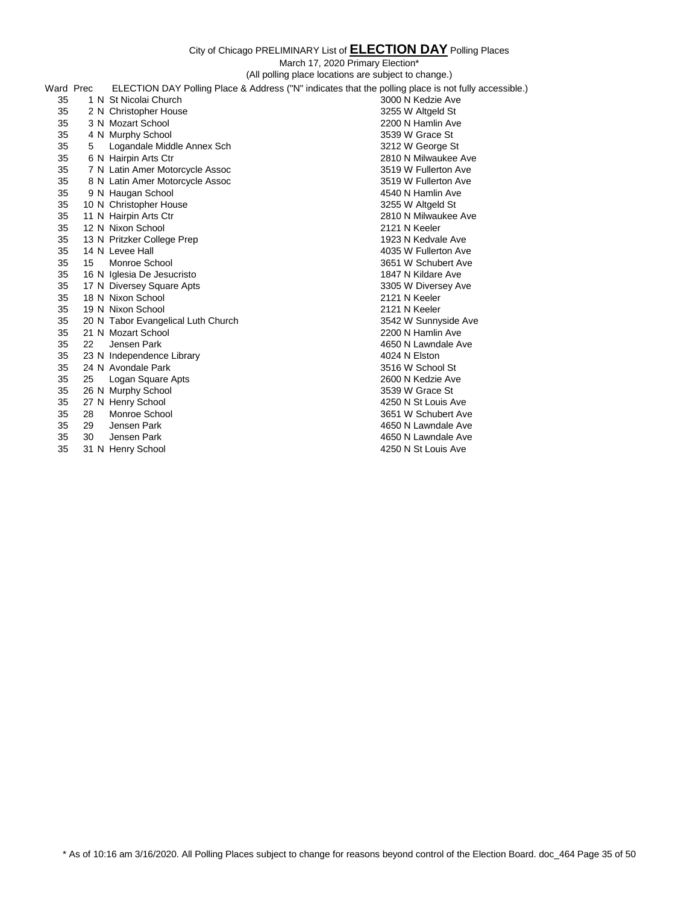March 17, 2020 Primary Election\*

(All polling place locations are subject to change.) Ward Prec ELECTION DAY Polling Place & Address ("N" indicates that the polling place is not fully accessible.) 1 N St Nicolai Church 3000 N Kedzie Ave 2 N Christopher House 3255 W Altgeld St 3 N Mozart School 2200 N Hamlin Ave 4 N Murphy School 3539 W Grace St 5 Logandale Middle Annex Sch 3212 W George St 6 N Hairpin Arts Ctr 2810 N Milwaukee Ave 7 N Latin Amer Motorcycle Assoc 3519 W Fullerton Ave 8 N Latin Amer Motorcycle Assoc 3519 W Fullerton Ave 9 N Haugan School 4540 N Hamlin Ave 10 N Christopher House 3255 W Altgeld St 11 N Hairpin Arts Ctr 2810 N Milwaukee Ave 12 N Nixon School 2121 N Keeler 13 N Pritzker College Prep 1923 N Kedvale Ave 14 N Levee Hall 4035 W Fullerton Ave 15 Monroe School 3651 W Schubert Ave 16 N Iglesia De Jesucristo 1847 N Kildare Ave 17 N Diversey Square Apts 3305 W Diversey Ave 18 N Nixon School 2121 N Keeler 19 N Nixon School 2121 N Keeler 35 20 N Tabor Evangelical Luth Church 3542 W Sunnyside Ave 3542 W Sunnyside Ave 3542 W Sunnyside Ave 21 N Mozart School 2200 N Hamlin Ave 22 Jensen Park 4650 N Lawndale Ave 23 N Independence Library 4024 N Elston 24 N Avondale Park 3516 W School St 25 Logan Square Apts 2600 N Kedzie Ave 26 N Murphy School 3539 W Grace St 27 N Henry School 4250 N St Louis Ave 35 28 Monroe School<br>35 29 Jensen Park 4650 N Lawndale Ave 30 Jensen Park 4650 N Lawndale Ave

31 N Henry School 4250 N St Louis Ave

\* As of 10:16 am 3/16/2020. All Polling Places subject to change for reasons beyond control of the Election Board. doc\_464 Page 35 of 50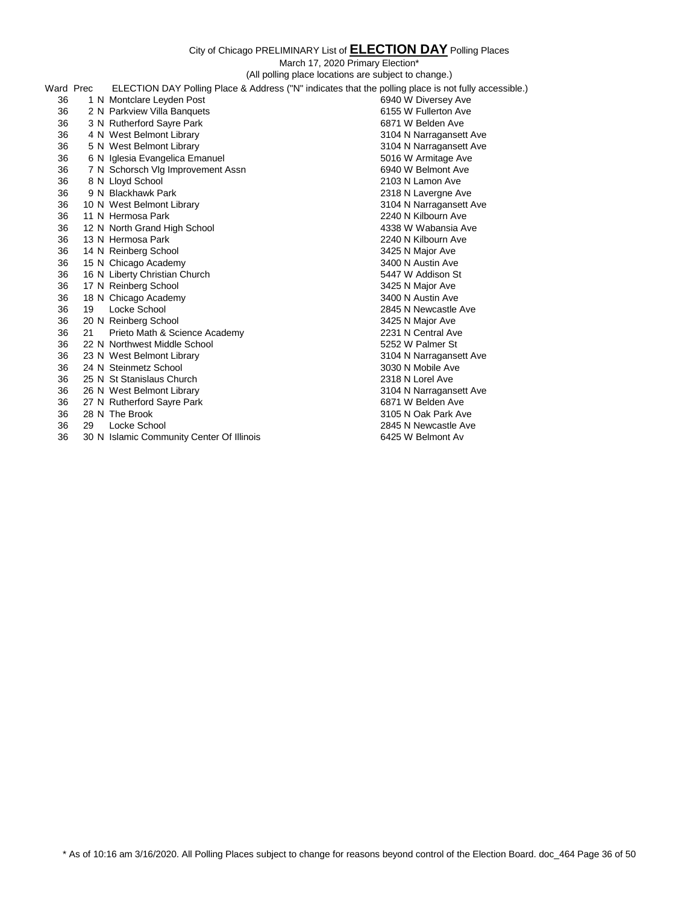March 17, 2020 Primary Election\* (All polling place locations are subject to change.)

|           |    |                                                                                                      | (All politing place locations are subject to criange.) |
|-----------|----|------------------------------------------------------------------------------------------------------|--------------------------------------------------------|
| Ward Prec |    | ELECTION DAY Polling Place & Address ("N" indicates that the polling place is not fully accessible.) |                                                        |
| 36        |    | 1 N Montclare Leyden Post                                                                            | 6940 W Diversey Ave                                    |
| 36        |    | 2 N Parkview Villa Banquets                                                                          | 6155 W Fullerton Ave                                   |
| 36        |    | 3 N Rutherford Sayre Park                                                                            | 6871 W Belden Ave                                      |
| 36        |    | 4 N West Belmont Library                                                                             | 3104 N Narragansett Ave                                |
| 36        |    | 5 N West Belmont Library                                                                             | 3104 N Narragansett Ave                                |
| 36        |    | 6 N Iglesia Evangelica Emanuel                                                                       | 5016 W Armitage Ave                                    |
| 36        |    | 7 N Schorsch Vlg Improvement Assn                                                                    | 6940 W Belmont Ave                                     |
| 36        |    | 8 N Lloyd School                                                                                     | 2103 N Lamon Ave                                       |
| 36        |    | 9 N Blackhawk Park                                                                                   | 2318 N Lavergne Ave                                    |
| 36        |    | 10 N West Belmont Library                                                                            | 3104 N Narragansett Ave                                |
| 36        |    | 11 N Hermosa Park                                                                                    | 2240 N Kilbourn Ave                                    |
| 36        |    | 12 N North Grand High School                                                                         | 4338 W Wabansia Ave                                    |
| 36        |    | 13 N Hermosa Park                                                                                    | 2240 N Kilbourn Ave                                    |
| 36        |    | 14 N Reinberg School                                                                                 | 3425 N Major Ave                                       |
| 36        |    | 15 N Chicago Academy                                                                                 | 3400 N Austin Ave                                      |
| 36        |    | 16 N Liberty Christian Church                                                                        | 5447 W Addison St                                      |
| 36        |    | 17 N Reinberg School                                                                                 | 3425 N Major Ave                                       |
| 36        |    | 18 N Chicago Academy                                                                                 | 3400 N Austin Ave                                      |
| 36        | 19 | Locke School                                                                                         | 2845 N Newcastle Ave                                   |
| 36        |    | 20 N Reinberg School                                                                                 | 3425 N Major Ave                                       |
| 36        | 21 | Prieto Math & Science Academy                                                                        | 2231 N Central Ave                                     |
| 36        |    | 22 N Northwest Middle School                                                                         | 5252 W Palmer St                                       |
| 36        |    | 23 N West Belmont Library                                                                            | 3104 N Narragansett Ave                                |
| 36        |    | 24 N Steinmetz School                                                                                | 3030 N Mobile Ave                                      |
| 36        |    | 25 N St Stanislaus Church                                                                            | 2318 N Lorel Ave                                       |
| 36        |    | 26 N West Belmont Library                                                                            | 3104 N Narragansett Ave                                |
| 36        |    | 27 N Rutherford Sayre Park                                                                           | 6871 W Belden Ave                                      |
| 36        |    | 28 N The Brook                                                                                       | 3105 N Oak Park Ave                                    |
| 36        | 29 | Locke School                                                                                         | 2845 N Newcastle Ave                                   |

30 N Islamic Community Center Of Illinois 6425 W Belmont Av

\* As of 10:16 am 3/16/2020. All Polling Places subject to change for reasons beyond control of the Election Board. doc\_464 Page 36 of 50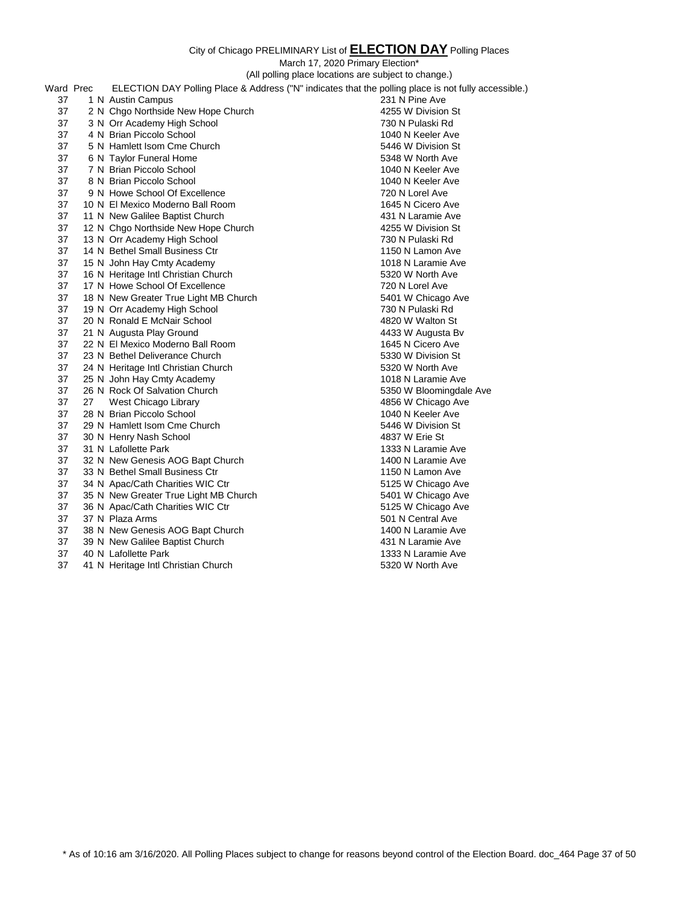|           |    |                                       | March 17, 2020 Primary Election*                                                                     |
|-----------|----|---------------------------------------|------------------------------------------------------------------------------------------------------|
|           |    |                                       | (All polling place locations are subject to change.)                                                 |
| Ward Prec |    |                                       | ELECTION DAY Polling Place & Address ("N" indicates that the polling place is not fully accessible.) |
| 37        |    | 1 N Austin Campus                     | 231 N Pine Ave                                                                                       |
| 37        |    | 2 N Chgo Northside New Hope Church    | 4255 W Division St                                                                                   |
| 37        |    | 3 N Orr Academy High School           | 730 N Pulaski Rd                                                                                     |
| 37        |    | 4 N Brian Piccolo School              | 1040 N Keeler Ave                                                                                    |
| 37        |    | 5 N Hamlett Isom Cme Church           | 5446 W Division St                                                                                   |
| 37        |    | 6 N Taylor Funeral Home               | 5348 W North Ave                                                                                     |
| 37        |    | 7 N Brian Piccolo School              | 1040 N Keeler Ave                                                                                    |
| 37        |    | 8 N Brian Piccolo School              | 1040 N Keeler Ave                                                                                    |
| 37        |    | 9 N Howe School Of Excellence         | 720 N Lorel Ave                                                                                      |
| 37        |    | 10 N El Mexico Moderno Ball Room      | 1645 N Cicero Ave                                                                                    |
| 37        |    | 11 N New Galilee Baptist Church       | 431 N Laramie Ave                                                                                    |
| 37        |    | 12 N Chgo Northside New Hope Church   | 4255 W Division St                                                                                   |
| 37        |    | 13 N Orr Academy High School          | 730 N Pulaski Rd                                                                                     |
| 37        |    | 14 N Bethel Small Business Ctr        | 1150 N Lamon Ave                                                                                     |
| 37        |    | 15 N John Hay Cmty Academy            | 1018 N Laramie Ave                                                                                   |
| 37        |    | 16 N Heritage Intl Christian Church   | 5320 W North Ave                                                                                     |
| 37        |    | 17 N Howe School Of Excellence        | 720 N Lorel Ave                                                                                      |
| 37        |    | 18 N New Greater True Light MB Church | 5401 W Chicago Ave                                                                                   |
| 37        |    | 19 N Orr Academy High School          | 730 N Pulaski Rd                                                                                     |
| 37        |    | 20 N Ronald E McNair School           | 4820 W Walton St                                                                                     |
| 37        |    | 21 N Augusta Play Ground              | 4433 W Augusta Bv                                                                                    |
| 37        |    | 22 N El Mexico Moderno Ball Room      | 1645 N Cicero Ave                                                                                    |
| 37        |    | 23 N Bethel Deliverance Church        | 5330 W Division St                                                                                   |
| 37        |    | 24 N Heritage Intl Christian Church   | 5320 W North Ave                                                                                     |
| 37        |    | 25 N John Hay Cmty Academy            | 1018 N Laramie Ave                                                                                   |
| 37        |    | 26 N Rock Of Salvation Church         | 5350 W Bloomingdale Ave                                                                              |
| 37        | 27 | West Chicago Library                  | 4856 W Chicago Ave                                                                                   |
| 37        |    | 28 N Brian Piccolo School             | 1040 N Keeler Ave                                                                                    |
| 37        |    | 29 N Hamlett Isom Cme Church          | 5446 W Division St                                                                                   |
| 37        |    | 30 N Henry Nash School                | 4837 W Erie St                                                                                       |
| 37        |    | 31 N Lafollette Park                  | 1333 N Laramie Ave                                                                                   |
| 37        |    | 32 N New Genesis AOG Bapt Church      | 1400 N Laramie Ave                                                                                   |
| 37        |    | 33 N Bethel Small Business Ctr        | 1150 N Lamon Ave                                                                                     |
| 37        |    | 34 N Apac/Cath Charities WIC Ctr      | 5125 W Chicago Ave                                                                                   |
| 37        |    | 35 N New Greater True Light MB Church | 5401 W Chicago Ave                                                                                   |
| 37        |    | 36 N Apac/Cath Charities WIC Ctr      | 5125 W Chicago Ave                                                                                   |
| 37        |    | 37 N Plaza Arms                       | 501 N Central Ave                                                                                    |
| 37        |    | 38 N New Genesis AOG Bapt Church      | 1400 N Laramie Ave                                                                                   |
| 37        |    | 39 N New Galilee Baptist Church       | 431 N Laramie Ave                                                                                    |
| 37        |    | 40 N Lafollette Park                  | 1333 N Laramie Ave                                                                                   |
| 37        |    | 41 N Heritage Intl Christian Church   | 5320 W North Ave                                                                                     |
|           |    |                                       |                                                                                                      |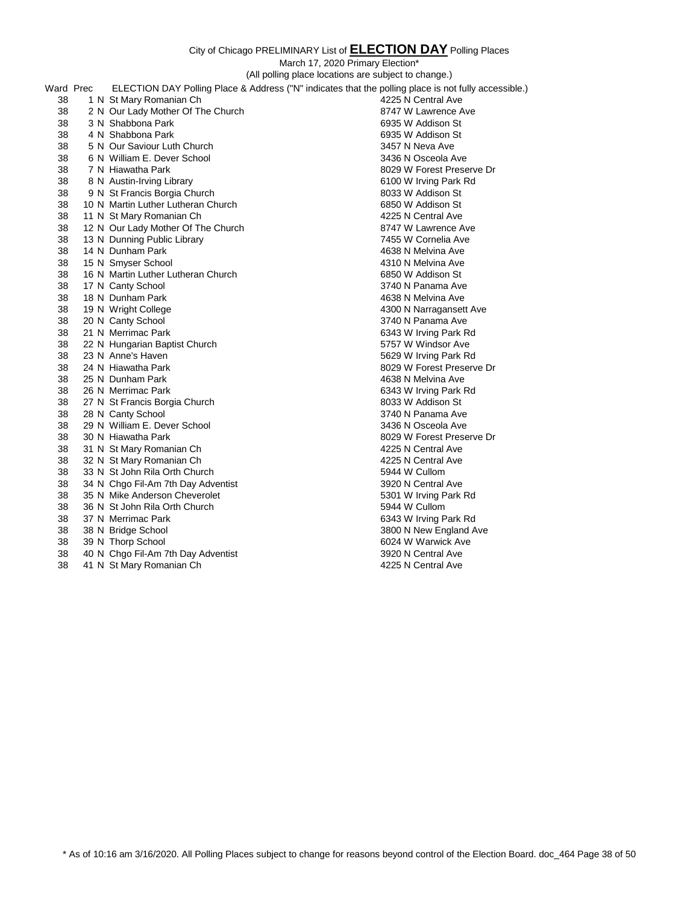|           |                                    | (All polling place locations are subject to change.)                                                 |
|-----------|------------------------------------|------------------------------------------------------------------------------------------------------|
| Ward Prec |                                    | ELECTION DAY Polling Place & Address ("N" indicates that the polling place is not fully accessible.) |
| 38        | 1 N St Mary Romanian Ch            | 4225 N Central Ave                                                                                   |
| 38        | 2 N Our Lady Mother Of The Church  | 8747 W Lawrence Ave                                                                                  |
| 38        | 3 N Shabbona Park                  | 6935 W Addison St                                                                                    |
| 38        | 4 N Shabbona Park                  | 6935 W Addison St                                                                                    |
| 38        | 5 N Our Saviour Luth Church        | 3457 N Neva Ave                                                                                      |
| 38        | 6 N William E. Dever School        | 3436 N Osceola Ave                                                                                   |
| 38        | 7 N Hiawatha Park                  | 8029 W Forest Preserve Dr                                                                            |
| 38        | 8 N Austin-Irving Library          | 6100 W Irving Park Rd                                                                                |
| 38        | 9 N St Francis Borgia Church       | 8033 W Addison St                                                                                    |
| 38        | 10 N Martin Luther Lutheran Church | 6850 W Addison St                                                                                    |
| 38        | 11 N St Mary Romanian Ch           | 4225 N Central Ave                                                                                   |
| 38        | 12 N Our Lady Mother Of The Church | 8747 W Lawrence Ave                                                                                  |
| 38        | 13 N Dunning Public Library        | 7455 W Cornelia Ave                                                                                  |
| 38        | 14 N Dunham Park                   | 4638 N Melvina Ave                                                                                   |
| 38        | 15 N Smyser School                 | 4310 N Melvina Ave                                                                                   |
| 38        | 16 N Martin Luther Lutheran Church | 6850 W Addison St                                                                                    |
| 38        | 17 N Canty School                  | 3740 N Panama Ave                                                                                    |
| 38        | 18 N Dunham Park                   | 4638 N Melvina Ave                                                                                   |
| 38        | 19 N Wright College                | 4300 N Narragansett Ave                                                                              |
| 38        | 20 N Canty School                  | 3740 N Panama Ave                                                                                    |
| 38        | 21 N Merrimac Park                 | 6343 W Irving Park Rd                                                                                |
| 38        | 22 N Hungarian Baptist Church      | 5757 W Windsor Ave                                                                                   |
| 38        | 23 N Anne's Haven                  | 5629 W Irving Park Rd                                                                                |
| 38        | 24 N Hiawatha Park                 | 8029 W Forest Preserve Dr                                                                            |
| 38        | 25 N Dunham Park                   | 4638 N Melvina Ave                                                                                   |
| 38        | 26 N Merrimac Park                 | 6343 W Irving Park Rd                                                                                |
| 38        | 27 N St Francis Borgia Church      | 8033 W Addison St                                                                                    |
| 38        | 28 N Canty School                  | 3740 N Panama Ave                                                                                    |
| 38        | 29 N William E. Dever School       | 3436 N Osceola Ave                                                                                   |
| 38        | 30 N Hiawatha Park                 | 8029 W Forest Preserve Dr                                                                            |
| 38        | 31 N St Mary Romanian Ch           | 4225 N Central Ave                                                                                   |
| 38        | 32 N St Mary Romanian Ch           | 4225 N Central Ave                                                                                   |
| 38        | 33 N St John Rila Orth Church      | 5944 W Cullom                                                                                        |
| 38        | 34 N Chgo Fil-Am 7th Day Adventist | 3920 N Central Ave                                                                                   |
| 38        | 35 N Mike Anderson Cheverolet      | 5301 W Irving Park Rd                                                                                |
| 38        | 36 N St John Rila Orth Church      | 5944 W Cullom                                                                                        |
| 38        | 37 N Merrimac Park                 | 6343 W Irving Park Rd                                                                                |
| 38        | 38 N Bridge School                 | 3800 N New England Ave                                                                               |
| 38        | 39 N Thorp School                  | 6024 W Warwick Ave                                                                                   |
| 38        | 40 N Chgo Fil-Am 7th Day Adventist | 3920 N Central Ave                                                                                   |
| 38        | 41 N St Mary Romanian Ch           | 4225 N Central Ave                                                                                   |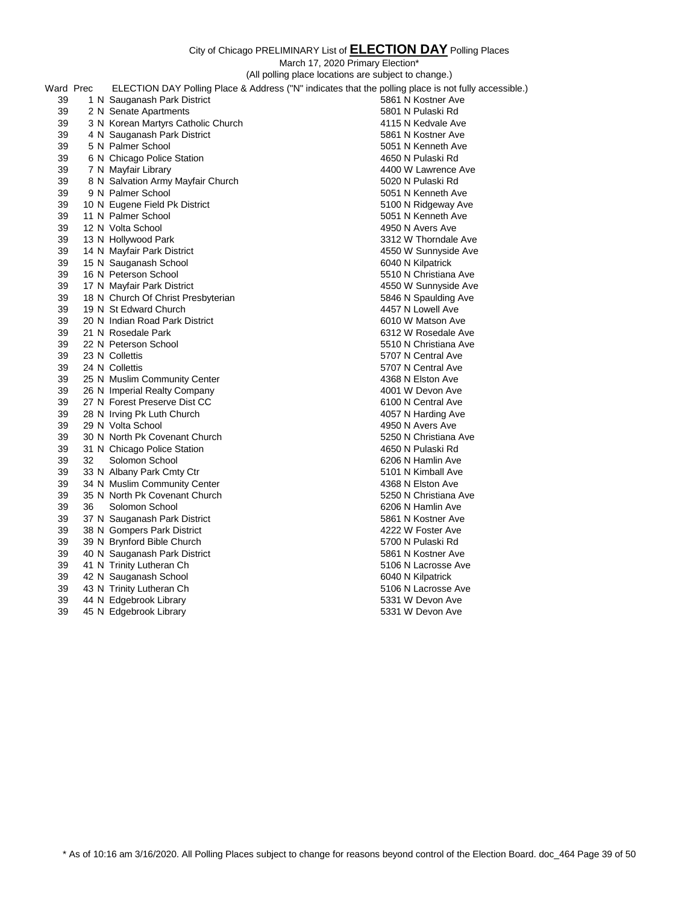|           |    |                                                            | (All polling place locations are subject to change.)                                                 |
|-----------|----|------------------------------------------------------------|------------------------------------------------------------------------------------------------------|
| Ward Prec |    |                                                            | ELECTION DAY Polling Place & Address ("N" indicates that the polling place is not fully accessible.) |
| 39        |    | 1 N Sauganash Park District                                | 5861 N Kostner Ave                                                                                   |
| 39        |    | 2 N Senate Apartments                                      | 5801 N Pulaski Rd                                                                                    |
| 39        |    | 3 N Korean Martyrs Catholic Church                         | 4115 N Kedvale Ave                                                                                   |
| 39        |    | 4 N Sauganash Park District                                | 5861 N Kostner Ave                                                                                   |
| 39        |    | 5 N Palmer School                                          | 5051 N Kenneth Ave                                                                                   |
| 39        |    | 6 N Chicago Police Station                                 | 4650 N Pulaski Rd                                                                                    |
| 39        |    | 7 N Mayfair Library                                        | 4400 W Lawrence Ave                                                                                  |
| 39        |    | 8 N Salvation Army Mayfair Church                          | 5020 N Pulaski Rd                                                                                    |
| 39        |    | 9 N Palmer School                                          | 5051 N Kenneth Ave                                                                                   |
| 39        |    | 10 N Eugene Field Pk District                              | 5100 N Ridgeway Ave                                                                                  |
| 39        |    | 11 N Palmer School                                         | 5051 N Kenneth Ave                                                                                   |
| 39        |    | 12 N Volta School                                          | 4950 N Avers Ave                                                                                     |
| 39        |    | 13 N Hollywood Park                                        | 3312 W Thorndale Ave                                                                                 |
| 39        |    | 14 N Mayfair Park District                                 | 4550 W Sunnyside Ave                                                                                 |
| 39        |    | 15 N Sauganash School                                      | 6040 N Kilpatrick                                                                                    |
| 39        |    | 16 N Peterson School                                       | 5510 N Christiana Ave                                                                                |
| 39        |    | 17 N Mayfair Park District                                 | 4550 W Sunnyside Ave                                                                                 |
| 39        |    | 18 N Church Of Christ Presbyterian                         | 5846 N Spaulding Ave                                                                                 |
| 39        |    | 19 N St Edward Church                                      | 4457 N Lowell Ave                                                                                    |
| 39        |    | 20 N Indian Road Park District                             | 6010 W Matson Ave                                                                                    |
| 39        |    | 21 N Rosedale Park                                         | 6312 W Rosedale Ave                                                                                  |
| 39        |    | 22 N Peterson School                                       | 5510 N Christiana Ave                                                                                |
| 39        |    | 23 N Collettis                                             | 5707 N Central Ave                                                                                   |
| 39        |    | 24 N Collettis                                             | 5707 N Central Ave                                                                                   |
| 39        |    | 25 N Muslim Community Center                               | 4368 N Elston Ave                                                                                    |
| 39        |    | 26 N Imperial Realty Company                               | 4001 W Devon Ave                                                                                     |
| 39        |    | 27 N Forest Preserve Dist CC                               | 6100 N Central Ave                                                                                   |
| 39        |    | 28 N Irving Pk Luth Church                                 | 4057 N Harding Ave                                                                                   |
| 39        |    | 29 N Volta School                                          | 4950 N Avers Ave                                                                                     |
| 39        |    | 30 N North Pk Covenant Church                              | 5250 N Christiana Ave                                                                                |
| 39        |    | 31 N Chicago Police Station                                | 4650 N Pulaski Rd                                                                                    |
| 39        | 32 | Solomon School                                             | 6206 N Hamlin Ave                                                                                    |
| 39<br>39  |    | 33 N Albany Park Cmty Ctr                                  | 5101 N Kimball Ave                                                                                   |
|           |    | 34 N Muslim Community Center                               | 4368 N Elston Ave                                                                                    |
| 39<br>39  | 36 | 35 N North Pk Covenant Church                              | 5250 N Christiana Ave<br>6206 N Hamlin Ave                                                           |
| 39        |    | Solomon School                                             | 5861 N Kostner Ave                                                                                   |
| 39        |    | 37 N Sauganash Park District<br>38 N Gompers Park District | 4222 W Foster Ave                                                                                    |
| 39        |    | 39 N Brynford Bible Church                                 | 5700 N Pulaski Rd                                                                                    |
| 39        |    | 40 N Sauganash Park District                               | 5861 N Kostner Ave                                                                                   |
| 39        |    | 41 N Trinity Lutheran Ch                                   | 5106 N Lacrosse Ave                                                                                  |
| 39        |    | 42 N Sauganash School                                      | 6040 N Kilpatrick                                                                                    |
| 39        |    | 43 N Trinity Lutheran Ch                                   | 5106 N Lacrosse Ave                                                                                  |
| 39        |    | 44 N Edgebrook Library                                     | 5331 W Devon Ave                                                                                     |
| 39        |    | 45 N Edgebrook Library                                     | 5331 W Devon Ave                                                                                     |
|           |    |                                                            |                                                                                                      |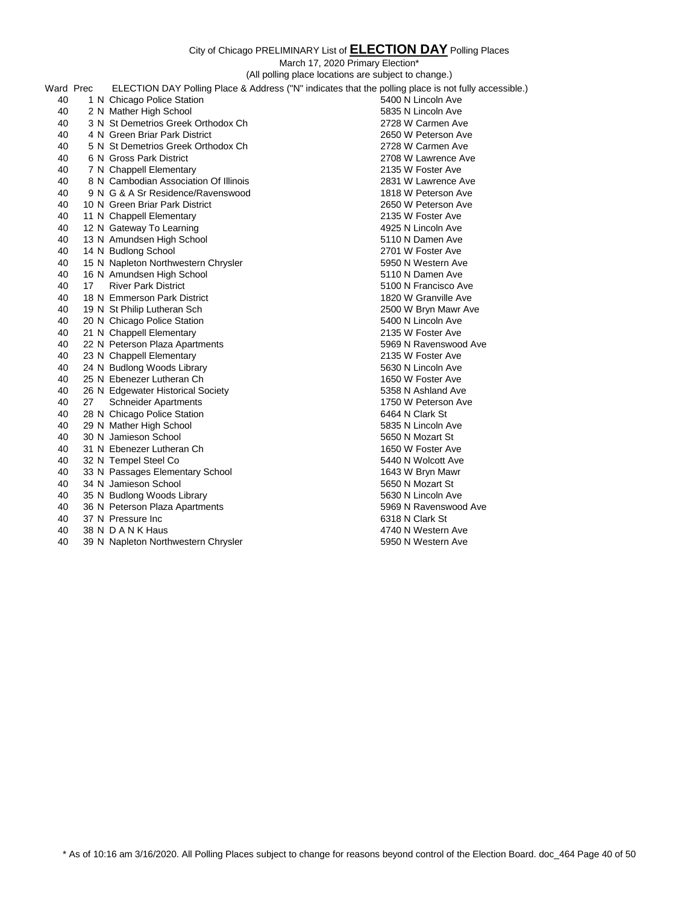March 17, 2020 Primary Election\*

(All polling place locations are subject to change.) Ward Prec ELECTION DAY Polling Place & Address ("N" indicates that the polling place is not fully accessible.)

| walu Piec |    |                                       | $EECUION$ DAT Poling Place $\alpha$ Address (TV Tridicates that the poling place is not fully accessible.) |
|-----------|----|---------------------------------------|------------------------------------------------------------------------------------------------------------|
| 40        |    | 1 N Chicago Police Station            | 5400 N Lincoln Ave                                                                                         |
| 40        |    | 2 N Mather High School                | 5835 N Lincoln Ave                                                                                         |
| 40        |    | 3 N St Demetrios Greek Orthodox Ch    | 2728 W Carmen Ave                                                                                          |
| 40        |    | 4 N Green Briar Park District         | 2650 W Peterson Ave                                                                                        |
| 40        |    | 5 N St Demetrios Greek Orthodox Ch    | 2728 W Carmen Ave                                                                                          |
| 40        |    | 6 N Gross Park District               | 2708 W Lawrence Ave                                                                                        |
| 40        |    | 7 N Chappell Elementary               | 2135 W Foster Ave                                                                                          |
| 40        |    | 8 N Cambodian Association Of Illinois | 2831 W Lawrence Ave                                                                                        |
| 40        |    | 9 N G & A Sr Residence/Ravenswood     | 1818 W Peterson Ave                                                                                        |
| 40        |    | 10 N Green Briar Park District        | 2650 W Peterson Ave                                                                                        |
| 40        |    | 11 N Chappell Elementary              | 2135 W Foster Ave                                                                                          |
| 40        |    | 12 N Gateway To Learning              | 4925 N Lincoln Ave                                                                                         |
| 40        |    | 13 N Amundsen High School             | 5110 N Damen Ave                                                                                           |
| 40        |    | 14 N Budlong School                   | 2701 W Foster Ave                                                                                          |
| 40        |    | 15 N Napleton Northwestern Chrysler   | 5950 N Western Ave                                                                                         |
| 40        |    | 16 N Amundsen High School             | 5110 N Damen Ave                                                                                           |
| 40        | 17 | <b>River Park District</b>            | 5100 N Francisco Ave                                                                                       |
| 40        |    | 18 N Emmerson Park District           | 1820 W Granville Ave                                                                                       |
| 40        |    | 19 N St Philip Lutheran Sch           | 2500 W Bryn Mawr Ave                                                                                       |
| 40        |    | 20 N Chicago Police Station           | 5400 N Lincoln Ave                                                                                         |
| 40        |    | 21 N Chappell Elementary              | 2135 W Foster Ave                                                                                          |
| 40        |    | 22 N Peterson Plaza Apartments        | 5969 N Ravenswood Ave                                                                                      |
| 40        |    | 23 N Chappell Elementary              | 2135 W Foster Ave                                                                                          |
| 40        |    | 24 N Budlong Woods Library            | 5630 N Lincoln Ave                                                                                         |
| 40        |    | 25 N Ebenezer Lutheran Ch             | 1650 W Foster Ave                                                                                          |
| 40        |    | 26 N Edgewater Historical Society     | 5358 N Ashland Ave                                                                                         |
| 40        | 27 | <b>Schneider Apartments</b>           | 1750 W Peterson Ave                                                                                        |
| 40        |    | 28 N Chicago Police Station           | 6464 N Clark St                                                                                            |
| 40        |    | 29 N Mather High School               | 5835 N Lincoln Ave                                                                                         |
| 40        |    | 30 N Jamieson School                  | 5650 N Mozart St                                                                                           |
| 40        |    | 31 N Ebenezer Lutheran Ch             | 1650 W Foster Ave                                                                                          |
| 40        |    | 32 N Tempel Steel Co                  | 5440 N Wolcott Ave                                                                                         |
| 40        |    | 33 N Passages Elementary School       | 1643 W Bryn Mawr                                                                                           |
| 40        |    | 34 N Jamieson School                  | 5650 N Mozart St                                                                                           |
| 40        |    | 35 N Budlong Woods Library            | 5630 N Lincoln Ave                                                                                         |
| 40        |    | 36 N Peterson Plaza Apartments        | 5969 N Ravenswood Ave                                                                                      |
| 40        |    | 37 N Pressure Inc                     | 6318 N Clark St                                                                                            |
| 40        |    | 38 N D A N K Haus                     | 4740 N Western Ave                                                                                         |
| 40        |    | 39 N Napleton Northwestern Chrysler   | 5950 N Western Ave                                                                                         |

\* As of 10:16 am 3/16/2020. All Polling Places subject to change for reasons beyond control of the Election Board. doc\_464 Page 40 of 50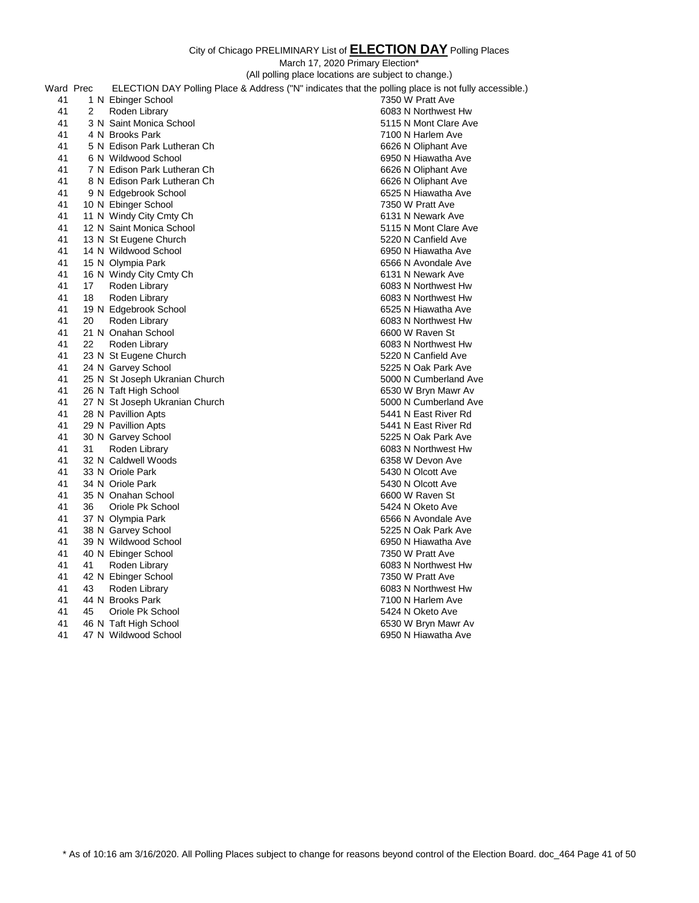City of Chicago PRELIMINARY List of **ELECTION DAY** Polling Places March 17, 2020 Primary Election\* (All polling place locations are subject to change.) Ward Prec ELECTION DAY Polling Place & Address ("N" indicates that the polling place is not fully accessible.) 1 N Ebinger School 7350 W Pratt Ave 2 Roden Library 6083 N Northwest Hw 3 N Saint Monica School 5115 N Mont Clare Ave 4 N Brooks Park 7100 N Harlem Ave 5 N Edison Park Lutheran Ch 6626 N Oliphant Ave 6 N Wildwood School 6950 N Hiawatha Ave 41 7 N Edison Park Lutheran Ch 6626 N Oliphant Ave 8 N Edison Park Lutheran Ch 6626 N Oliphant Ave 9 N Edgebrook School 6525 N Hiawatha Ave 10 N Ebinger School 7350 W Pratt Ave 41 11 N Windy City Cmty Ch 6131 N Newark Ave 12 N Saint Monica School 5115 N Mont Clare Ave 13 N St Eugene Church 5220 N Canfield Ave 14 N Wildwood School 6950 N Hiawatha Ave 15 N Olympia Park 6566 N Avondale Ave 41 16 N Windy City Cmty Ch 6131 N Newark Ave 17 Roden Library 6083 N Northwest Hw 18 Roden Library 6083 N Northwest Hw 41 19 N Edgebrook School 6525 N Hiawatha Ave 6525 N Hiawatha Ave 6625 N Hiawatha Ave 6083 N Northwest Hw 20 Roden Library 6083 N Northwest Hw 21 N Onahan School 6600 W Raven St 22 Roden Library 6083 N Northwest Hw 23 N St Eugene Church 5220 N Canfield Ave 24 N Garvey School 5225 N Oak Park Ave 25 N St Joseph Ukranian Church 5000 N Cumberland Ave 26 N Taft High School 6530 W Bryn Mawr Av 27 N St Joseph Ukranian Church 5000 N Cumberland Ave 41 28 N Pavillion Apts 6441 28 N Pavillion Apts 6441 N East River Rd 5441 N East River Rd 6441 N East River Rd 41 29 N Pavillion Apts 30 N Garvey School 5225 N Oak Park Ave 31 Roden Library 6083 N Northwest Hw 32 N Caldwell Woods 6358 W Devon Ave 33 N Oriole Park 5430 N Olcott Ave 34 N Oriole Park 5430 N Olcott Ave 35 N Onahan School 6600 W Raven St 36 Oriole Pk School 5424 N Oketo Ave 37 N Olympia Park 6566 N Avondale Ave 38 N Garvey School 5225 N Oak Park Ave 39 N Wildwood School 6950 N Hiawatha Ave 40 N Ebinger School 7350 W Pratt Ave 41 Roden Library 6083 N Northwest Hw 42 N Ebinger School 7350 W Pratt Ave 43 Roden Library 6083 N Northwest Hw 44 N Brooks Park 7100 N Harlem Ave 45 Oriole Pk School 5424 N Oketo Ave 46 N Taft High School 6530 W Bryn Mawr Av 47 N Wildwood School 6950 N Hiawatha Ave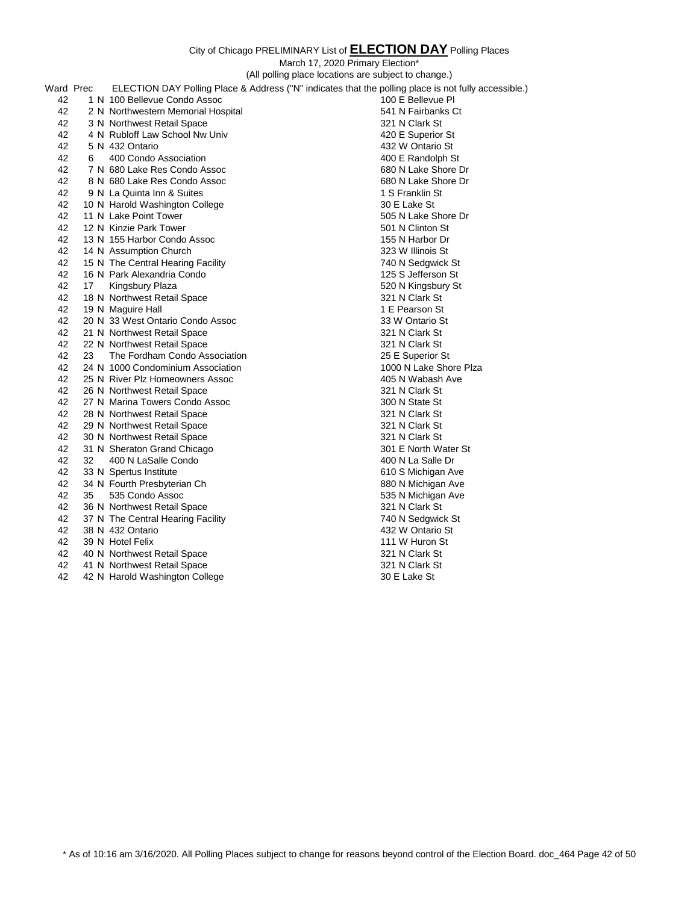|           |    |                                    | (All polling place locations are subject to change.)                                                 |
|-----------|----|------------------------------------|------------------------------------------------------------------------------------------------------|
| Ward Prec |    |                                    | ELECTION DAY Polling Place & Address ("N" indicates that the polling place is not fully accessible.) |
| 42        |    | 1 N 100 Bellevue Condo Assoc       | 100 E Bellevue PI                                                                                    |
| 42        |    | 2 N Northwestern Memorial Hospital | 541 N Fairbanks Ct                                                                                   |
| 42        |    | 3 N Northwest Retail Space         | 321 N Clark St                                                                                       |
| 42        |    | 4 N Rubloff Law School Nw Univ     | 420 E Superior St                                                                                    |
| 42        |    | 5 N 432 Ontario                    | 432 W Ontario St                                                                                     |
| 42        | 6  | 400 Condo Association              | 400 E Randolph St                                                                                    |
| 42        |    | 7 N 680 Lake Res Condo Assoc       | 680 N Lake Shore Dr                                                                                  |
| 42        |    | 8 N 680 Lake Res Condo Assoc       | 680 N Lake Shore Dr                                                                                  |
| 42        |    | 9 N La Quinta Inn & Suites         | 1 S Franklin St                                                                                      |
| 42        |    | 10 N Harold Washington College     | 30 E Lake St                                                                                         |
| 42        |    | 11 N Lake Point Tower              | 505 N Lake Shore Dr                                                                                  |
| 42        |    | 12 N Kinzie Park Tower             | 501 N Clinton St                                                                                     |
| 42        |    | 13 N 155 Harbor Condo Assoc        | 155 N Harbor Dr                                                                                      |
| 42        |    | 14 N Assumption Church             | 323 W Illinois St                                                                                    |
| 42        |    | 15 N The Central Hearing Facility  | 740 N Sedgwick St                                                                                    |
| 42        |    | 16 N Park Alexandria Condo         | 125 S Jefferson St                                                                                   |
| 42        | 17 | Kingsbury Plaza                    | 520 N Kingsbury St                                                                                   |
| 42        |    | 18 N Northwest Retail Space        | 321 N Clark St                                                                                       |
| 42        |    | 19 N Maguire Hall                  | 1 E Pearson St                                                                                       |
| 42        |    | 20 N 33 West Ontario Condo Assoc   | 33 W Ontario St                                                                                      |
| 42        |    | 21 N Northwest Retail Space        | 321 N Clark St                                                                                       |
| 42        |    | 22 N Northwest Retail Space        | 321 N Clark St                                                                                       |
| 42        | 23 | The Fordham Condo Association      | 25 E Superior St                                                                                     |
| 42        |    | 24 N 1000 Condominium Association  | 1000 N Lake Shore Plza                                                                               |
| 42        |    | 25 N River Plz Homeowners Assoc    | 405 N Wabash Ave                                                                                     |
| 42        |    | 26 N Northwest Retail Space        | 321 N Clark St                                                                                       |
| 42        |    | 27 N Marina Towers Condo Assoc     | 300 N State St                                                                                       |
| 42        |    | 28 N Northwest Retail Space        | 321 N Clark St                                                                                       |
| 42        |    | 29 N Northwest Retail Space        | 321 N Clark St                                                                                       |
| 42        |    | 30 N Northwest Retail Space        | 321 N Clark St                                                                                       |
| 42        |    | 31 N Sheraton Grand Chicago        | 301 E North Water St                                                                                 |
| 42        | 32 | 400 N LaSalle Condo                | 400 N La Salle Dr                                                                                    |
| 42        |    | 33 N Spertus Institute             | 610 S Michigan Ave                                                                                   |
| 42        |    | 34 N Fourth Presbyterian Ch        | 880 N Michigan Ave                                                                                   |
| 42        | 35 | 535 Condo Assoc                    | 535 N Michigan Ave                                                                                   |
| 42        |    | 36 N Northwest Retail Space        | 321 N Clark St                                                                                       |
| 42        |    | 37 N The Central Hearing Facility  | 740 N Sedgwick St                                                                                    |
| 42        |    | 38 N 432 Ontario                   | 432 W Ontario St                                                                                     |
| 42        |    | 39 N Hotel Felix                   | 111 W Huron St                                                                                       |
| 42        |    | 40 N Northwest Retail Space        | 321 N Clark St                                                                                       |
| 42        |    | 41 N Northwest Retail Space        | 321 N Clark St                                                                                       |
| 42        |    | 42 N Harold Washington College     | 30 E Lake St                                                                                         |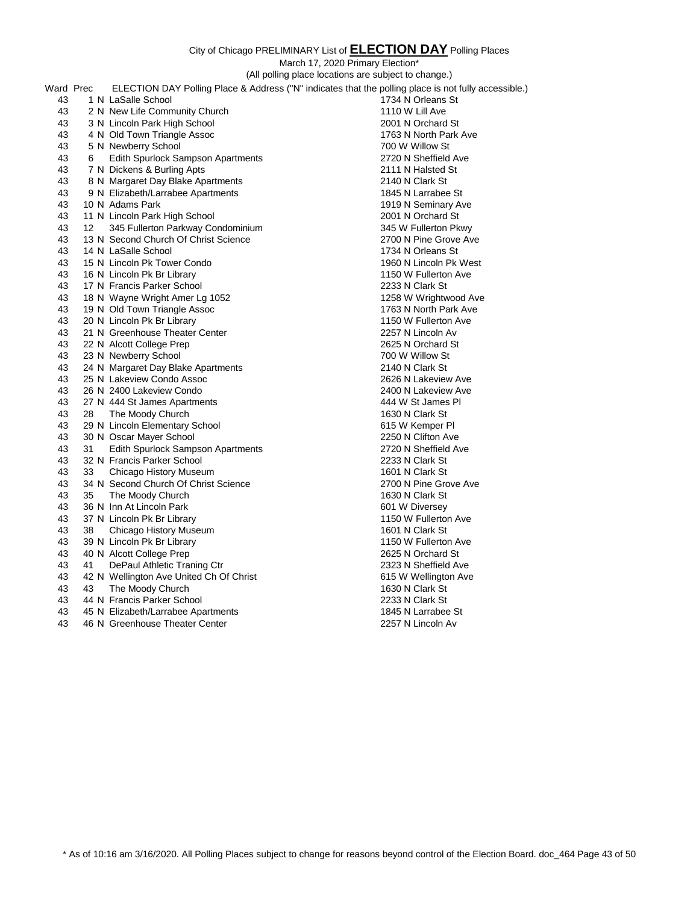|           |    | (All polling place locations are subject to change.) |                                                                                                      |  |
|-----------|----|------------------------------------------------------|------------------------------------------------------------------------------------------------------|--|
| Ward Prec |    |                                                      | ELECTION DAY Polling Place & Address ("N" indicates that the polling place is not fully accessible.) |  |
| 43        |    | 1 N LaSalle School                                   | 1734 N Orleans St                                                                                    |  |
| 43        |    | 2 N New Life Community Church                        | 1110 W Lill Ave                                                                                      |  |
| 43        |    | 3 N Lincoln Park High School                         | 2001 N Orchard St                                                                                    |  |
| 43        |    | 4 N Old Town Triangle Assoc                          | 1763 N North Park Ave                                                                                |  |
| 43        |    | 5 N Newberry School                                  | 700 W Willow St                                                                                      |  |
| 43        | 6  | <b>Edith Spurlock Sampson Apartments</b>             | 2720 N Sheffield Ave                                                                                 |  |
| 43        |    | 7 N Dickens & Burling Apts                           | 2111 N Halsted St                                                                                    |  |
| 43        |    | 8 N Margaret Day Blake Apartments                    | 2140 N Clark St                                                                                      |  |
| 43        |    | 9 N Elizabeth/Larrabee Apartments                    | 1845 N Larrabee St                                                                                   |  |
| 43        |    | 10 N Adams Park                                      | 1919 N Seminary Ave                                                                                  |  |
| 43        |    | 11 N Lincoln Park High School                        | 2001 N Orchard St                                                                                    |  |
| 43        | 12 | 345 Fullerton Parkway Condominium                    | 345 W Fullerton Pkwy                                                                                 |  |
| 43        |    | 13 N Second Church Of Christ Science                 | 2700 N Pine Grove Ave                                                                                |  |
| 43        |    | 14 N LaSalle School                                  | 1734 N Orleans St                                                                                    |  |
| 43        |    | 15 N Lincoln Pk Tower Condo                          | 1960 N Lincoln Pk West                                                                               |  |
| 43        |    | 16 N Lincoln Pk Br Library                           | 1150 W Fullerton Ave                                                                                 |  |
| 43        |    | 17 N Francis Parker School                           | 2233 N Clark St                                                                                      |  |
| 43        |    | 18 N Wayne Wright Amer Lg 1052                       | 1258 W Wrightwood Ave                                                                                |  |
| 43        |    | 19 N Old Town Triangle Assoc                         | 1763 N North Park Ave                                                                                |  |
| 43        |    | 20 N Lincoln Pk Br Library                           | 1150 W Fullerton Ave                                                                                 |  |
| 43        |    | 21 N Greenhouse Theater Center                       | 2257 N Lincoln Av                                                                                    |  |
| 43        |    | 22 N Alcott College Prep                             | 2625 N Orchard St                                                                                    |  |
| 43        |    | 23 N Newberry School                                 | 700 W Willow St                                                                                      |  |
| 43        |    | 24 N Margaret Day Blake Apartments                   | 2140 N Clark St                                                                                      |  |
| 43        |    | 25 N Lakeview Condo Assoc                            | 2626 N Lakeview Ave                                                                                  |  |
| 43        |    | 26 N 2400 Lakeview Condo                             | 2400 N Lakeview Ave                                                                                  |  |
| 43        |    | 27 N 444 St James Apartments                         | 444 W St James PI                                                                                    |  |
| 43        | 28 | The Moody Church                                     | 1630 N Clark St                                                                                      |  |
| 43        |    | 29 N Lincoln Elementary School                       | 615 W Kemper PI                                                                                      |  |
| 43        |    | 30 N Oscar Mayer School                              | 2250 N Clifton Ave                                                                                   |  |
| 43        | 31 | Edith Spurlock Sampson Apartments                    | 2720 N Sheffield Ave                                                                                 |  |
| 43        |    | 32 N Francis Parker School                           | 2233 N Clark St                                                                                      |  |
| 43        | 33 | Chicago History Museum                               | 1601 N Clark St                                                                                      |  |
| 43        |    | 34 N Second Church Of Christ Science                 | 2700 N Pine Grove Ave                                                                                |  |
| 43        | 35 | The Moody Church                                     | 1630 N Clark St                                                                                      |  |
| 43        |    | 36 N Inn At Lincoln Park                             | 601 W Diversey                                                                                       |  |
| 43        |    | 37 N Lincoln Pk Br Library                           | 1150 W Fullerton Ave                                                                                 |  |
| 43        | 38 | Chicago History Museum                               | 1601 N Clark St                                                                                      |  |
| 43        |    | 39 N Lincoln Pk Br Library                           | 1150 W Fullerton Ave                                                                                 |  |
| 43        |    | 40 N Alcott College Prep                             | 2625 N Orchard St                                                                                    |  |
| 43        | 41 | DePaul Athletic Traning Ctr                          | 2323 N Sheffield Ave                                                                                 |  |
| 43        |    | 42 N Wellington Ave United Ch Of Christ              | 615 W Wellington Ave                                                                                 |  |
| 43        | 43 | The Moody Church                                     | 1630 N Clark St                                                                                      |  |
| 43        |    | 44 N Francis Parker School                           | 2233 N Clark St                                                                                      |  |
| 43        |    | 45 N Elizabeth/Larrabee Apartments                   | 1845 N Larrabee St                                                                                   |  |
| 43        |    | 46 N Greenhouse Theater Center                       | 2257 N Lincoln Av                                                                                    |  |
|           |    |                                                      |                                                                                                      |  |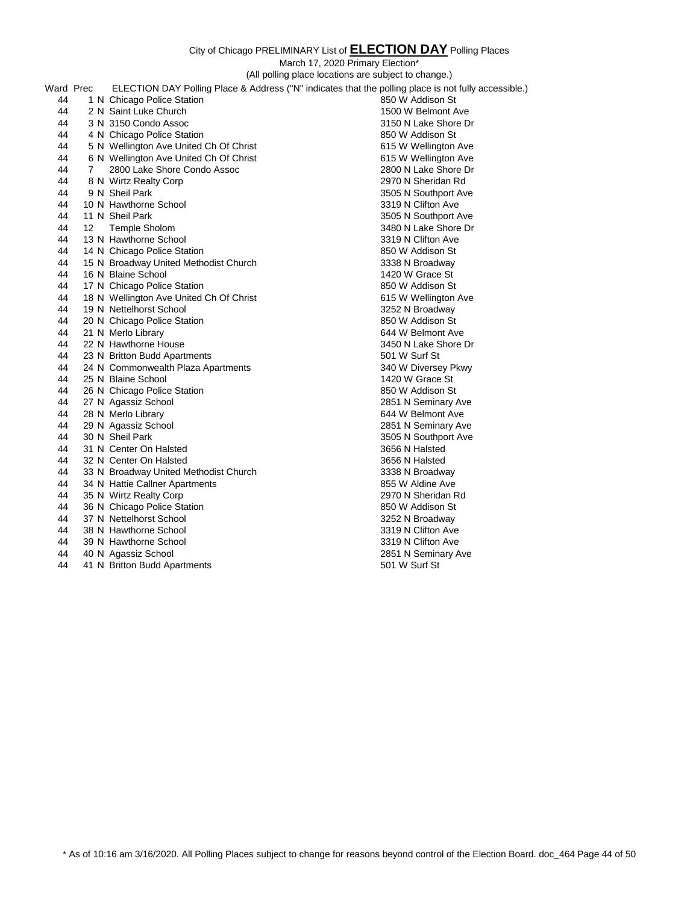March 17, 2020 Primary Election\*

(All polling place locations are subject to change.)

| Ward Prec |                   | ELECTION DAY Polling Place & Address ("N" indicates that the polling place is not fully accessible.) |                      |
|-----------|-------------------|------------------------------------------------------------------------------------------------------|----------------------|
| 44        |                   | 1 N Chicago Police Station                                                                           | 850 W Addison St     |
| 44        |                   | 2 N Saint Luke Church                                                                                | 1500 W Belmont Ave   |
| 44        |                   | 3 N 3150 Condo Assoc                                                                                 | 3150 N Lake Shore Dr |
| 44        |                   | 4 N Chicago Police Station                                                                           | 850 W Addison St     |
| 44        |                   | 5 N Wellington Ave United Ch Of Christ                                                               | 615 W Wellington Ave |
| 44        |                   | 6 N Wellington Ave United Ch Of Christ                                                               | 615 W Wellington Ave |
| 44        | 7                 | 2800 Lake Shore Condo Assoc                                                                          | 2800 N Lake Shore Dr |
| 44        |                   | 8 N Wirtz Realty Corp                                                                                | 2970 N Sheridan Rd   |
| 44        |                   | 9 N Sheil Park                                                                                       | 3505 N Southport Ave |
| 44        |                   | 10 N Hawthorne School                                                                                | 3319 N Clifton Ave   |
| 44        |                   | 11 N Sheil Park                                                                                      | 3505 N Southport Ave |
| 44        | $12 \overline{ }$ | Temple Sholom                                                                                        | 3480 N Lake Shore Dr |
| 44        |                   | 13 N Hawthorne School                                                                                | 3319 N Clifton Ave   |
| 44        |                   | 14 N Chicago Police Station                                                                          | 850 W Addison St     |
| 44        |                   | 15 N Broadway United Methodist Church                                                                | 3338 N Broadway      |
| 44        |                   | 16 N Blaine School                                                                                   | 1420 W Grace St      |
| 44        |                   | 17 N Chicago Police Station                                                                          | 850 W Addison St     |
| 44        |                   | 18 N Wellington Ave United Ch Of Christ                                                              | 615 W Wellington Ave |
| 44        |                   | 19 N Nettelhorst School                                                                              | 3252 N Broadway      |
| 44        |                   | 20 N Chicago Police Station                                                                          | 850 W Addison St     |
| 44        |                   | 21 N Merlo Library                                                                                   | 644 W Belmont Ave    |
| 44        |                   | 22 N Hawthorne House                                                                                 | 3450 N Lake Shore Dr |
| 44        |                   | 23 N Britton Budd Apartments                                                                         | 501 W Surf St        |
| 44        |                   | 24 N Commonwealth Plaza Apartments                                                                   | 340 W Diversey Pkwy  |
| 44        |                   | 25 N Blaine School                                                                                   | 1420 W Grace St      |
| 44        |                   | 26 N Chicago Police Station                                                                          | 850 W Addison St     |
| 44        |                   | 27 N Agassiz School                                                                                  | 2851 N Seminary Ave  |
| 44        |                   | 28 N Merlo Library                                                                                   | 644 W Belmont Ave    |
| 44        |                   | 29 N Agassiz School                                                                                  | 2851 N Seminary Ave  |
| 44        |                   | 30 N Sheil Park                                                                                      | 3505 N Southport Ave |
| 44        |                   | 31 N Center On Halsted                                                                               | 3656 N Halsted       |
| 44        |                   | 32 N Center On Halsted                                                                               | 3656 N Halsted       |
| 44        |                   | 33 N Broadway United Methodist Church                                                                | 3338 N Broadway      |
| 44        |                   | 34 N Hattie Callner Apartments                                                                       | 855 W Aldine Ave     |
| 44        |                   | 35 N Wirtz Realty Corp                                                                               | 2970 N Sheridan Rd   |
| 44        |                   | 36 N Chicago Police Station                                                                          | 850 W Addison St     |
| 44        |                   | 37 N Nettelhorst School                                                                              | 3252 N Broadway      |
| 44        |                   | 38 N Hawthorne School                                                                                | 3319 N Clifton Ave   |
| 44        |                   | 39 N Hawthorne School                                                                                | 3319 N Clifton Ave   |
| 44        |                   | 40 N Agassiz School                                                                                  | 2851 N Seminary Ave  |
| 44        |                   | 41 N Britton Budd Apartments                                                                         | 501 W Surf St        |
|           |                   |                                                                                                      |                      |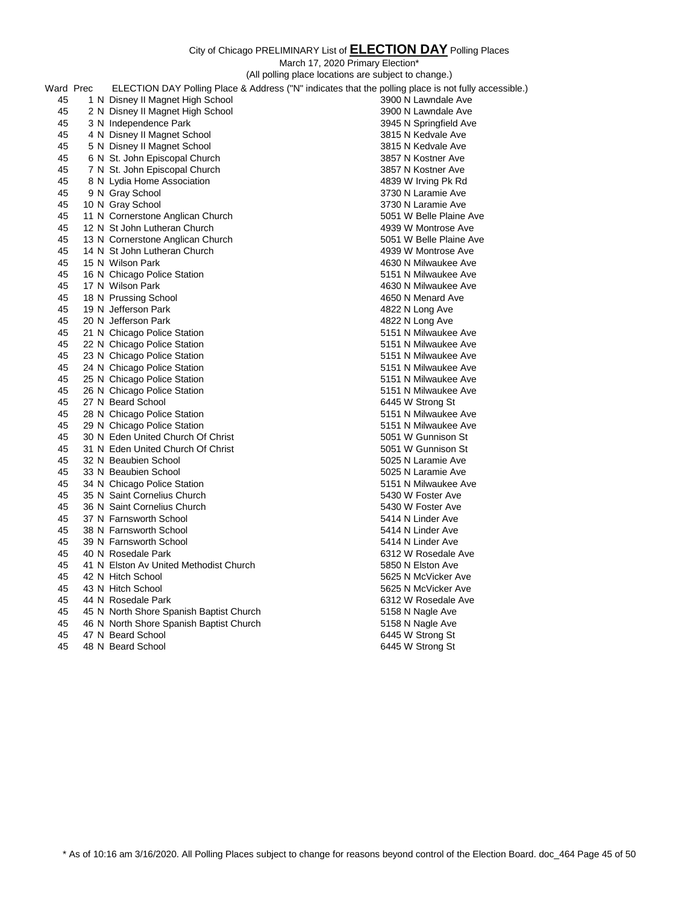March 17, 2020 Primary Election\*

(All polling place locations are subject to change.)

| Ward Prec | ELECTION DAY Polling Place & Address ("N" indicates that the polling place is not fully accessible.) |                         |
|-----------|------------------------------------------------------------------------------------------------------|-------------------------|
| 45        | 1 N Disney II Magnet High School                                                                     | 3900 N Lawndale Ave     |
| 45        | 2 N Disney II Magnet High School                                                                     | 3900 N Lawndale Ave     |
| 45        | 3 N Independence Park                                                                                | 3945 N Springfield Ave  |
| 45        | 4 N Disney II Magnet School                                                                          | 3815 N Kedvale Ave      |
| 45        | 5 N Disney II Magnet School                                                                          | 3815 N Kedvale Ave      |
| 45        | 6 N St. John Episcopal Church                                                                        | 3857 N Kostner Ave      |
| 45        | 7 N St. John Episcopal Church                                                                        | 3857 N Kostner Ave      |
| 45        | 8 N Lydia Home Association                                                                           | 4839 W Irving Pk Rd     |
| 45        | 9 N Gray School                                                                                      | 3730 N Laramie Ave      |
| 45        | 10 N Gray School                                                                                     | 3730 N Laramie Ave      |
| 45        | 11 N Cornerstone Anglican Church                                                                     | 5051 W Belle Plaine Ave |
| 45        | 12 N St John Lutheran Church                                                                         | 4939 W Montrose Ave     |
| 45        | 13 N Cornerstone Anglican Church                                                                     | 5051 W Belle Plaine Ave |
| 45        | 14 N St John Lutheran Church                                                                         | 4939 W Montrose Ave     |
| 45        | 15 N Wilson Park                                                                                     | 4630 N Milwaukee Ave    |
| 45        | 16 N Chicago Police Station                                                                          | 5151 N Milwaukee Ave    |
| 45        | 17 N Wilson Park                                                                                     | 4630 N Milwaukee Ave    |
| 45        | 18 N Prussing School                                                                                 | 4650 N Menard Ave       |
| 45        | 19 N Jefferson Park                                                                                  | 4822 N Long Ave         |
| 45        | 20 N Jefferson Park                                                                                  | 4822 N Long Ave         |
| 45        | 21 N Chicago Police Station                                                                          | 5151 N Milwaukee Ave    |
| 45        | 22 N Chicago Police Station                                                                          | 5151 N Milwaukee Ave    |
| 45        | 23 N Chicago Police Station                                                                          | 5151 N Milwaukee Ave    |
| 45        | 24 N Chicago Police Station                                                                          | 5151 N Milwaukee Ave    |
| 45        | 25 N Chicago Police Station                                                                          | 5151 N Milwaukee Ave    |
| 45        | 26 N Chicago Police Station                                                                          | 5151 N Milwaukee Ave    |
| 45        | 27 N Beard School                                                                                    | 6445 W Strong St        |
| 45        | 28 N Chicago Police Station                                                                          | 5151 N Milwaukee Ave    |
| 45        | 29 N Chicago Police Station                                                                          | 5151 N Milwaukee Ave    |
| 45        | 30 N Eden United Church Of Christ                                                                    | 5051 W Gunnison St      |
| 45        | 31 N Eden United Church Of Christ                                                                    | 5051 W Gunnison St      |
| 45        | 32 N Beaubien School                                                                                 | 5025 N Laramie Ave      |
| 45        | 33 N Beaubien School                                                                                 | 5025 N Laramie Ave      |
| 45        | 34 N Chicago Police Station                                                                          | 5151 N Milwaukee Ave    |
| 45        | 35 N Saint Cornelius Church                                                                          | 5430 W Foster Ave       |
| 45        | 36 N Saint Cornelius Church                                                                          | 5430 W Foster Ave       |
| 45        | 37 N Farnsworth School                                                                               | 5414 N Linder Ave       |
| 45        | 38 N Farnsworth School                                                                               | 5414 N Linder Ave       |
| 45        | 39 N Farnsworth School                                                                               | 5414 N Linder Ave       |
| 45        | 40 N Rosedale Park                                                                                   | 6312 W Rosedale Ave     |
| 45        | 41 N Elston Av United Methodist Church                                                               | 5850 N Elston Ave       |
| 45        | 42 N Hitch School                                                                                    | 5625 N McVicker Ave     |
| 45        | 43 N Hitch School                                                                                    | 5625 N McVicker Ave     |
| 45        | 44 N Rosedale Park                                                                                   | 6312 W Rosedale Ave     |
| 45        | 45 N North Shore Spanish Baptist Church                                                              | 5158 N Nagle Ave        |
| 45        | 46 N North Shore Spanish Baptist Church                                                              | 5158 N Nagle Ave        |
| 45        | 47 N Beard School                                                                                    | 6445 W Strong St        |
| 45        | 48 N Beard School                                                                                    | 6445 W Strong St        |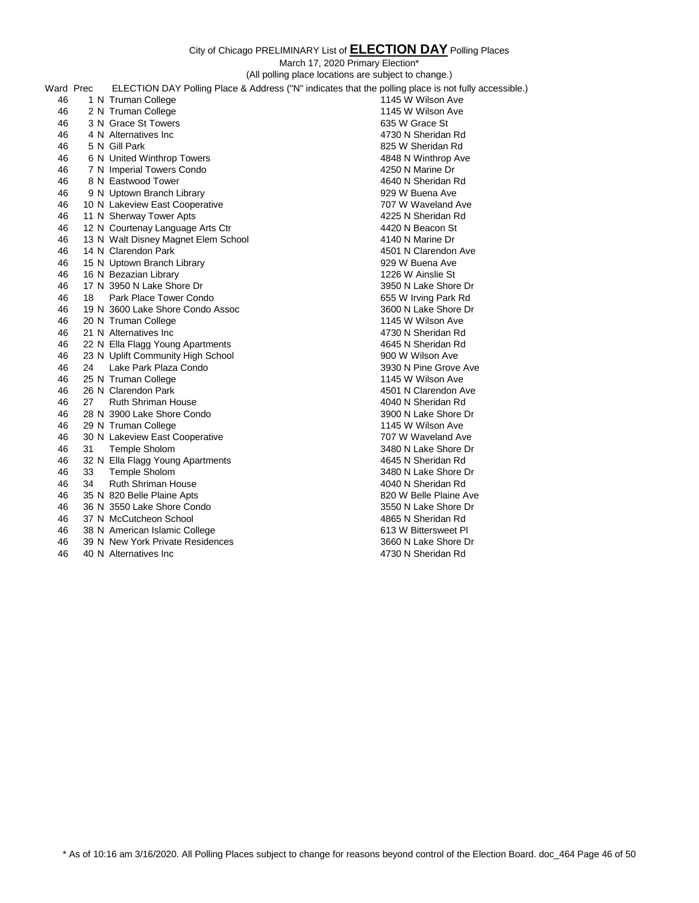March 17, 2020 Primary Election\*

|           |                                                      | $m$ aron $n$ , $L$ o $L$ o $n$ $m$ nar $y$ $L$ roo $m$ on |                                                                                                      |
|-----------|------------------------------------------------------|-----------------------------------------------------------|------------------------------------------------------------------------------------------------------|
|           | (All polling place locations are subject to change.) |                                                           |                                                                                                      |
| Ward Prec |                                                      |                                                           | ELECTION DAY Polling Place & Address ("N" indicates that the polling place is not fully accessible.) |
| 46        |                                                      | 1 N Truman College                                        | 1145 W Wilson Ave                                                                                    |
| 46        |                                                      | 2 N Truman College                                        | 1145 W Wilson Ave                                                                                    |
| 46        |                                                      | 3 N Grace St Towers                                       | 635 W Grace St                                                                                       |
| 46        |                                                      | 4 N Alternatives Inc.                                     | 4730 N Sheridan Rd                                                                                   |
| 46        |                                                      | 5 N Gill Park                                             | 825 W Sheridan Rd                                                                                    |
| 46        |                                                      | 6 N United Winthrop Towers                                | 4848 N Winthrop Ave                                                                                  |
| 46        |                                                      | 7 N Imperial Towers Condo                                 | 4250 N Marine Dr                                                                                     |
| 46        |                                                      | 8 N Eastwood Tower                                        | 4640 N Sheridan Rd                                                                                   |
| 46        |                                                      | 9 N Uptown Branch Library                                 | 929 W Buena Ave                                                                                      |
| 46        |                                                      | 10 N Lakeview East Cooperative                            | 707 W Waveland Ave                                                                                   |
| 46        |                                                      | 11 N Sherway Tower Apts                                   | 4225 N Sheridan Rd                                                                                   |
| 46        |                                                      | 12 N Courtenay Language Arts Ctr                          | 4420 N Beacon St                                                                                     |
| 46        |                                                      | 13 N Walt Disney Magnet Elem School                       | 4140 N Marine Dr                                                                                     |
| 46        |                                                      | 14 N Clarendon Park                                       | 4501 N Clarendon Ave                                                                                 |
| 46        |                                                      | 15 N Uptown Branch Library                                | 929 W Buena Ave                                                                                      |
| 46        |                                                      | 16 N Bezazian Library                                     | 1226 W Ainslie St                                                                                    |
| 46        |                                                      | 17 N 3950 N Lake Shore Dr                                 | 3950 N Lake Shore Dr                                                                                 |
| 46        | 18                                                   | Park Place Tower Condo                                    | 655 W Irving Park Rd                                                                                 |
| 46        |                                                      | 19 N 3600 Lake Shore Condo Assoc                          | 3600 N Lake Shore Dr                                                                                 |
| 46        |                                                      | 20 N Truman College                                       | 1145 W Wilson Ave                                                                                    |
| 46        |                                                      | 21 N Alternatives Inc                                     | 4730 N Sheridan Rd                                                                                   |
| 46        |                                                      | 22 N Ella Flagg Young Apartments                          | 4645 N Sheridan Rd                                                                                   |
| 46        |                                                      | 23 N Uplift Community High School                         | 900 W Wilson Ave                                                                                     |
| 46        | 24                                                   | Lake Park Plaza Condo                                     | 3930 N Pine Grove Ave                                                                                |
| 46        |                                                      | 25 N Truman College                                       | 1145 W Wilson Ave                                                                                    |
| 46        |                                                      | 26 N Clarendon Park                                       | 4501 N Clarendon Ave                                                                                 |
| 46        | 27                                                   | <b>Ruth Shriman House</b>                                 | 4040 N Sheridan Rd                                                                                   |
| 46        |                                                      | 28 N 3900 Lake Shore Condo                                | 3900 N Lake Shore Dr                                                                                 |
| 46        |                                                      | 29 N Truman College                                       | 1145 W Wilson Ave                                                                                    |
| 46        |                                                      | 30 N Lakeview East Cooperative                            | 707 W Waveland Ave                                                                                   |
| 46        | 31                                                   | <b>Temple Sholom</b>                                      | 3480 N Lake Shore Dr                                                                                 |
| 46        |                                                      | 32 N Ella Flagg Young Apartments                          | 4645 N Sheridan Rd                                                                                   |
| 46        | 33                                                   | Temple Sholom                                             | 3480 N Lake Shore Dr                                                                                 |
| 46        | 34                                                   | <b>Ruth Shriman House</b>                                 | 4040 N Sheridan Rd                                                                                   |
| 46        |                                                      | 35 N 820 Belle Plaine Apts                                | 820 W Belle Plaine Ave                                                                               |
| 46        |                                                      | 36 N 3550 Lake Shore Condo                                | 3550 N Lake Shore Dr                                                                                 |
| 46        |                                                      | 37 N McCutcheon School                                    | 4865 N Sheridan Rd                                                                                   |
| 46        |                                                      | 38 N American Islamic College                             | 613 W Bittersweet PI                                                                                 |
| 46        |                                                      | 39 N New York Private Residences                          | 3660 N Lake Shore Dr                                                                                 |
| 46        |                                                      | 40 N Alternatives Inc                                     | 4730 N Sheridan Rd                                                                                   |

\* As of 10:16 am 3/16/2020. All Polling Places subject to change for reasons beyond control of the Election Board. doc\_464 Page 46 of 50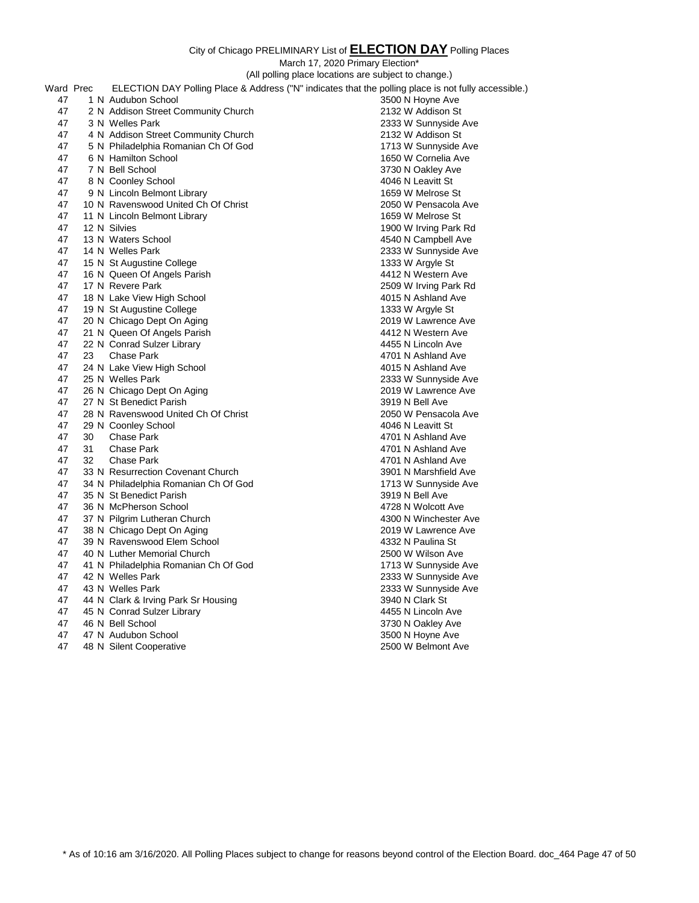|           |    | (All polling place locations are subject to change.)                                                 |                       |
|-----------|----|------------------------------------------------------------------------------------------------------|-----------------------|
| Ward Prec |    | ELECTION DAY Polling Place & Address ("N" indicates that the polling place is not fully accessible.) |                       |
| 47        |    | 1 N Audubon School                                                                                   | 3500 N Hoyne Ave      |
| 47        |    | 2 N Addison Street Community Church                                                                  | 2132 W Addison St     |
| 47        |    | 3 N Welles Park                                                                                      | 2333 W Sunnyside Ave  |
| 47        |    | 4 N Addison Street Community Church                                                                  | 2132 W Addison St     |
| 47        |    | 5 N Philadelphia Romanian Ch Of God                                                                  | 1713 W Sunnyside Ave  |
| 47        |    | 6 N Hamilton School                                                                                  | 1650 W Cornelia Ave   |
| 47        |    | 7 N Bell School                                                                                      | 3730 N Oakley Ave     |
| 47        |    | 8 N Coonley School                                                                                   | 4046 N Leavitt St     |
| 47        |    | 9 N Lincoln Belmont Library                                                                          | 1659 W Melrose St     |
| 47        |    | 10 N Ravenswood United Ch Of Christ                                                                  | 2050 W Pensacola Ave  |
| 47        |    | 11 N Lincoln Belmont Library                                                                         | 1659 W Melrose St     |
| 47        |    | 12 N Silvies                                                                                         | 1900 W Irving Park Rd |
| 47        |    | 13 N Waters School                                                                                   | 4540 N Campbell Ave   |
| 47        |    | 14 N Welles Park                                                                                     | 2333 W Sunnyside Ave  |
| 47        |    | 15 N St Augustine College                                                                            | 1333 W Argyle St      |
| 47        |    | 16 N Queen Of Angels Parish                                                                          | 4412 N Western Ave    |
| 47        |    | 17 N Revere Park                                                                                     | 2509 W Irving Park Rd |
| 47        |    | 18 N Lake View High School                                                                           | 4015 N Ashland Ave    |
| 47        |    | 19 N St Augustine College                                                                            | 1333 W Argyle St      |
| 47        |    | 20 N Chicago Dept On Aging                                                                           | 2019 W Lawrence Ave   |
| 47        |    | 21 N Queen Of Angels Parish                                                                          | 4412 N Western Ave    |
| 47        |    | 22 N Conrad Sulzer Library                                                                           | 4455 N Lincoln Ave    |
| 47        | 23 | <b>Chase Park</b>                                                                                    | 4701 N Ashland Ave    |
| 47        |    | 24 N Lake View High School                                                                           | 4015 N Ashland Ave    |
| 47        |    | 25 N Welles Park                                                                                     | 2333 W Sunnyside Ave  |
| 47        |    | 26 N Chicago Dept On Aging                                                                           | 2019 W Lawrence Ave   |
| 47        |    | 27 N St Benedict Parish                                                                              | 3919 N Bell Ave       |
| 47        |    | 28 N Ravenswood United Ch Of Christ                                                                  | 2050 W Pensacola Ave  |
| 47        |    | 29 N Coonley School                                                                                  | 4046 N Leavitt St     |
| 47        | 30 | <b>Chase Park</b>                                                                                    | 4701 N Ashland Ave    |
| 47        | 31 | <b>Chase Park</b>                                                                                    | 4701 N Ashland Ave    |
| 47        | 32 | <b>Chase Park</b>                                                                                    | 4701 N Ashland Ave    |
| 47        |    | 33 N Resurrection Covenant Church                                                                    | 3901 N Marshfield Ave |
| 47        |    | 34 N Philadelphia Romanian Ch Of God                                                                 | 1713 W Sunnyside Ave  |
| 47        |    | 35 N St Benedict Parish                                                                              | 3919 N Bell Ave       |
| 47        |    | 36 N McPherson School                                                                                | 4728 N Wolcott Ave    |
| 47        |    | 37 N Pilgrim Lutheran Church                                                                         | 4300 N Winchester Ave |
| 47        |    | 38 N Chicago Dept On Aging                                                                           | 2019 W Lawrence Ave   |
| 47        |    | 39 N Ravenswood Elem School                                                                          | 4332 N Paulina St     |
| 47        |    | 40 N Luther Memorial Church                                                                          | 2500 W Wilson Ave     |
| 47        |    | 41 N Philadelphia Romanian Ch Of God                                                                 | 1713 W Sunnyside Ave  |
| 47        |    | 42 N Welles Park                                                                                     | 2333 W Sunnyside Ave  |
| 47        |    | 43 N Welles Park                                                                                     | 2333 W Sunnyside Ave  |
| 47        |    | 44 N Clark & Irving Park Sr Housing                                                                  | 3940 N Clark St       |
| 47        |    | 45 N Conrad Sulzer Library                                                                           | 4455 N Lincoln Ave    |
| 47        |    | 46 N Bell School                                                                                     | 3730 N Oakley Ave     |
| 47        |    | 47 N Audubon School                                                                                  | 3500 N Hoyne Ave      |
| 47        |    | 48 N Silent Cooperative                                                                              | 2500 W Belmont Ave    |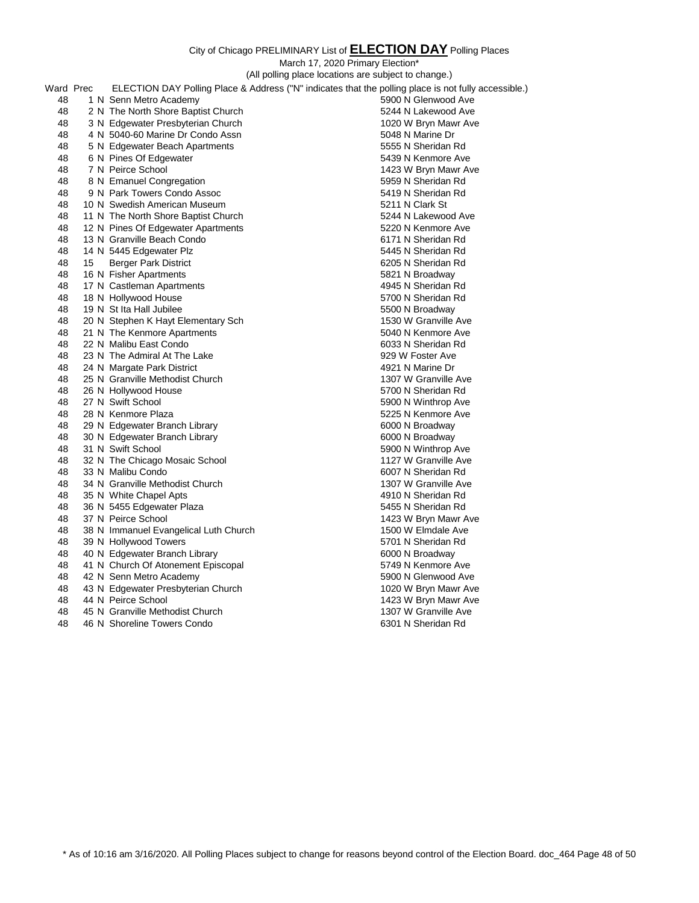City of Chicago PRELIMINARY List of **ELECTION DAY** Polling Places March 17, 2020 Primary Election\* (All polling place locations are subject to change.) Ward Prec ELECTION DAY Polling Place & Address ("N" indicates that the polling place is not fully accessible.) 48 1 N Senn Metro Academy 5900 N Glenwood Ave 48 2 N The North Shore Baptist Church 5244 N Lakewood Ave 48 3 N Edgewater Presbyterian Church 1020 W Bryn Mawr Ave 48 4 N 5040-60 Marine Dr Condo Assn 5048 N Marine Dr S048 N Marine Dr 48 5 N Edgewater Beach Apartments 6555 N Sheridan Rd 48 6 N Pines Of Edgewater 6439 N Kenmore Ave 48 7 N Peirce School 1423 W Bryn Mawr Ave 48 8 N Emanuel Congregation 5959 N Sheridan Rd 48 9 N Park Towers Condo Assoc 5419 N Sheridan Rd 48 10 N Swedish American Museum **5211 N** Clark St 48 11 N The North Shore Baptist Church 5244 N Lakewood Ave 48 12 N Pines Of Edgewater Apartments 5220 N Kenmore Ave 48 13 N Granville Beach Condo 6171 N Sheridan Rd 48 14 N 5445 Edgewater Plz 5445 N Sheridan Rd 48 15 Berger Park District 6205 N Sheridan Rd 48 16 N Fisher Apartments **5821 N** Broadway 48 17 N Castleman Apartments 4945 N Sheridan Rd 48 18 N Hollywood House 5700 N Sheridan Rd 48 19 N St Ita Hall Jubilee 5500 N Broadway 48 20 N Stephen K Hayt Elementary Sch 1530 W Granville Ave 48 21 N The Kenmore Apartments 5040 N Kenmore Ave 48 22 N Malibu East Condo 6033 N Sheridan Rd 48 23 N The Admiral At The Lake 929 W Foster Ave 48 24 N Margate Park District 4921 N Marine Dr 48 25 N Granville Methodist Church 1307 W Granville Ave 48 26 N Hollywood House 6700 N Sheridan Rd 48 27 N Swift School 5900 N Winthrop Ave 48 28 N Kenmore Plaza 5225 N Kenmore Ave 48 29 N Edgewater Branch Library 6000 N Broadway 48 30 N Edgewater Branch Library 6000 N Broadway 48 31 N Swift School 5900 N Winthrop Ave 48 32 N The Chicago Mosaic School 1127 W Granville Ave 48 33 N Malibu Condo 6007 N Sheridan Rd 48 34 N Granville Methodist Church 1307 W Granville Ave 48 35 N White Chapel Apts 4910 N Sheridan Rd 48 36 N 5455 Edgewater Plaza 5455 N Sheridan Rd 48 37 N Peirce School 1423 W Bryn Mawr Ave 48 38 N Immanuel Evangelical Luth Church 1500 W Elmdale Ave 48 39 N Hollywood Towers **5701 N** Sheridan Rd 48 40 N Edgewater Branch Library 6000 N Broadway 48 41 N Church Of Atonement Episcopal 5749 N Kenmore Ave 48 42 N Senn Metro Academy 5900 N Glenwood Ave 48 43 N Edgewater Presbyterian Church 1020 W Bryn Mawr Ave 48 44 N Peirce School 1423 W Bryn Mawr Ave 48 44 N Peirce School 1423 W Bryn Mawr Ave

- 48 45 N Granville Methodist Church 1307 W Granville Ave
- 48 46 N Shoreline Towers Condo 6301 N Sheridan Rd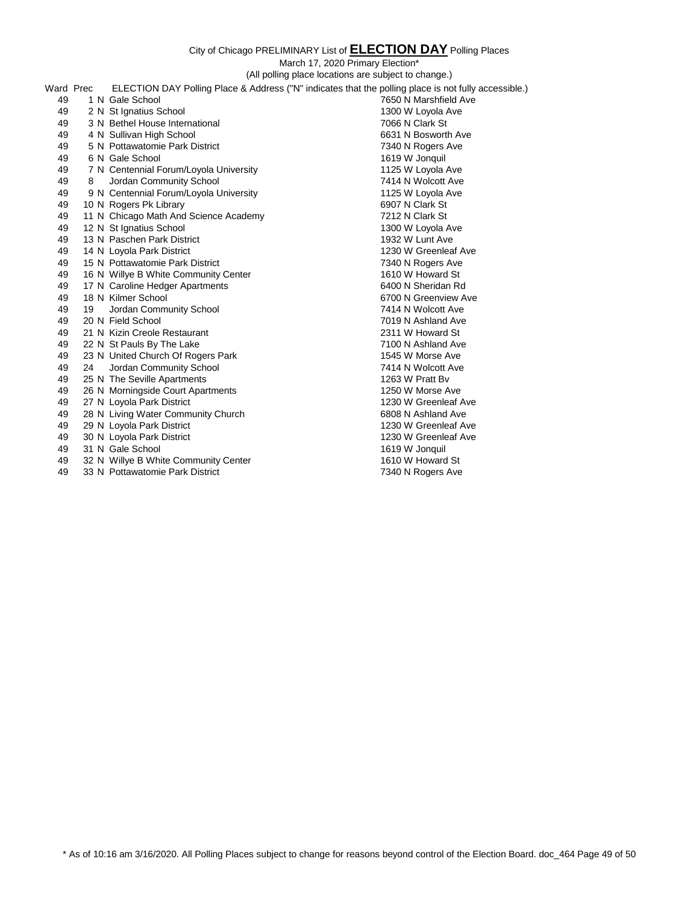March 17, 2020 Primary Election\*

(All polling place locations are subject to change.) Ward Prec ELECTION DAY Polling Place & Address ("N" indicates that the polling place is not fully accessible.)

| vvaru Prec |    | ELECTION DAY Polling Place & Address (IN Indicates that the polling place is not fully accessible.) |                       |
|------------|----|-----------------------------------------------------------------------------------------------------|-----------------------|
| 49         |    | 1 N Gale School                                                                                     | 7650 N Marshfield Ave |
| 49         |    | 2 N St Ignatius School                                                                              | 1300 W Loyola Ave     |
| 49         |    | 3 N Bethel House International                                                                      | 7066 N Clark St       |
| 49         |    | 4 N Sullivan High School                                                                            | 6631 N Bosworth Ave   |
| 49         |    | 5 N Pottawatomie Park District                                                                      | 7340 N Rogers Ave     |
| 49         |    | 6 N Gale School                                                                                     | 1619 W Jonquil        |
| 49         |    | 7 N Centennial Forum/Loyola University                                                              | 1125 W Loyola Ave     |
| 49         | 8  | Jordan Community School                                                                             | 7414 N Wolcott Ave    |
| 49         |    | 9 N Centennial Forum/Loyola University                                                              | 1125 W Loyola Ave     |
| 49         |    | 10 N Rogers Pk Library                                                                              | 6907 N Clark St       |
| 49         |    | 11 N Chicago Math And Science Academy                                                               | 7212 N Clark St       |
| 49         |    | 12 N St Ignatius School                                                                             | 1300 W Loyola Ave     |
| 49         |    | 13 N Paschen Park District                                                                          | 1932 W Lunt Ave       |
| 49         |    | 14 N Loyola Park District                                                                           | 1230 W Greenleaf Ave  |
| 49         |    | 15 N Pottawatomie Park District                                                                     | 7340 N Rogers Ave     |
| 49         |    | 16 N Willye B White Community Center                                                                | 1610 W Howard St      |
| 49         |    | 17 N Caroline Hedger Apartments                                                                     | 6400 N Sheridan Rd    |
| 49         |    | 18 N Kilmer School                                                                                  | 6700 N Greenview Ave  |
| 49         | 19 | Jordan Community School                                                                             | 7414 N Wolcott Ave    |
| 49         |    | 20 N Field School                                                                                   | 7019 N Ashland Ave    |
| 49         |    | 21 N Kizin Creole Restaurant                                                                        | 2311 W Howard St      |
| 49         |    | 22 N St Pauls By The Lake                                                                           | 7100 N Ashland Ave    |
| 49         |    | 23 N United Church Of Rogers Park                                                                   | 1545 W Morse Ave      |
| 49         | 24 | Jordan Community School                                                                             | 7414 N Wolcott Ave    |
| 49         |    | 25 N The Seville Apartments                                                                         | 1263 W Pratt By       |
| 49         |    | 26 N Morningside Court Apartments                                                                   | 1250 W Morse Ave      |
| 49         |    | 27 N Loyola Park District                                                                           | 1230 W Greenleaf Ave  |
| 49         |    | 28 N Living Water Community Church                                                                  | 6808 N Ashland Ave    |
| 49         |    | 29 N Loyola Park District                                                                           | 1230 W Greenleaf Ave  |
| 49         |    | 30 N Loyola Park District                                                                           | 1230 W Greenleaf Ave  |
| 49         |    | 31 N Gale School                                                                                    | 1619 W Jonquil        |
| 49         |    | 32 N Willye B White Community Center                                                                | 1610 W Howard St      |
| 49         |    | 33 N Pottawatomie Park District                                                                     | 7340 N Rogers Ave     |

\* As of 10:16 am 3/16/2020. All Polling Places subject to change for reasons beyond control of the Election Board. doc\_464 Page 49 of 50